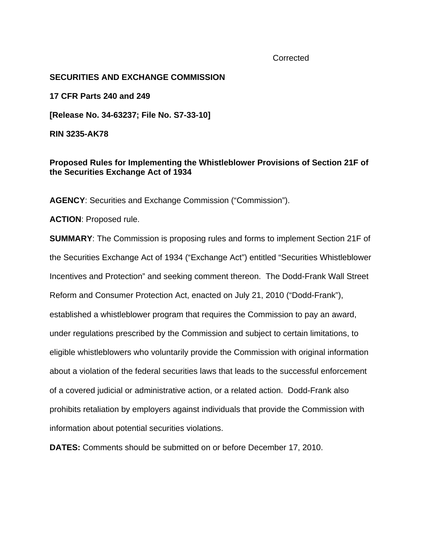## **Corrected**

# **SECURITIES AND EXCHANGE COMMISSION 17 CFR Parts 240 and 249 [Release No. 34-63237; File No. S7-33-10] RIN 3235-AK78**

## **Proposed Rules for Implementing the Whistleblower Provisions of Section 21F of the Securities Exchange Act of 1934**

**AGENCY**: Securities and Exchange Commission ("Commission").

**ACTION**: Proposed rule.

**SUMMARY**: The Commission is proposing rules and forms to implement Section 21F of the Securities Exchange Act of 1934 ("Exchange Act") entitled "Securities Whistleblower Incentives and Protection" and seeking comment thereon. The Dodd-Frank Wall Street Reform and Consumer Protection Act, enacted on July 21, 2010 ("Dodd-Frank"), established a whistleblower program that requires the Commission to pay an award, under regulations prescribed by the Commission and subject to certain limitations, to eligible whistleblowers who voluntarily provide the Commission with original information about a violation of the federal securities laws that leads to the successful enforcement of a covered judicial or administrative action, or a related action. Dodd-Frank also prohibits retaliation by employers against individuals that provide the Commission with information about potential securities violations.

**DATES:** Comments should be submitted on or before December 17, 2010.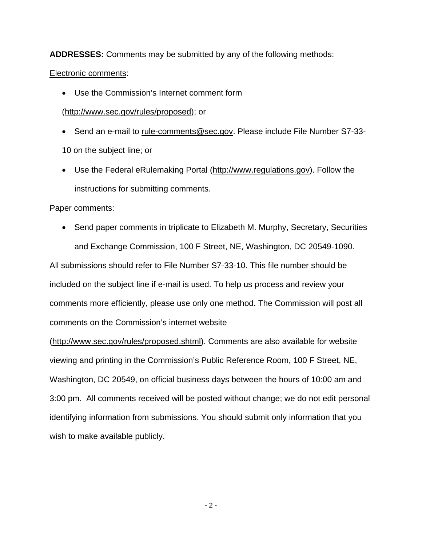## **ADDRESSES:** Comments may be submitted by any of the following methods:

## Electronic comments:

• Use the Commission's Internet comment form

## (http://www.sec.gov/rules/proposed); or

- Send an e-mail to rule-comments@sec.gov. Please include File Number S7-33-10 on the subject line; or
- Use the Federal eRulemaking Portal (http://www.regulations.gov). Follow the instructions for submitting comments.

## Paper comments:

• Send paper comments in triplicate to Elizabeth M. Murphy, Secretary, Securities and Exchange Commission, 100 F Street, NE, Washington, DC 20549-1090.

All submissions should refer to File Number S7-33-10. This file number should be included on the subject line if e-mail is used. To help us process and review your comments more efficiently, please use only one method. The Commission will post all comments on the Commission's internet website

(http://www.sec.gov/rules/proposed.shtml). Comments are also available for website viewing and printing in the Commission's Public Reference Room, 100 F Street, NE, Washington, DC 20549, on official business days between the hours of 10:00 am and 3:00 pm. All comments received will be posted without change; we do not edit personal identifying information from submissions. You should submit only information that you wish to make available publicly.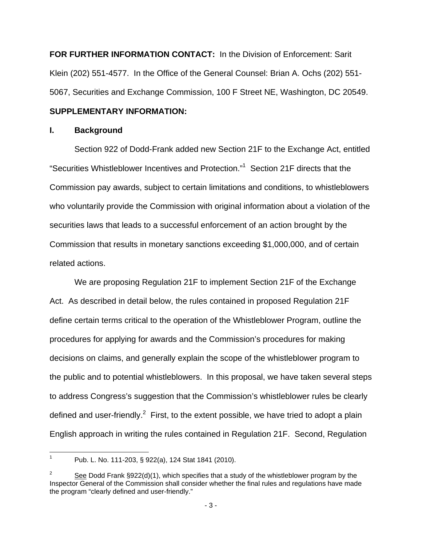**FOR FURTHER INFORMATION CONTACT:** In the Division of Enforcement: Sarit Klein (202) 551-4577. In the Office of the General Counsel: Brian A. Ochs (202) 551- 5067, Securities and Exchange Commission, 100 F Street NE, Washington, DC 20549.

## **SUPPLEMENTARY INFORMATION:**

## **I. Background**

Section 922 of Dodd-Frank added new Section 21F to the Exchange Act, entitled "Securities Whistleblower Incentives and Protection."1 Section 21F directs that the Commission pay awards, subject to certain limitations and conditions, to whistleblowers who voluntarily provide the Commission with original information about a violation of the securities laws that leads to a successful enforcement of an action brought by the Commission that results in monetary sanctions exceeding \$1,000,000, and of certain related actions.

We are proposing Regulation 21F to implement Section 21F of the Exchange Act. As described in detail below, the rules contained in proposed Regulation 21F define certain terms critical to the operation of the Whistleblower Program, outline the procedures for applying for awards and the Commission's procedures for making decisions on claims, and generally explain the scope of the whistleblower program to the public and to potential whistleblowers. In this proposal, we have taken several steps to address Congress's suggestion that the Commission's whistleblower rules be clearly defined and user-friendly.<sup>2</sup> First, to the extent possible, we have tried to adopt a plain English approach in writing the rules contained in Regulation 21F. Second, Regulation

<sup>1</sup> Pub. L. No. 111-203, § 922(a), 124 Stat 1841 (2010).

See Dodd Frank §922(d)(1), which specifies that a study of the whistleblower program by the Inspector General of the Commission shall consider whether the final rules and regulations have made the program "clearly defined and user-friendly."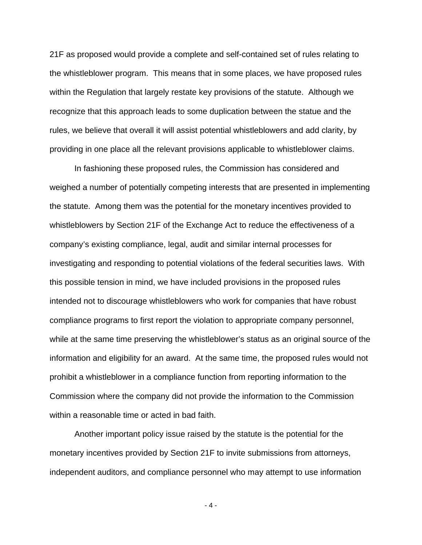21F as proposed would provide a complete and self-contained set of rules relating to the whistleblower program. This means that in some places, we have proposed rules within the Regulation that largely restate key provisions of the statute. Although we recognize that this approach leads to some duplication between the statue and the rules, we believe that overall it will assist potential whistleblowers and add clarity, by providing in one place all the relevant provisions applicable to whistleblower claims.

In fashioning these proposed rules, the Commission has considered and weighed a number of potentially competing interests that are presented in implementing the statute. Among them was the potential for the monetary incentives provided to whistleblowers by Section 21F of the Exchange Act to reduce the effectiveness of a company's existing compliance, legal, audit and similar internal processes for investigating and responding to potential violations of the federal securities laws. With this possible tension in mind, we have included provisions in the proposed rules intended not to discourage whistleblowers who work for companies that have robust compliance programs to first report the violation to appropriate company personnel, while at the same time preserving the whistleblower's status as an original source of the information and eligibility for an award. At the same time, the proposed rules would not prohibit a whistleblower in a compliance function from reporting information to the Commission where the company did not provide the information to the Commission within a reasonable time or acted in bad faith.

Another important policy issue raised by the statute is the potential for the monetary incentives provided by Section 21F to invite submissions from attorneys, independent auditors, and compliance personnel who may attempt to use information

- 4 -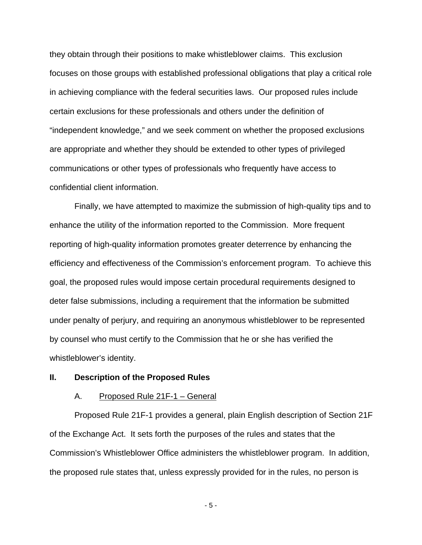they obtain through their positions to make whistleblower claims. This exclusion focuses on those groups with established professional obligations that play a critical role in achieving compliance with the federal securities laws. Our proposed rules include certain exclusions for these professionals and others under the definition of "independent knowledge," and we seek comment on whether the proposed exclusions are appropriate and whether they should be extended to other types of privileged communications or other types of professionals who frequently have access to confidential client information.

Finally, we have attempted to maximize the submission of high-quality tips and to enhance the utility of the information reported to the Commission. More frequent reporting of high-quality information promotes greater deterrence by enhancing the efficiency and effectiveness of the Commission's enforcement program. To achieve this goal, the proposed rules would impose certain procedural requirements designed to deter false submissions, including a requirement that the information be submitted under penalty of perjury, and requiring an anonymous whistleblower to be represented by counsel who must certify to the Commission that he or she has verified the whistleblower's identity.

#### **II. Description of the Proposed Rules**

#### A. Proposed Rule 21F-1 – General

Proposed Rule 21F-1 provides a general, plain English description of Section 21F of the Exchange Act. It sets forth the purposes of the rules and states that the Commission's Whistleblower Office administers the whistleblower program. In addition, the proposed rule states that, unless expressly provided for in the rules, no person is

- 5 -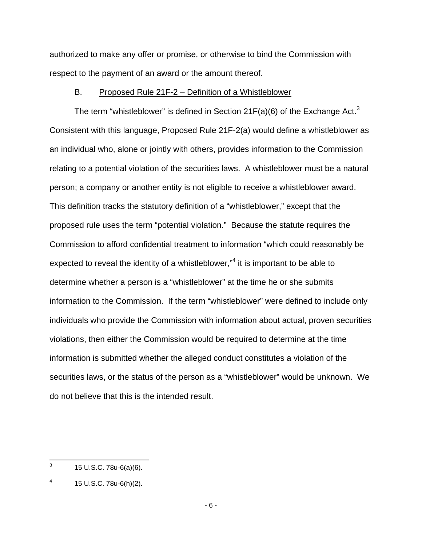authorized to make any offer or promise, or otherwise to bind the Commission with respect to the payment of an award or the amount thereof.

#### B. Proposed Rule 21F-2 – Definition of a Whistleblower

The term "whistleblower" is defined in Section 21F(a)(6) of the Exchange Act.<sup>3</sup> Consistent with this language, Proposed Rule 21F-2(a) would define a whistleblower as an individual who, alone or jointly with others, provides information to the Commission relating to a potential violation of the securities laws. A whistleblower must be a natural person; a company or another entity is not eligible to receive a whistleblower award. This definition tracks the statutory definition of a "whistleblower," except that the proposed rule uses the term "potential violation." Because the statute requires the Commission to afford confidential treatment to information "which could reasonably be expected to reveal the identity of a whistleblower,"<sup>4</sup> it is important to be able to determine whether a person is a "whistleblower" at the time he or she submits information to the Commission. If the term "whistleblower" were defined to include only individuals who provide the Commission with information about actual, proven securities violations, then either the Commission would be required to determine at the time information is submitted whether the alleged conduct constitutes a violation of the securities laws, or the status of the person as a "whistleblower" would be unknown. We do not believe that this is the intended result.

 $\overline{a}$ 

<sup>3 15</sup> U.S.C. 78u-6(a)(6).

<sup>4</sup> 4 15 U.S.C. 78u-6(h)(2).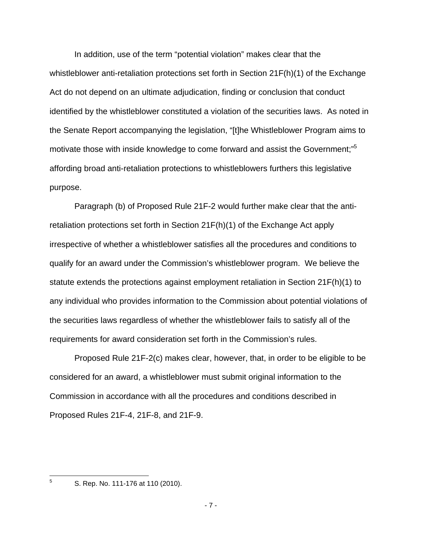In addition, use of the term "potential violation" makes clear that the whistleblower anti-retaliation protections set forth in Section 21F(h)(1) of the Exchange Act do not depend on an ultimate adjudication, finding or conclusion that conduct identified by the whistleblower constituted a violation of the securities laws. As noted in the Senate Report accompanying the legislation, "[t]he Whistleblower Program aims to motivate those with inside knowledge to come forward and assist the Government:"<sup>5</sup> affording broad anti-retaliation protections to whistleblowers furthers this legislative purpose.

Paragraph (b) of Proposed Rule 21F-2 would further make clear that the antiretaliation protections set forth in Section 21F(h)(1) of the Exchange Act apply irrespective of whether a whistleblower satisfies all the procedures and conditions to qualify for an award under the Commission's whistleblower program. We believe the statute extends the protections against employment retaliation in Section 21F(h)(1) to any individual who provides information to the Commission about potential violations of the securities laws regardless of whether the whistleblower fails to satisfy all of the requirements for award consideration set forth in the Commission's rules.

Proposed Rule 21F-2(c) makes clear, however, that, in order to be eligible to be considered for an award, a whistleblower must submit original information to the Commission in accordance with all the procedures and conditions described in Proposed Rules 21F-4, 21F-8, and 21F-9.

S. Rep. No. 111-176 at 110 (2010).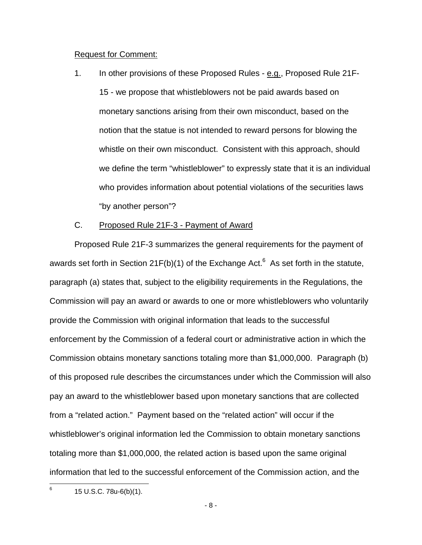## **Request for Comment:**

1. In other provisions of these Proposed Rules - e.g., Proposed Rule 21F-15 - we propose that whistleblowers not be paid awards based on monetary sanctions arising from their own misconduct, based on the notion that the statue is not intended to reward persons for blowing the whistle on their own misconduct. Consistent with this approach, should we define the term "whistleblower" to expressly state that it is an individual who provides information about potential violations of the securities laws "by another person"?

## C. Proposed Rule 21F-3 - Payment of Award

Proposed Rule 21F-3 summarizes the general requirements for the payment of awards set forth in Section 21 $F(b)(1)$  of the Exchange Act.<sup>6</sup> As set forth in the statute, paragraph (a) states that, subject to the eligibility requirements in the Regulations, the Commission will pay an award or awards to one or more whistleblowers who voluntarily provide the Commission with original information that leads to the successful enforcement by the Commission of a federal court or administrative action in which the Commission obtains monetary sanctions totaling more than \$1,000,000. Paragraph (b) of this proposed rule describes the circumstances under which the Commission will also pay an award to the whistleblower based upon monetary sanctions that are collected from a "related action." Payment based on the "related action" will occur if the whistleblower's original information led the Commission to obtain monetary sanctions totaling more than \$1,000,000, the related action is based upon the same original information that led to the successful enforcement of the Commission action, and the

 $\overline{a}$  6 15 U.S.C. 78u-6(b)(1).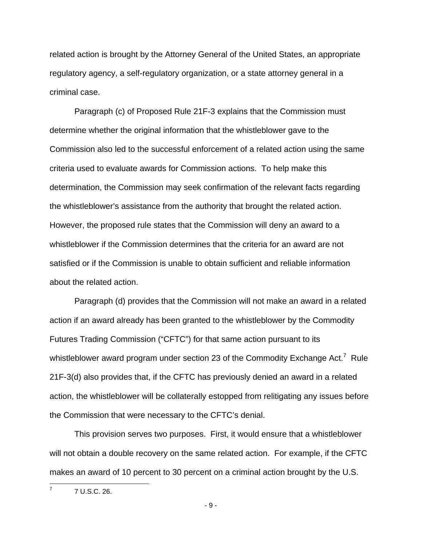related action is brought by the Attorney General of the United States, an appropriate regulatory agency, a self-regulatory organization, or a state attorney general in a criminal case.

Paragraph (c) of Proposed Rule 21F-3 explains that the Commission must determine whether the original information that the whistleblower gave to the Commission also led to the successful enforcement of a related action using the same criteria used to evaluate awards for Commission actions. To help make this determination, the Commission may seek confirmation of the relevant facts regarding the whistleblower's assistance from the authority that brought the related action. However, the proposed rule states that the Commission will deny an award to a whistleblower if the Commission determines that the criteria for an award are not satisfied or if the Commission is unable to obtain sufficient and reliable information about the related action.

Paragraph (d) provides that the Commission will not make an award in a related action if an award already has been granted to the whistleblower by the Commodity Futures Trading Commission ("CFTC") for that same action pursuant to its whistleblower award program under section 23 of the Commodity Exchange Act.<sup>7</sup> Rule 21F-3(d) also provides that, if the CFTC has previously denied an award in a related action, the whistleblower will be collaterally estopped from relitigating any issues before the Commission that were necessary to the CFTC's denial.

This provision serves two purposes. First, it would ensure that a whistleblower will not obtain a double recovery on the same related action. For example, if the CFTC makes an award of 10 percent to 30 percent on a criminal action brought by the U.S.

 7 7 U.S.C. 26.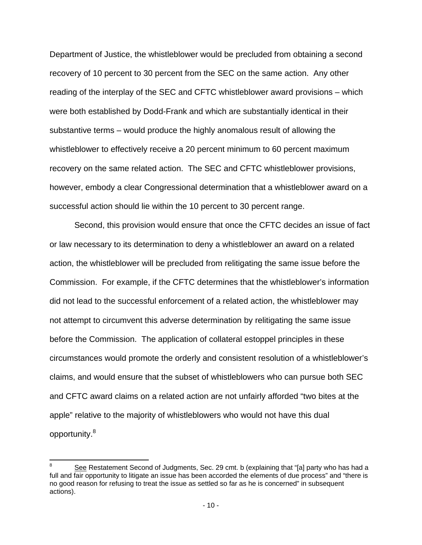Department of Justice, the whistleblower would be precluded from obtaining a second recovery of 10 percent to 30 percent from the SEC on the same action. Any other reading of the interplay of the SEC and CFTC whistleblower award provisions – which were both established by Dodd-Frank and which are substantially identical in their substantive terms – would produce the highly anomalous result of allowing the whistleblower to effectively receive a 20 percent minimum to 60 percent maximum recovery on the same related action. The SEC and CFTC whistleblower provisions, however, embody a clear Congressional determination that a whistleblower award on a successful action should lie within the 10 percent to 30 percent range.

opportunity.<sup>8</sup> Second, this provision would ensure that once the CFTC decides an issue of fact or law necessary to its determination to deny a whistleblower an award on a related action, the whistleblower will be precluded from relitigating the same issue before the Commission. For example, if the CFTC determines that the whistleblower's information did not lead to the successful enforcement of a related action, the whistleblower may not attempt to circumvent this adverse determination by relitigating the same issue before the Commission. The application of collateral estoppel principles in these circumstances would promote the orderly and consistent resolution of a whistleblower's claims, and would ensure that the subset of whistleblowers who can pursue both SEC and CFTC award claims on a related action are not unfairly afforded "two bites at the apple" relative to the majority of whistleblowers who would not have this dual

See Restatement Second of Judgments, Sec. 29 cmt. b (explaining that "[a] party who has had a full and fair opportunity to litigate an issue has been accorded the elements of due process" and "there is no good reason for refusing to treat the issue as settled so far as he is concerned" in subsequent actions). 8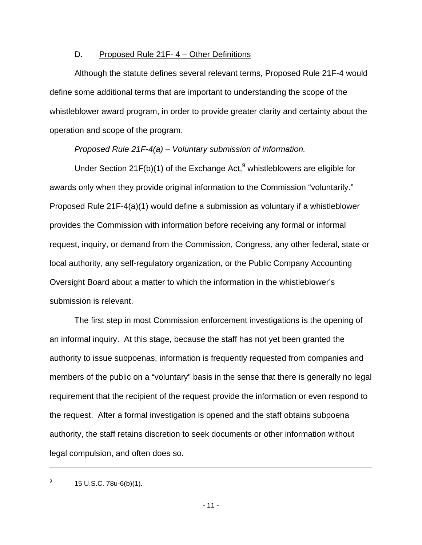#### D. Proposed Rule 21F- 4 – Other Definitions

Although the statute defines several relevant terms, Proposed Rule 21F-4 would define some additional terms that are important to understanding the scope of the whistleblower award program, in order to provide greater clarity and certainty about the operation and scope of the program.

#### *Proposed Rule 21F-4(a) – Voluntary submission of information.*

Under Section 21F(b)(1) of the Exchange Act,  $9$  whistleblowers are eligible for awards only when they provide original information to the Commission "voluntarily." Proposed Rule 21F-4(a)(1) would define a submission as voluntary if a whistleblower provides the Commission with information before receiving any formal or informal request, inquiry, or demand from the Commission, Congress, any other federal, state or local authority, any self-regulatory organization, or the Public Company Accounting Oversight Board about a matter to which the information in the whistleblower's submission is relevant.

The first step in most Commission enforcement investigations is the opening of an informal inquiry. At this stage, because the staff has not yet been granted the authority to issue subpoenas, information is frequently requested from companies and members of the public on a "voluntary" basis in the sense that there is generally no legal requirement that the recipient of the request provide the information or even respond to the request. After a formal investigation is opened and the staff obtains subpoena authority, the staff retains discretion to seek documents or other information without legal compulsion, and often does so.

 9 15 U.S.C. 78u-6(b)(1).

 $\overline{a}$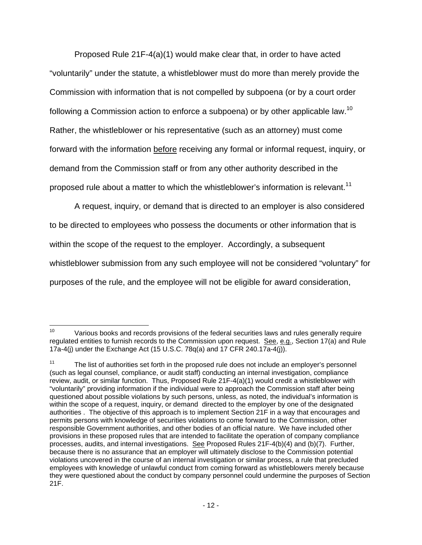following a Commission action to enforce a subpoena) or by other applicable law.<sup>10</sup> proposed rule about a matter to which the whistleblower's information is relevant.<sup>11</sup> Proposed Rule 21F-4(a)(1) would make clear that, in order to have acted "voluntarily" under the statute, a whistleblower must do more than merely provide the Commission with information that is not compelled by subpoena (or by a court order Rather, the whistleblower or his representative (such as an attorney) must come forward with the information before receiving any formal or informal request, inquiry, or demand from the Commission staff or from any other authority described in the

A request, inquiry, or demand that is directed to an employer is also considered to be directed to employees who possess the documents or other information that is within the scope of the request to the employer. Accordingly, a subsequent whistleblower submission from any such employee will not be considered "voluntary" for purposes of the rule, and the employee will not be eligible for award consideration,

 $\overline{a}$ Various books and records provisions of the federal securities laws and rules generally require regulated entities to furnish records to the Commission upon request. See, e.g., Section 17(a) and Rule 17a-4(j) under the Exchange Act (15 U.S.C. 78q(a) and 17 CFR 240.17a-4(j)).

<sup>21</sup>F.  $11$  The list of authorities set forth in the proposed rule does not include an employer's personnel (such as legal counsel, compliance, or audit staff) conducting an internal investigation, compliance review, audit, or similar function. Thus, Proposed Rule 21F-4(a)(1) would credit a whistleblower with "voluntarily" providing information if the individual were to approach the Commission staff after being questioned about possible violations by such persons, unless, as noted, the individual's information is within the scope of a request, inquiry, or demand directed to the employer by one of the designated authorities . The objective of this approach is to implement Section 21F in a way that encourages and permits persons with knowledge of securities violations to come forward to the Commission, other responsible Government authorities, and other bodies of an official nature. We have included other provisions in these proposed rules that are intended to facilitate the operation of company compliance processes, audits, and internal investigations. See Proposed Rules 21F-4(b)(4) and (b)(7). Further, because there is no assurance that an employer will ultimately disclose to the Commission potential violations uncovered in the course of an internal investigation or similar process, a rule that precluded employees with knowledge of unlawful conduct from coming forward as whistleblowers merely because they were questioned about the conduct by company personnel could undermine the purposes of Section 21F. - 12 -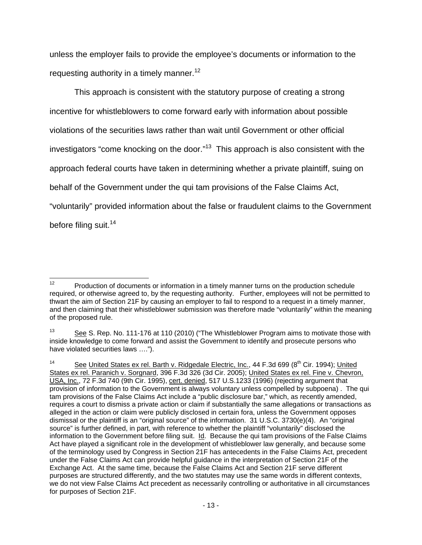requesting authority in a timely manner.<sup>12</sup> unless the employer fails to provide the employee's documents or information to the

before filing suit.<sup>14</sup> This approach is consistent with the statutory purpose of creating a strong incentive for whistleblowers to come forward early with information about possible violations of the securities laws rather than wait until Government or other official investigators "come knocking on the door."13 This approach is also consistent with the approach federal courts have taken in determining whether a private plaintiff, suing on behalf of the Government under the qui tam provisions of the False Claims Act, "voluntarily" provided information about the false or fraudulent claims to the Government

1 Production of documents or information in a timely manner turns on the production schedule required, or otherwise agreed to, by the requesting authority. Further, employees will not be permitted to thwart the aim of Section 21F by causing an employer to fail to respond to a request in a timely manner, and then claiming that their whistleblower submission was therefore made "voluntarily" within the meaning of the proposed rule.

See S. Rep. No. 111-176 at 110 (2010) ("The Whistleblower Program aims to motivate those with inside knowledge to come forward and assist the Government to identify and prosecute persons who have violated securities laws ….").

 $14$ See United States ex rel. Barth v. Ridgedale Electric, Inc., 44 F.3d 699 (8<sup>th</sup> Cir. 1994); United States ex rel. Paranich v. Sorgnard, 396 F.3d 326 (3d Cir. 2005); United States ex rel. Fine v. Chevron, USA, Inc., 72 F.3d 740 (9th Cir. 1995), cert. denied, 517 U.S.1233 (1996) (rejecting argument that provision of information to the Government is always voluntary unless compelled by subpoena) . The qui tam provisions of the False Claims Act include a "public disclosure bar," which, as recently amended, requires a court to dismiss a private action or claim if substantially the same allegations or transactions as alleged in the action or claim were publicly disclosed in certain fora, unless the Government opposes dismissal or the plaintiff is an "original source" of the information. 31 U.S.C. 3730(e)(4). An "original source" is further defined, in part, with reference to whether the plaintiff "voluntarily" disclosed the information to the Government before filing suit. Id. Because the qui tam provisions of the False Claims Act have played a significant role in the development of whistleblower law generally, and because some of the terminology used by Congress in Section 21F has antecedents in the False Claims Act, precedent under the False Claims Act can provide helpful guidance in the interpretation of Section 21F of the Exchange Act. At the same time, because the False Claims Act and Section 21F serve different purposes are structured differently, and the two statutes may use the same words in different contexts, we do not view False Claims Act precedent as necessarily controlling or authoritative in all circumstances for purposes of Section 21F.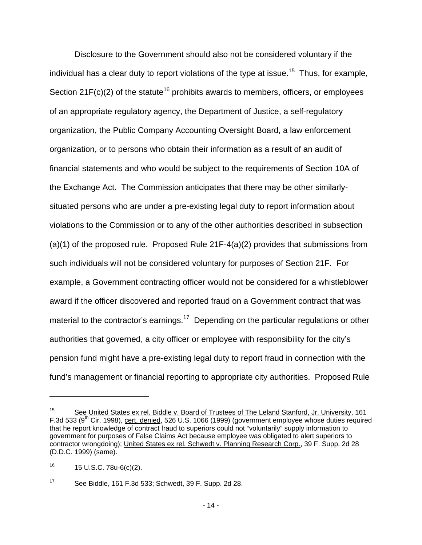Disclosure to the Government should also not be considered voluntary if the individual has a clear duty to report violations of the type at issue.<sup>15</sup> Thus, for example, Section 21 $F(c)(2)$  of the statute<sup>16</sup> prohibits awards to members, officers, or employees of an appropriate regulatory agency, the Department of Justice, a self-regulatory organization, the Public Company Accounting Oversight Board, a law enforcement organization, or to persons who obtain their information as a result of an audit of financial statements and who would be subject to the requirements of Section 10A of the Exchange Act. The Commission anticipates that there may be other similarlysituated persons who are under a pre-existing legal duty to report information about violations to the Commission or to any of the other authorities described in subsection  $(a)(1)$  of the proposed rule. Proposed Rule 21F-4 $(a)(2)$  provides that submissions from such individuals will not be considered voluntary for purposes of Section 21F. For example, a Government contracting officer would not be considered for a whistleblower award if the officer discovered and reported fraud on a Government contract that was material to the contractor's earnings.<sup>17</sup> Depending on the particular regulations or other authorities that governed, a city officer or employee with responsibility for the city's pension fund might have a pre-existing legal duty to report fraud in connection with the fund's management or financial reporting to appropriate city authorities. Proposed Rule

<sup>15</sup> See United States ex rel. Biddle v. Board of Trustees of The Leland Stanford, Jr. University, 161 F.3d 533 (9<sup>th</sup> Cir. 1998), cert. denied, 526 U.S. 1066 (1999) (government employee whose duties required that he report knowledge of contract fraud to superiors could not "voluntarily" supply information to government for purposes of False Claims Act because employee was obligated to alert superiors to contractor wrongdoing); United States ex rel. Schwedt v. Planning Research Corp., 39 F. Supp. 2d 28 (D.D.C. 1999) (same).

 $16$  15 U.S.C. 78u-6(c)(2).

<sup>17</sup> See Biddle, 161 F.3d 533; Schwedt, 39 F. Supp. 2d 28.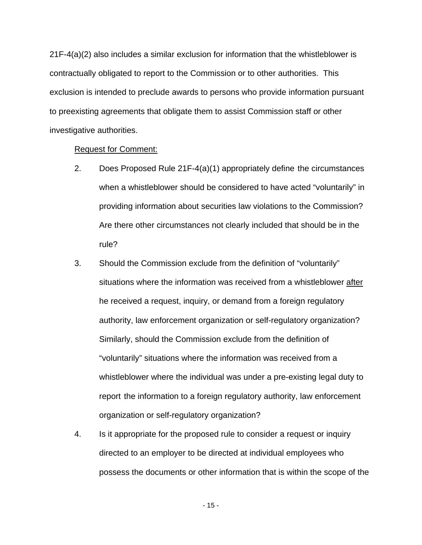21F-4(a)(2) also includes a similar exclusion for information that the whistleblower is contractually obligated to report to the Commission or to other authorities. This exclusion is intended to preclude awards to persons who provide information pursuant to preexisting agreements that obligate them to assist Commission staff or other investigative authorities.

#### Request for Comment:

- 2. Does Proposed Rule 21F-4(a)(1) appropriately define the circumstances when a whistleblower should be considered to have acted "voluntarily" in providing information about securities law violations to the Commission? Are there other circumstances not clearly included that should be in the rule?
- 3. Should the Commission exclude from the definition of "voluntarily" situations where the information was received from a whistleblower after he received a request, inquiry, or demand from a foreign regulatory authority, law enforcement organization or self-regulatory organization? Similarly, should the Commission exclude from the definition of "voluntarily" situations where the information was received from a whistleblower where the individual was under a pre-existing legal duty to report the information to a foreign regulatory authority, law enforcement organization or self-regulatory organization?
- 4. Is it appropriate for the proposed rule to consider a request or inquiry directed to an employer to be directed at individual employees who possess the documents or other information that is within the scope of the

- 15 -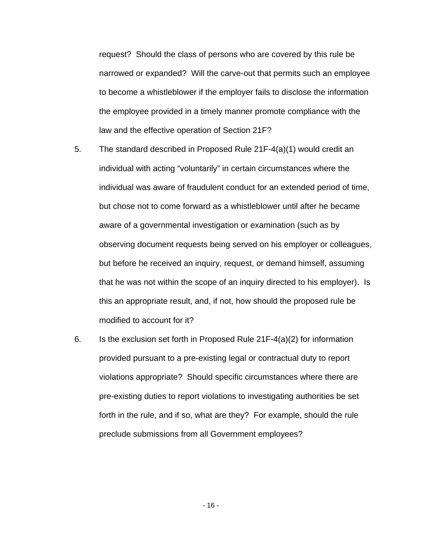request? Should the class of persons who are covered by this rule be narrowed or expanded? Will the carve-out that permits such an employee to become a whistleblower if the employer fails to disclose the information the employee provided in a timely manner promote compliance with the law and the effective operation of Section 21F?

- 5. The standard described in Proposed Rule 21F-4(a)(1) would credit an individual with acting "voluntarily" in certain circumstances where the individual was aware of fraudulent conduct for an extended period of time, but chose not to come forward as a whistleblower until after he became aware of a governmental investigation or examination (such as by observing document requests being served on his employer or colleagues, but before he received an inquiry, request, or demand himself, assuming that he was not within the scope of an inquiry directed to his employer). Is this an appropriate result, and, if not, how should the proposed rule be modified to account for it?
- 6. Is the exclusion set forth in Proposed Rule  $21F-4(a)(2)$  for information provided pursuant to a pre-existing legal or contractual duty to report violations appropriate? Should specific circumstances where there are pre-existing duties to report violations to investigating authorities be set forth in the rule, and if so, what are they? For example, should the rule preclude submissions from all Government employees?

- 16 -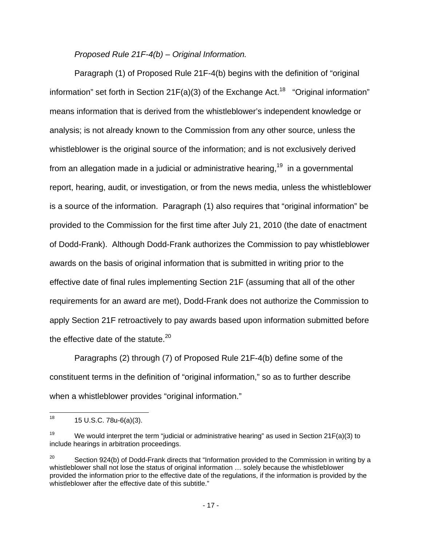## *Proposed Rule 21F-4(b) – Original Information.*

Paragraph (1) of Proposed Rule 21F-4(b) begins with the definition of "original information" set forth in Section 21F(a)(3) of the Exchange Act.<sup>18</sup> "Original information" means information that is derived from the whistleblower's independent knowledge or analysis; is not already known to the Commission from any other source, unless the whistleblower is the original source of the information; and is not exclusively derived from an allegation made in a judicial or administrative hearing,  $19$  in a governmental report, hearing, audit, or investigation, or from the news media, unless the whistleblower is a source of the information. Paragraph (1) also requires that "original information" be provided to the Commission for the first time after July 21, 2010 (the date of enactment of Dodd-Frank). Although Dodd-Frank authorizes the Commission to pay whistleblower awards on the basis of original information that is submitted in writing prior to the effective date of final rules implementing Section 21F (assuming that all of the other requirements for an award are met), Dodd-Frank does not authorize the Commission to apply Section 21F retroactively to pay awards based upon information submitted before the effective date of the statute. $20$ 

Paragraphs (2) through (7) of Proposed Rule 21F-4(b) define some of the constituent terms in the definition of "original information," so as to further describe when a whistleblower provides "original information."

<sup>1</sup> 18 15 U.S.C. 78u-6(a)(3).

<sup>19</sup> We would interpret the term "judicial or administrative hearing" as used in Section 21F(a)(3) to include hearings in arbitration proceedings.

<sup>20</sup> Section 924(b) of Dodd-Frank directs that "Information provided to the Commission in writing by a whistleblower shall not lose the status of original information … solely because the whistleblower provided the information prior to the effective date of the regulations, if the information is provided by the whistleblower after the effective date of this subtitle."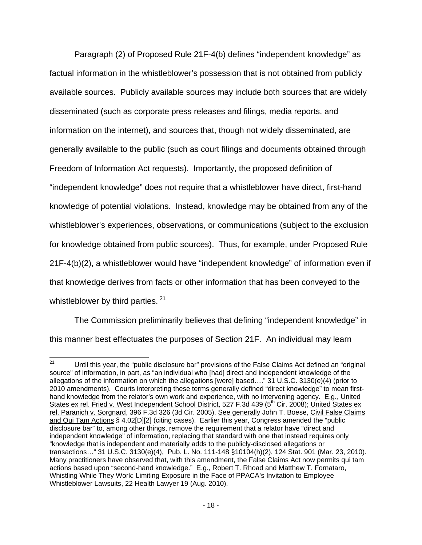Paragraph (2) of Proposed Rule 21F-4(b) defines "independent knowledge" as factual information in the whistleblower's possession that is not obtained from publicly available sources. Publicly available sources may include both sources that are widely disseminated (such as corporate press releases and filings, media reports, and information on the internet), and sources that, though not widely disseminated, are generally available to the public (such as court filings and documents obtained through Freedom of Information Act requests). Importantly, the proposed definition of "independent knowledge" does not require that a whistleblower have direct, first-hand knowledge of potential violations. Instead, knowledge may be obtained from any of the whistleblower's experiences, observations, or communications (subject to the exclusion for knowledge obtained from public sources). Thus, for example, under Proposed Rule 21F-4(b)(2), a whistleblower would have "independent knowledge" of information even if that knowledge derives from facts or other information that has been conveyed to the whistleblower by third parties.  $21$ 

The Commission preliminarily believes that defining "independent knowledge" in this manner best effectuates the purposes of Section 21F. An individual may learn

<sup>1</sup>  21 Until this year, the "public disclosure bar" provisions of the False Claims Act defined an "original source" of information, in part, as "an individual who [had] direct and independent knowledge of the allegations of the information on which the allegations [were] based…." 31 U.S.C. 3130(e)(4) (prior to 2010 amendments). Courts interpreting these terms generally defined "direct knowledge" to mean firsthand knowledge from the relator's own work and experience, with no intervening agency. E.g., United States ex rel. Fried v. West Independent School District, 527 F.3d 439 (5<sup>th</sup> Cir. 2008); United States ex rel. Paranich v. Sorgnard, 396 F.3d 326 (3d Cir. 2005). See generally John T. Boese, Civil False Claims and Qui Tam Actions § 4.02[D][2] (citing cases). Earlier this year, Congress amended the "public disclosure bar" to, among other things, remove the requirement that a relator have "direct and independent knowledge" of information, replacing that standard with one that instead requires only "knowledge that is independent and materially adds to the publicly-disclosed allegations or transactions…" 31 U.S.C. 3130(e)(4), Pub. L. No. 111-148 §10104(h)(2), 124 Stat. 901 (Mar. 23, 2010). Many practitioners have observed that, with this amendment, the False Claims Act now permits qui tam actions based upon "second-hand knowledge." E.g., Robert T. Rhoad and Matthew T. Fornataro, Whistling While They Work: Limiting Exposure in the Face of PPACA's Invitation to Employee Whistleblower Lawsuits, 22 Health Lawyer 19 (Aug. 2010).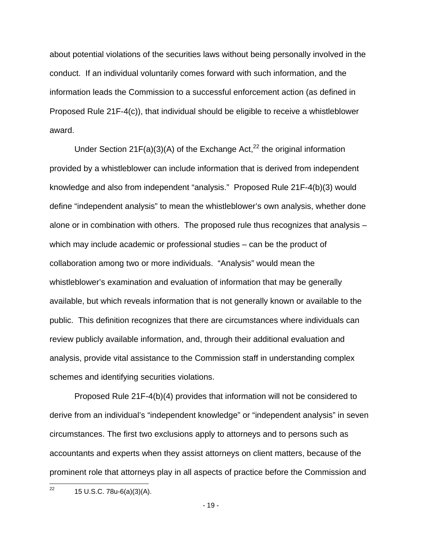about potential violations of the securities laws without being personally involved in the conduct. If an individual voluntarily comes forward with such information, and the information leads the Commission to a successful enforcement action (as defined in Proposed Rule 21F-4(c)), that individual should be eligible to receive a whistleblower award.

Under Section 21F(a)(3)(A) of the Exchange Act,<sup>22</sup> the original information provided by a whistleblower can include information that is derived from independent knowledge and also from independent "analysis." Proposed Rule 21F-4(b)(3) would define "independent analysis" to mean the whistleblower's own analysis, whether done alone or in combination with others. The proposed rule thus recognizes that analysis – which may include academic or professional studies – can be the product of collaboration among two or more individuals. "Analysis" would mean the whistleblower's examination and evaluation of information that may be generally available, but which reveals information that is not generally known or available to the public. This definition recognizes that there are circumstances where individuals can review publicly available information, and, through their additional evaluation and analysis, provide vital assistance to the Commission staff in understanding complex schemes and identifying securities violations.

Proposed Rule 21F-4(b)(4) provides that information will not be considered to derive from an individual's "independent knowledge" or "independent analysis" in seven circumstances. The first two exclusions apply to attorneys and to persons such as accountants and experts when they assist attorneys on client matters, because of the prominent role that attorneys play in all aspects of practice before the Commission and

 22 15 U.S.C. 78u-6(a)(3)(A).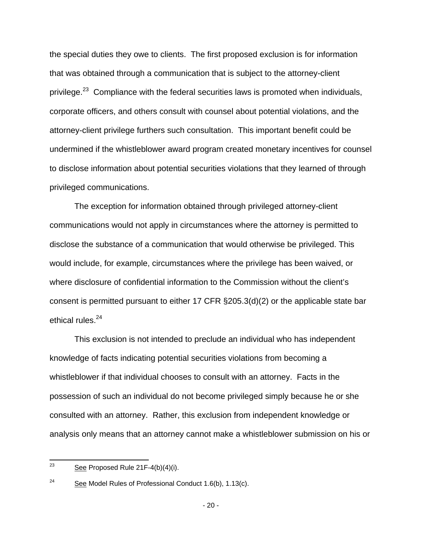the special duties they owe to clients. The first proposed exclusion is for information that was obtained through a communication that is subject to the attorney-client privilege.<sup>23</sup> Compliance with the federal securities laws is promoted when individuals, corporate officers, and others consult with counsel about potential violations, and the attorney-client privilege furthers such consultation. This important benefit could be undermined if the whistleblower award program created monetary incentives for counsel to disclose information about potential securities violations that they learned of through privileged communications.

The exception for information obtained through privileged attorney-client communications would not apply in circumstances where the attorney is permitted to disclose the substance of a communication that would otherwise be privileged. This would include, for example, circumstances where the privilege has been waived, or where disclosure of confidential information to the Commission without the client's consent is permitted pursuant to either 17 CFR §205.3(d)(2) or the applicable state bar ethical rules. $24$ 

This exclusion is not intended to preclude an individual who has independent knowledge of facts indicating potential securities violations from becoming a whistleblower if that individual chooses to consult with an attorney. Facts in the possession of such an individual do not become privileged simply because he or she consulted with an attorney. Rather, this exclusion from independent knowledge or analysis only means that an attorney cannot make a whistleblower submission on his or

1

24 See Model Rules of Professional Conduct 1.6(b), 1.13(c).

See Proposed Rule 21F-4(b)(4)(i).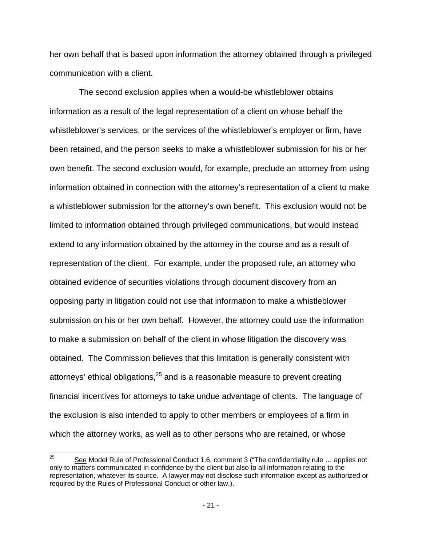her own behalf that is based upon information the attorney obtained through a privileged communication with a client.

 The second exclusion applies when a would-be whistleblower obtains information as a result of the legal representation of a client on whose behalf the whistleblower's services, or the services of the whistleblower's employer or firm, have been retained, and the person seeks to make a whistleblower submission for his or her own benefit. The second exclusion would, for example, preclude an attorney from using information obtained in connection with the attorney's representation of a client to make a whistleblower submission for the attorney's own benefit. This exclusion would not be limited to information obtained through privileged communications, but would instead extend to any information obtained by the attorney in the course and as a result of representation of the client. For example, under the proposed rule, an attorney who obtained evidence of securities violations through document discovery from an opposing party in litigation could not use that information to make a whistleblower submission on his or her own behalf. However, the attorney could use the information to make a submission on behalf of the client in whose litigation the discovery was obtained. The Commission believes that this limitation is generally consistent with attorneys' ethical obligations, $^{25}$  and is a reasonable measure to prevent creating financial incentives for attorneys to take undue advantage of clients. The language of the exclusion is also intended to apply to other members or employees of a firm in which the attorney works, as well as to other persons who are retained, or whose

<sup>1</sup>  25 See Model Rule of Professional Conduct 1.6, comment 3 ("The confidentiality rule … applies not only to matters communicated in confidence by the client but also to all information relating to the representation, whatever its source. A lawyer may not disclose such information except as authorized or required by the Rules of Professional Conduct or other law.).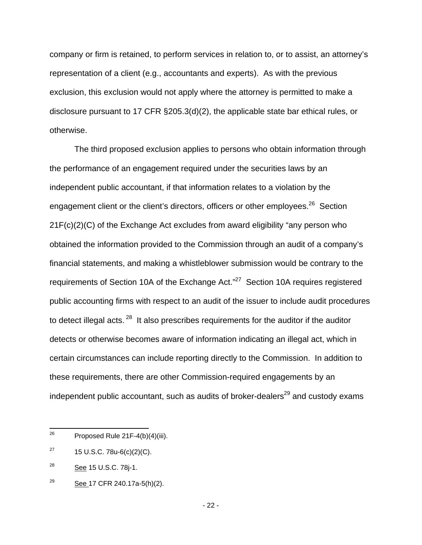company or firm is retained, to perform services in relation to, or to assist, an attorney's representation of a client (e.g., accountants and experts). As with the previous exclusion, this exclusion would not apply where the attorney is permitted to make a disclosure pursuant to 17 CFR §205.3(d)(2), the applicable state bar ethical rules, or otherwise.

The third proposed exclusion applies to persons who obtain information through the performance of an engagement required under the securities laws by an independent public accountant, if that information relates to a violation by the engagement client or the client's directors, officers or other employees.<sup>26</sup> Section 21F(c)(2)(C) of the Exchange Act excludes from award eligibility "any person who obtained the information provided to the Commission through an audit of a company's financial statements, and making a whistleblower submission would be contrary to the requirements of Section 10A of the Exchange Act."<sup>27</sup> Section 10A requires registered public accounting firms with respect to an audit of the issuer to include audit procedures to detect illegal acts.  $28$  It also prescribes requirements for the auditor if the auditor detects or otherwise becomes aware of information indicating an illegal act, which in certain circumstances can include reporting directly to the Commission. In addition to these requirements, there are other Commission-required engagements by an independent public accountant, such as audits of broker-dealers<sup>29</sup> and custody exams

1

- 22 -

Proposed Rule 21F-4(b)(4)(iii).

<sup>27</sup> 27 15 U.S.C. 78u-6(c)(2)(C).

<sup>28</sup> See 15 U.S.C. 78j-1.

<sup>29</sup> See 17 CFR 240.17a-5(h)(2).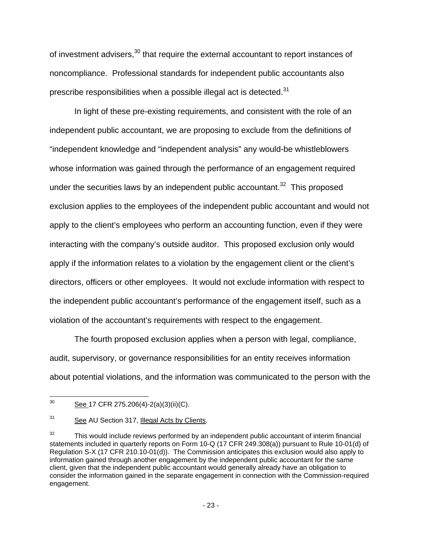of investment advisers.<sup>30</sup> that require the external accountant to report instances of noncompliance. Professional standards for independent public accountants also prescribe responsibilities when a possible illegal act is detected.<sup>31</sup>

In light of these pre-existing requirements, and consistent with the role of an independent public accountant, we are proposing to exclude from the definitions of "independent knowledge and "independent analysis" any would-be whistleblowers whose information was gained through the performance of an engagement required under the securities laws by an independent public accountant.<sup>32</sup> This proposed exclusion applies to the employees of the independent public accountant and would not apply to the client's employees who perform an accounting function, even if they were interacting with the company's outside auditor. This proposed exclusion only would apply if the information relates to a violation by the engagement client or the client's directors, officers or other employees. It would not exclude information with respect to the independent public accountant's performance of the engagement itself, such as a violation of the accountant's requirements with respect to the engagement.

The fourth proposed exclusion applies when a person with legal, compliance, audit, supervisory, or governance responsibilities for an entity receives information about potential violations, and the information was communicated to the person with the

<sup>1</sup> See 17 CFR 275.206(4)-2(a)(3)(ii)(C).

<sup>31</sup> See AU Section 317, Illegal Acts by Clients.

<sup>32</sup> This would include reviews performed by an independent public accountant of interim financial statements included in quarterly reports on Form 10-Q (17 CFR 249.308(a)) pursuant to Rule 10-01(d) of Regulation S-X (17 CFR 210.10-01(d)). The Commission anticipates this exclusion would also apply to information gained through another engagement by the independent public accountant for the same client, given that the independent public accountant would generally already have an obligation to consider the information gained in the separate engagement in connection with the Commission-required engagement.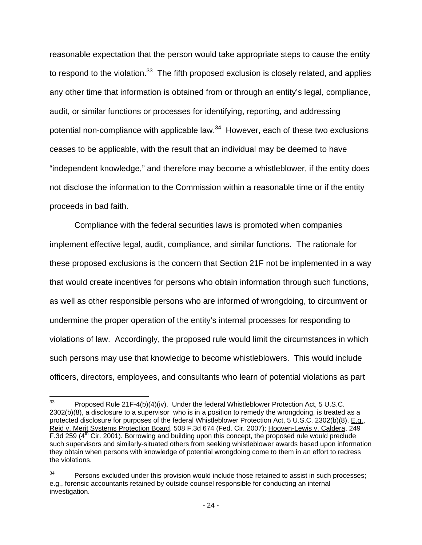reasonable expectation that the person would take appropriate steps to cause the entity to respond to the violation. $33$  The fifth proposed exclusion is closely related, and applies any other time that information is obtained from or through an entity's legal, compliance, audit, or similar functions or processes for identifying, reporting, and addressing potential non-compliance with applicable law. $34$  However, each of these two exclusions ceases to be applicable, with the result that an individual may be deemed to have "independent knowledge," and therefore may become a whistleblower, if the entity does not disclose the information to the Commission within a reasonable time or if the entity proceeds in bad faith.

Compliance with the federal securities laws is promoted when companies implement effective legal, audit, compliance, and similar functions. The rationale for these proposed exclusions is the concern that Section 21F not be implemented in a way that would create incentives for persons who obtain information through such functions, as well as other responsible persons who are informed of wrongdoing, to circumvent or undermine the proper operation of the entity's internal processes for responding to violations of law. Accordingly, the proposed rule would limit the circumstances in which such persons may use that knowledge to become whistleblowers. This would include officers, directors, employees, and consultants who learn of potential violations as part

<sup>33</sup> Proposed Rule 21F-4(b)(4)(iv). Under the federal Whistleblower Protection Act, 5 U.S.C. 2302(b)(8), a disclosure to a supervisor who is in a position to remedy the wrongdoing, is treated as a protected disclosure for purposes of the federal Whistleblower Protection Act, 5 U.S.C. 2302(b)(8). E.g., Reid v. Merit Systems Protection Board, 508 F.3d 674 (Fed. Cir. 2007); Hooven-Lewis v. Caldera, 249 F.3d 259 (4<sup>th</sup> Cir. 2001). Borrowing and building upon this concept, the proposed rule would preclude such supervisors and similarly-situated others from seeking whistleblower awards based upon information they obtain when persons with knowledge of potential wrongdoing come to them in an effort to redress the violations.

<sup>34</sup> Persons excluded under this provision would include those retained to assist in such processes; e.g., forensic accountants retained by outside counsel responsible for conducting an internal investigation.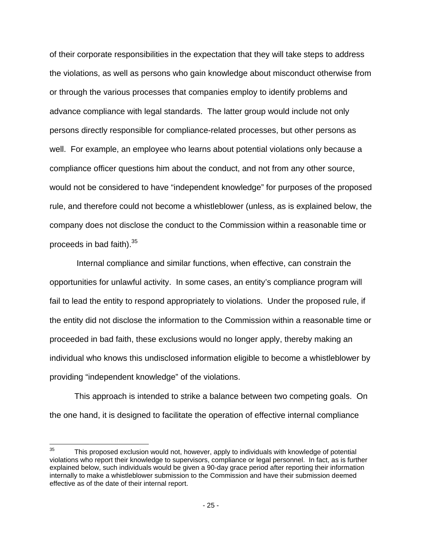proceeds in bad faith). $^{35}$ of their corporate responsibilities in the expectation that they will take steps to address the violations, as well as persons who gain knowledge about misconduct otherwise from or through the various processes that companies employ to identify problems and advance compliance with legal standards. The latter group would include not only persons directly responsible for compliance-related processes, but other persons as well. For example, an employee who learns about potential violations only because a compliance officer questions him about the conduct, and not from any other source, would not be considered to have "independent knowledge" for purposes of the proposed rule, and therefore could not become a whistleblower (unless, as is explained below, the company does not disclose the conduct to the Commission within a reasonable time or

 Internal compliance and similar functions, when effective, can constrain the opportunities for unlawful activity. In some cases, an entity's compliance program will fail to lead the entity to respond appropriately to violations. Under the proposed rule, if the entity did not disclose the information to the Commission within a reasonable time or proceeded in bad faith, these exclusions would no longer apply, thereby making an individual who knows this undisclosed information eligible to become a whistleblower by providing "independent knowledge" of the violations.

This approach is intended to strike a balance between two competing goals. On the one hand, it is designed to facilitate the operation of effective internal compliance

 35 This proposed exclusion would not, however, apply to individuals with knowledge of potential violations who report their knowledge to supervisors, compliance or legal personnel. In fact, as is further explained below, such individuals would be given a 90-day grace period after reporting their information internally to make a whistleblower submission to the Commission and have their submission deemed effective as of the date of their internal report.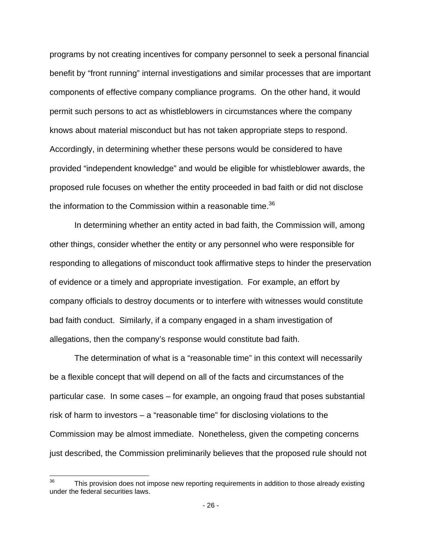the information to the Commission within a reasonable time. $36$ programs by not creating incentives for company personnel to seek a personal financial benefit by "front running" internal investigations and similar processes that are important components of effective company compliance programs. On the other hand, it would permit such persons to act as whistleblowers in circumstances where the company knows about material misconduct but has not taken appropriate steps to respond. Accordingly, in determining whether these persons would be considered to have provided "independent knowledge" and would be eligible for whistleblower awards, the proposed rule focuses on whether the entity proceeded in bad faith or did not disclose

In determining whether an entity acted in bad faith, the Commission will, among other things, consider whether the entity or any personnel who were responsible for responding to allegations of misconduct took affirmative steps to hinder the preservation of evidence or a timely and appropriate investigation. For example, an effort by company officials to destroy documents or to interfere with witnesses would constitute bad faith conduct. Similarly, if a company engaged in a sham investigation of allegations, then the company's response would constitute bad faith.

The determination of what is a "reasonable time" in this context will necessarily be a flexible concept that will depend on all of the facts and circumstances of the particular case. In some cases – for example, an ongoing fraud that poses substantial risk of harm to investors  $-$  a "reasonable time" for disclosing violations to the Commission may be almost immediate. Nonetheless, given the competing concerns just described, the Commission preliminarily believes that the proposed rule should not

 36 This provision does not impose new reporting requirements in addition to those already existing under the federal securities laws.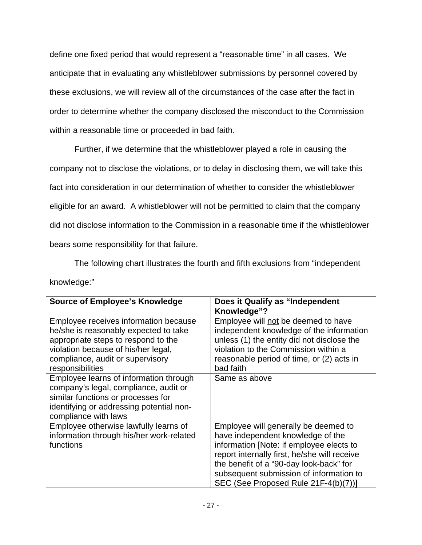define one fixed period that would represent a "reasonable time" in all cases. We anticipate that in evaluating any whistleblower submissions by personnel covered by these exclusions, we will review all of the circumstances of the case after the fact in order to determine whether the company disclosed the misconduct to the Commission within a reasonable time or proceeded in bad faith.

Further, if we determine that the whistleblower played a role in causing the company not to disclose the violations, or to delay in disclosing them, we will take this fact into consideration in our determination of whether to consider the whistleblower eligible for an award. A whistleblower will not be permitted to claim that the company did not disclose information to the Commission in a reasonable time if the whistleblower bears some responsibility for that failure.

The following chart illustrates the fourth and fifth exclusions from "independent knowledge:"

| <b>Source of Employee's Knowledge</b>                                                                                                                                                                                | Does it Qualify as "Independent<br>Knowledge"?                                                                                                                                                                                                                                                      |
|----------------------------------------------------------------------------------------------------------------------------------------------------------------------------------------------------------------------|-----------------------------------------------------------------------------------------------------------------------------------------------------------------------------------------------------------------------------------------------------------------------------------------------------|
| Employee receives information because<br>he/she is reasonably expected to take<br>appropriate steps to respond to the<br>violation because of his/her legal,<br>compliance, audit or supervisory<br>responsibilities | Employee will not be deemed to have<br>independent knowledge of the information<br>unless (1) the entity did not disclose the<br>violation to the Commission within a<br>reasonable period of time, or (2) acts in<br>bad faith                                                                     |
| Employee learns of information through<br>company's legal, compliance, audit or<br>similar functions or processes for<br>identifying or addressing potential non-<br>compliance with laws                            | Same as above                                                                                                                                                                                                                                                                                       |
| Employee otherwise lawfully learns of<br>information through his/her work-related<br>functions                                                                                                                       | Employee will generally be deemed to<br>have independent knowledge of the<br>information [Note: if employee elects to<br>report internally first, he/she will receive<br>the benefit of a "90-day look-back" for<br>subsequent submission of information to<br>SEC (See Proposed Rule 21F-4(b)(7))] |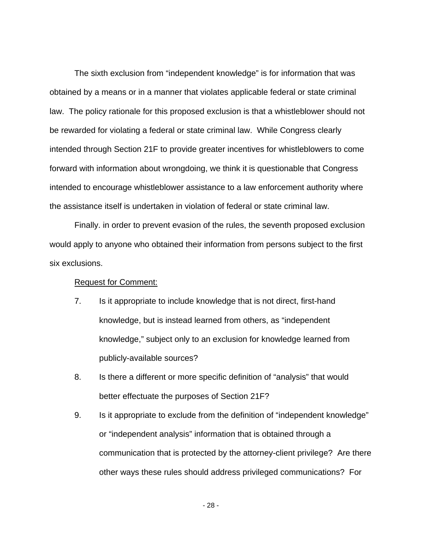The sixth exclusion from "independent knowledge" is for information that was obtained by a means or in a manner that violates applicable federal or state criminal law. The policy rationale for this proposed exclusion is that a whistleblower should not be rewarded for violating a federal or state criminal law. While Congress clearly intended through Section 21F to provide greater incentives for whistleblowers to come forward with information about wrongdoing, we think it is questionable that Congress intended to encourage whistleblower assistance to a law enforcement authority where the assistance itself is undertaken in violation of federal or state criminal law.

Finally. in order to prevent evasion of the rules, the seventh proposed exclusion would apply to anyone who obtained their information from persons subject to the first six exclusions.

#### **Request for Comment:**

- 7. Is it appropriate to include knowledge that is not direct, first-hand knowledge, but is instead learned from others, as "independent knowledge," subject only to an exclusion for knowledge learned from publicly-available sources?
- 8. Is there a different or more specific definition of "analysis" that would better effectuate the purposes of Section 21F?
- 9. Is it appropriate to exclude from the definition of "independent knowledge" or "independent analysis" information that is obtained through a communication that is protected by the attorney-client privilege? Are there other ways these rules should address privileged communications? For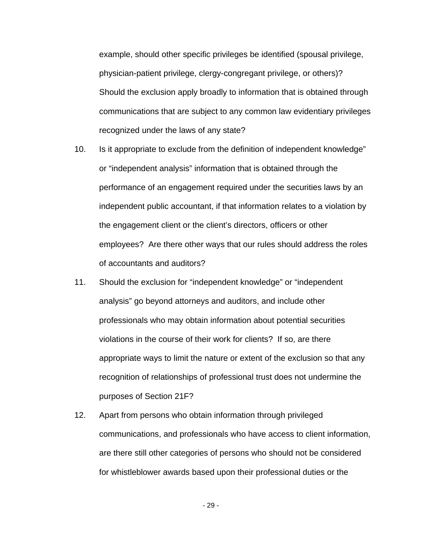example, should other specific privileges be identified (spousal privilege, physician-patient privilege, clergy-congregant privilege, or others)? Should the exclusion apply broadly to information that is obtained through communications that are subject to any common law evidentiary privileges recognized under the laws of any state?

- 10. Is it appropriate to exclude from the definition of independent knowledge" or "independent analysis" information that is obtained through the performance of an engagement required under the securities laws by an independent public accountant, if that information relates to a violation by the engagement client or the client's directors, officers or other employees? Are there other ways that our rules should address the roles of accountants and auditors?
- 11. Should the exclusion for "independent knowledge" or "independent analysis" go beyond attorneys and auditors, and include other professionals who may obtain information about potential securities violations in the course of their work for clients? If so, are there appropriate ways to limit the nature or extent of the exclusion so that any recognition of relationships of professional trust does not undermine the purposes of Section 21F?
- 12. Apart from persons who obtain information through privileged communications, and professionals who have access to client information, are there still other categories of persons who should not be considered for whistleblower awards based upon their professional duties or the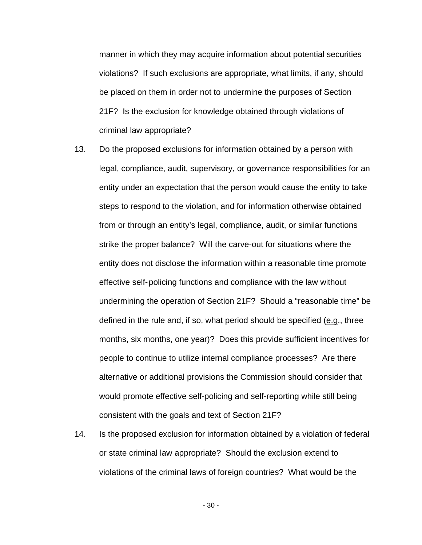manner in which they may acquire information about potential securities violations? If such exclusions are appropriate, what limits, if any, should be placed on them in order not to undermine the purposes of Section 21F? Is the exclusion for knowledge obtained through violations of criminal law appropriate?

- 13. Do the proposed exclusions for information obtained by a person with legal, compliance, audit, supervisory, or governance responsibilities for an entity under an expectation that the person would cause the entity to take steps to respond to the violation, and for information otherwise obtained from or through an entity's legal, compliance, audit, or similar functions strike the proper balance? Will the carve-out for situations where the entity does not disclose the information within a reasonable time promote effective self- policing functions and compliance with the law without undermining the operation of Section 21F? Should a "reasonable time" be defined in the rule and, if so, what period should be specified  $(e.g.,$  three months, six months, one year)? Does this provide sufficient incentives for people to continue to utilize internal compliance processes? Are there alternative or additional provisions the Commission should consider that would promote effective self-policing and self-reporting while still being consistent with the goals and text of Section 21F?
- 14. Is the proposed exclusion for information obtained by a violation of federal or state criminal law appropriate? Should the exclusion extend to violations of the criminal laws of foreign countries? What would be the

- 30 -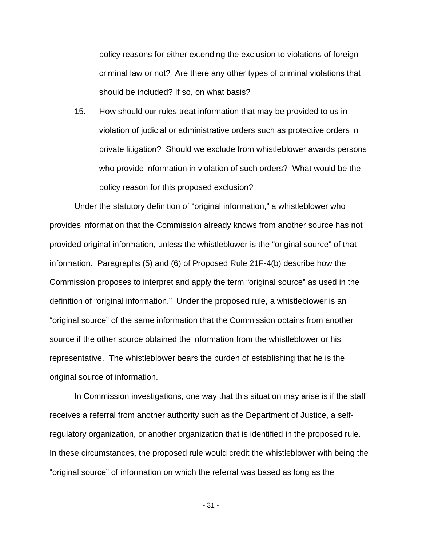policy reasons for either extending the exclusion to violations of foreign criminal law or not? Are there any other types of criminal violations that should be included? If so, on what basis?

15. How should our rules treat information that may be provided to us in violation of judicial or administrative orders such as protective orders in private litigation? Should we exclude from whistleblower awards persons who provide information in violation of such orders? What would be the policy reason for this proposed exclusion?

Under the statutory definition of "original information," a whistleblower who provides information that the Commission already knows from another source has not provided original information, unless the whistleblower is the "original source" of that information. Paragraphs (5) and (6) of Proposed Rule 21F-4(b) describe how the Commission proposes to interpret and apply the term "original source" as used in the definition of "original information." Under the proposed rule, a whistleblower is an "original source" of the same information that the Commission obtains from another source if the other source obtained the information from the whistleblower or his representative. The whistleblower bears the burden of establishing that he is the original source of information.

In Commission investigations, one way that this situation may arise is if the staff receives a referral from another authority such as the Department of Justice, a selfregulatory organization, or another organization that is identified in the proposed rule. In these circumstances, the proposed rule would credit the whistleblower with being the "original source" of information on which the referral was based as long as the

- 31 -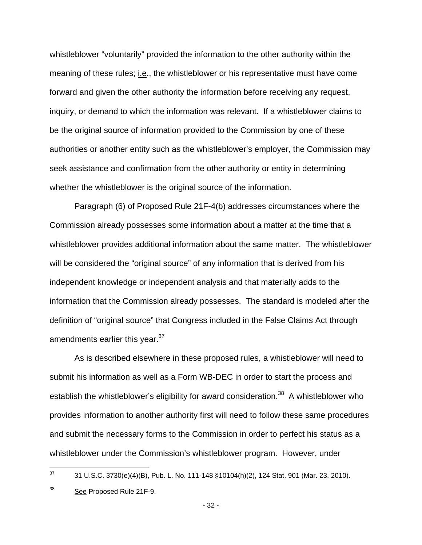whistleblower "voluntarily" provided the information to the other authority within the meaning of these rules; i.e., the whistleblower or his representative must have come forward and given the other authority the information before receiving any request, inquiry, or demand to which the information was relevant. If a whistleblower claims to be the original source of information provided to the Commission by one of these authorities or another entity such as the whistleblower's employer, the Commission may seek assistance and confirmation from the other authority or entity in determining whether the whistleblower is the original source of the information.

Paragraph (6) of Proposed Rule 21F-4(b) addresses circumstances where the Commission already possesses some information about a matter at the time that a whistleblower provides additional information about the same matter. The whistleblower will be considered the "original source" of any information that is derived from his independent knowledge or independent analysis and that materially adds to the information that the Commission already possesses. The standard is modeled after the definition of "original source" that Congress included in the False Claims Act through amendments earlier this year.<sup>37</sup>

As is described elsewhere in these proposed rules, a whistleblower will need to submit his information as well as a Form WB-DEC in order to start the process and establish the whistleblower's eligibility for award consideration.<sup>38</sup> A whistleblower who provides information to another authority first will need to follow these same procedures and submit the necessary forms to the Commission in order to perfect his status as a whistleblower under the Commission's whistleblower program. However, under

<sup>37</sup> 37 31 U.S.C. 3730(e)(4)(B), Pub. L. No. 111-148 §10104(h)(2), 124 Stat. 901 (Mar. 23. 2010).

 $38$  See Proposed Rule 21F-9.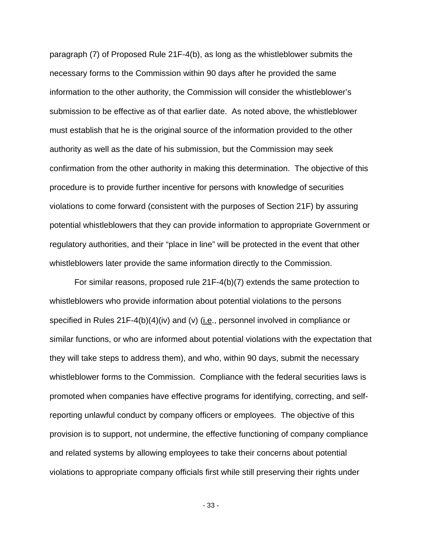paragraph (7) of Proposed Rule 21F-4(b), as long as the whistleblower submits the necessary forms to the Commission within 90 days after he provided the same information to the other authority, the Commission will consider the whistleblower's submission to be effective as of that earlier date. As noted above, the whistleblower must establish that he is the original source of the information provided to the other authority as well as the date of his submission, but the Commission may seek confirmation from the other authority in making this determination. The objective of this procedure is to provide further incentive for persons with knowledge of securities violations to come forward (consistent with the purposes of Section 21F) by assuring potential whistleblowers that they can provide information to appropriate Government or regulatory authorities, and their "place in line" will be protected in the event that other whistleblowers later provide the same information directly to the Commission.

For similar reasons, proposed rule 21F-4(b)(7) extends the same protection to whistleblowers who provide information about potential violations to the persons specified in Rules 21F-4(b)(4)(iv) and (v) (i.e., personnel involved in compliance or similar functions, or who are informed about potential violations with the expectation that they will take steps to address them), and who, within 90 days, submit the necessary whistleblower forms to the Commission. Compliance with the federal securities laws is promoted when companies have effective programs for identifying, correcting, and selfreporting unlawful conduct by company officers or employees. The objective of this provision is to support, not undermine, the effective functioning of company compliance and related systems by allowing employees to take their concerns about potential violations to appropriate company officials first while still preserving their rights under

- 33 -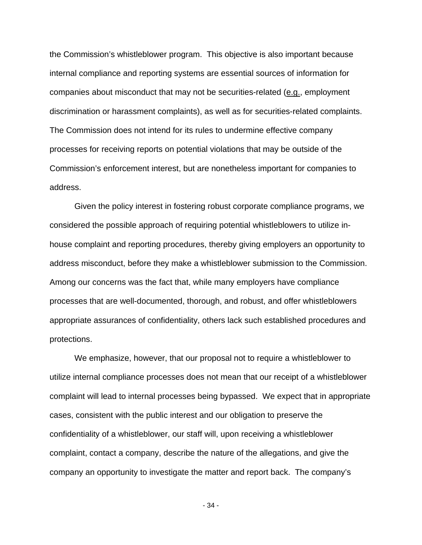the Commission's whistleblower program. This objective is also important because internal compliance and reporting systems are essential sources of information for companies about misconduct that may not be securities-related (e.g., employment discrimination or harassment complaints), as well as for securities-related complaints. The Commission does not intend for its rules to undermine effective company processes for receiving reports on potential violations that may be outside of the Commission's enforcement interest, but are nonetheless important for companies to address.

Given the policy interest in fostering robust corporate compliance programs, we considered the possible approach of requiring potential whistleblowers to utilize inhouse complaint and reporting procedures, thereby giving employers an opportunity to address misconduct, before they make a whistleblower submission to the Commission. Among our concerns was the fact that, while many employers have compliance processes that are well-documented, thorough, and robust, and offer whistleblowers appropriate assurances of confidentiality, others lack such established procedures and protections.

We emphasize, however, that our proposal not to require a whistleblower to utilize internal compliance processes does not mean that our receipt of a whistleblower complaint will lead to internal processes being bypassed. We expect that in appropriate cases, consistent with the public interest and our obligation to preserve the confidentiality of a whistleblower, our staff will, upon receiving a whistleblower complaint, contact a company, describe the nature of the allegations, and give the company an opportunity to investigate the matter and report back. The company's

- 34 -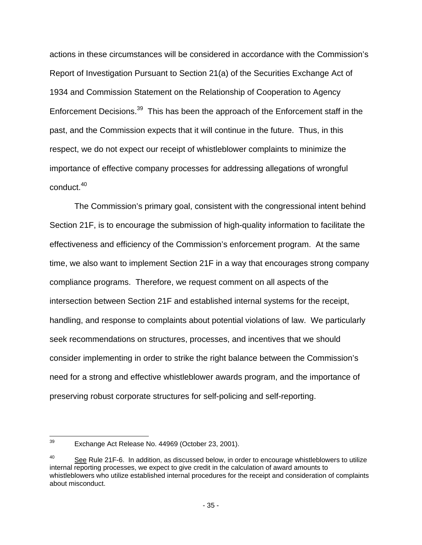actions in these circumstances will be considered in accordance with the Commission's Report of Investigation Pursuant to Section 21(a) of the Securities Exchange Act of 1934 and Commission Statement on the Relationship of Cooperation to Agency Enforcement Decisions.39 This has been the approach of the Enforcement staff in the past, and the Commission expects that it will continue in the future. Thus, in this respect, we do not expect our receipt of whistleblower complaints to minimize the importance of effective company processes for addressing allegations of wrongful conduct.<sup>40</sup>

The Commission's primary goal, consistent with the congressional intent behind Section 21F, is to encourage the submission of high-quality information to facilitate the effectiveness and efficiency of the Commission's enforcement program. At the same time, we also want to implement Section 21F in a way that encourages strong company compliance programs. Therefore, we request comment on all aspects of the intersection between Section 21F and established internal systems for the receipt, handling, and response to complaints about potential violations of law. We particularly seek recommendations on structures, processes, and incentives that we should consider implementing in order to strike the right balance between the Commission's need for a strong and effective whistleblower awards program, and the importance of preserving robust corporate structures for self-policing and self-reporting.

<sup>1</sup> Exchange Act Release No. 44969 (October 23, 2001).

<sup>40</sup> See Rule 21F-6. In addition, as discussed below, in order to encourage whistleblowers to utilize internal reporting processes, we expect to give credit in the calculation of award amounts to whistleblowers who utilize established internal procedures for the receipt and consideration of complaints about misconduct.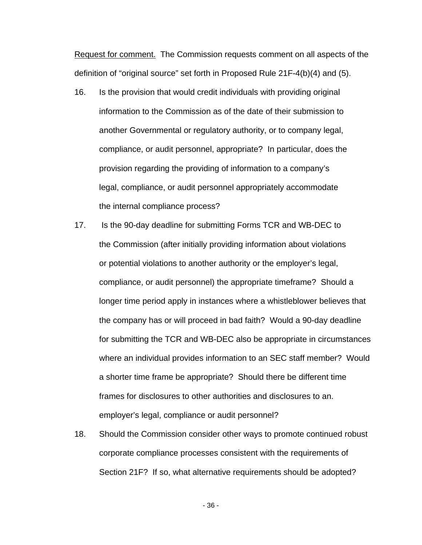Request for comment. The Commission requests comment on all aspects of the definition of "original source" set forth in Proposed Rule 21F-4(b)(4) and (5).

- 16. Is the provision that would credit individuals with providing original information to the Commission as of the date of their submission to another Governmental or regulatory authority, or to company legal, compliance, or audit personnel, appropriate? In particular, does the provision regarding the providing of information to a company's legal, compliance, or audit personnel appropriately accommodate the internal compliance process?
- 17. Is the 90-day deadline for submitting Forms TCR and WB-DEC to the Commission (after initially providing information about violations or potential violations to another authority or the employer's legal, compliance, or audit personnel) the appropriate timeframe? Should a longer time period apply in instances where a whistleblower believes that the company has or will proceed in bad faith? Would a 90-day deadline for submitting the TCR and WB-DEC also be appropriate in circumstances where an individual provides information to an SEC staff member? Would a shorter time frame be appropriate? Should there be different time frames for disclosures to other authorities and disclosures to an. employer's legal, compliance or audit personnel?
- 18. Should the Commission consider other ways to promote continued robust corporate compliance processes consistent with the requirements of Section 21F? If so, what alternative requirements should be adopted?

- 36 -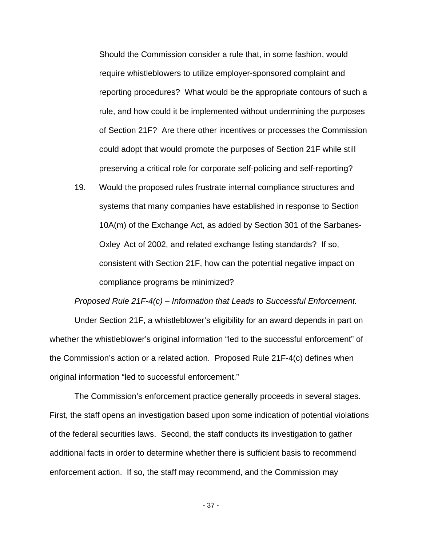Should the Commission consider a rule that, in some fashion, would require whistleblowers to utilize employer-sponsored complaint and reporting procedures? What would be the appropriate contours of such a rule, and how could it be implemented without undermining the purposes of Section 21F? Are there other incentives or processes the Commission could adopt that would promote the purposes of Section 21F while still preserving a critical role for corporate self-policing and self-reporting?

19. Would the proposed rules frustrate internal compliance structures and systems that many companies have established in response to Section 10A(m) of the Exchange Act, as added by Section 301 of the Sarbanes-Oxley Act of 2002, and related exchange listing standards? If so, consistent with Section 21F, how can the potential negative impact on compliance programs be minimized?

*Proposed Rule 21F-4(c) – Information that Leads to Successful Enforcement.* 

Under Section 21F, a whistleblower's eligibility for an award depends in part on whether the whistleblower's original information "led to the successful enforcement" of the Commission's action or a related action. Proposed Rule 21F-4(c) defines when original information "led to successful enforcement."

The Commission's enforcement practice generally proceeds in several stages. First, the staff opens an investigation based upon some indication of potential violations of the federal securities laws. Second, the staff conducts its investigation to gather additional facts in order to determine whether there is sufficient basis to recommend enforcement action. If so, the staff may recommend, and the Commission may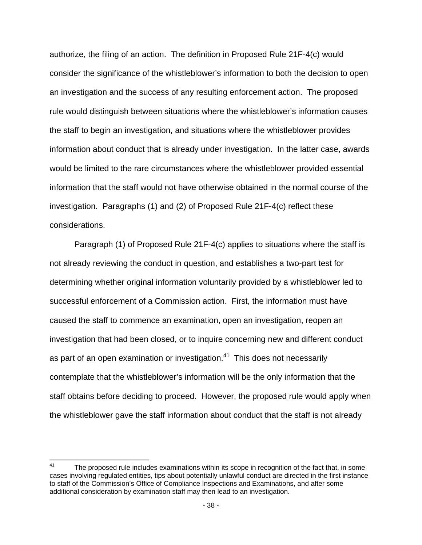authorize, the filing of an action. The definition in Proposed Rule 21F-4(c) would consider the significance of the whistleblower's information to both the decision to open an investigation and the success of any resulting enforcement action. The proposed rule would distinguish between situations where the whistleblower's information causes the staff to begin an investigation, and situations where the whistleblower provides information about conduct that is already under investigation. In the latter case, awards would be limited to the rare circumstances where the whistleblower provided essential information that the staff would not have otherwise obtained in the normal course of the investigation. Paragraphs (1) and (2) of Proposed Rule 21F-4(c) reflect these considerations.

Paragraph (1) of Proposed Rule 21F-4(c) applies to situations where the staff is not already reviewing the conduct in question, and establishes a two-part test for determining whether original information voluntarily provided by a whistleblower led to successful enforcement of a Commission action. First, the information must have caused the staff to commence an examination, open an investigation, reopen an investigation that had been closed, or to inquire concerning new and different conduct as part of an open examination or investigation.<sup>41</sup> This does not necessarily contemplate that the whistleblower's information will be the only information that the staff obtains before deciding to proceed. However, the proposed rule would apply when the whistleblower gave the staff information about conduct that the staff is not already

 $\overline{a}$ 

 41 The proposed rule includes examinations within its scope in recognition of the fact that, in some cases involving regulated entities, tips about potentially unlawful conduct are directed in the first instance to staff of the Commission's Office of Compliance Inspections and Examinations, and after some additional consideration by examination staff may then lead to an investigation.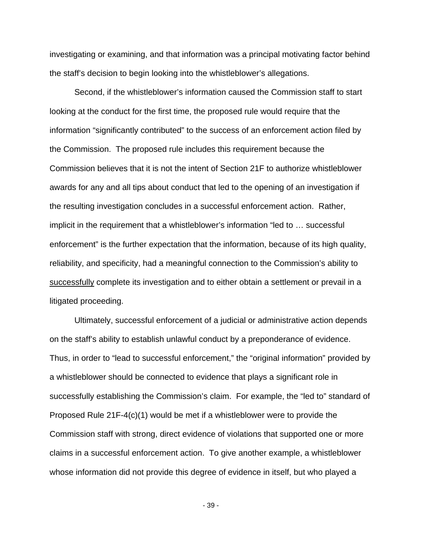investigating or examining, and that information was a principal motivating factor behind the staff's decision to begin looking into the whistleblower's allegations.

Second, if the whistleblower's information caused the Commission staff to start looking at the conduct for the first time, the proposed rule would require that the information "significantly contributed" to the success of an enforcement action filed by the Commission. The proposed rule includes this requirement because the Commission believes that it is not the intent of Section 21F to authorize whistleblower awards for any and all tips about conduct that led to the opening of an investigation if the resulting investigation concludes in a successful enforcement action. Rather, implicit in the requirement that a whistleblower's information "led to … successful enforcement" is the further expectation that the information, because of its high quality, reliability, and specificity, had a meaningful connection to the Commission's ability to successfully complete its investigation and to either obtain a settlement or prevail in a litigated proceeding.

Ultimately, successful enforcement of a judicial or administrative action depends on the staff's ability to establish unlawful conduct by a preponderance of evidence. Thus, in order to "lead to successful enforcement," the "original information" provided by a whistleblower should be connected to evidence that plays a significant role in successfully establishing the Commission's claim. For example, the "led to" standard of Proposed Rule 21F-4(c)(1) would be met if a whistleblower were to provide the Commission staff with strong, direct evidence of violations that supported one or more claims in a successful enforcement action. To give another example, a whistleblower whose information did not provide this degree of evidence in itself, but who played a

- 39 -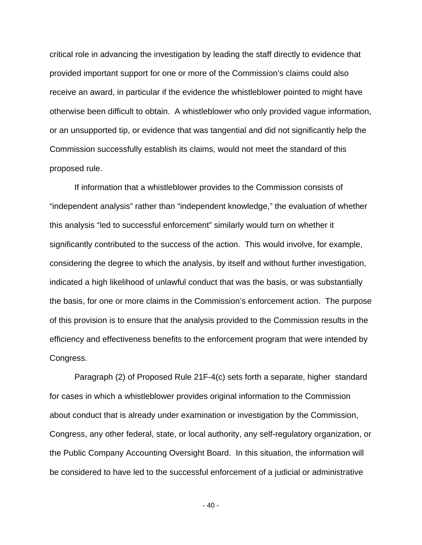critical role in advancing the investigation by leading the staff directly to evidence that provided important support for one or more of the Commission's claims could also receive an award, in particular if the evidence the whistleblower pointed to might have otherwise been difficult to obtain. A whistleblower who only provided vague information, or an unsupported tip, or evidence that was tangential and did not significantly help the Commission successfully establish its claims, would not meet the standard of this proposed rule.

If information that a whistleblower provides to the Commission consists of "independent analysis" rather than "independent knowledge," the evaluation of whether this analysis "led to successful enforcement" similarly would turn on whether it significantly contributed to the success of the action. This would involve, for example, considering the degree to which the analysis, by itself and without further investigation, indicated a high likelihood of unlawful conduct that was the basis, or was substantially the basis, for one or more claims in the Commission's enforcement action. The purpose of this provision is to ensure that the analysis provided to the Commission results in the efficiency and effectiveness benefits to the enforcement program that were intended by Congress.

Paragraph (2) of Proposed Rule 21F-4(c) sets forth a separate, higher standard for cases in which a whistleblower provides original information to the Commission about conduct that is already under examination or investigation by the Commission, Congress, any other federal, state, or local authority, any self-regulatory organization, or the Public Company Accounting Oversight Board. In this situation, the information will be considered to have led to the successful enforcement of a judicial or administrative

- 40 -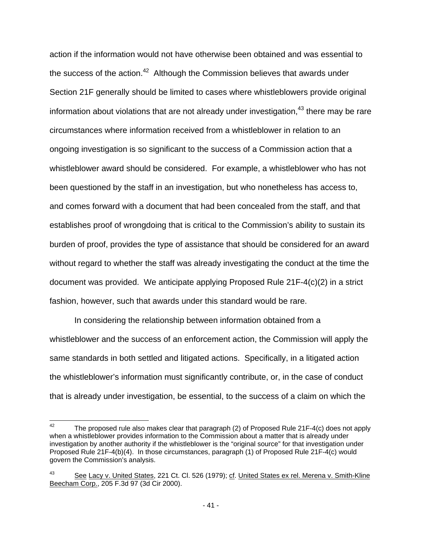action if the information would not have otherwise been obtained and was essential to the success of the action.<sup>42</sup> Although the Commission believes that awards under Section 21F generally should be limited to cases where whistleblowers provide original information about violations that are not already under investigation, $43$  there may be rare circumstances where information received from a whistleblower in relation to an ongoing investigation is so significant to the success of a Commission action that a whistleblower award should be considered. For example, a whistleblower who has not been questioned by the staff in an investigation, but who nonetheless has access to, and comes forward with a document that had been concealed from the staff, and that establishes proof of wrongdoing that is critical to the Commission's ability to sustain its burden of proof, provides the type of assistance that should be considered for an award without regard to whether the staff was already investigating the conduct at the time the document was provided. We anticipate applying Proposed Rule 21F-4(c)(2) in a strict fashion, however, such that awards under this standard would be rare.

In considering the relationship between information obtained from a whistleblower and the success of an enforcement action, the Commission will apply the same standards in both settled and litigated actions. Specifically, in a litigated action the whistleblower's information must significantly contribute, or, in the case of conduct that is already under investigation, be essential, to the success of a claim on which the

1

The proposed rule also makes clear that paragraph (2) of Proposed Rule 21F-4(c) does not apply when a whistleblower provides information to the Commission about a matter that is already under investigation by another authority if the whistleblower is the "original source" for that investigation under Proposed Rule 21F-4(b)(4). In those circumstances, paragraph (1) of Proposed Rule 21F-4(c) would govern the Commission's analysis.

<sup>43</sup> See Lacy v. United States, 221 Ct. Cl. 526 (1979); cf. United States ex rel. Merena v. Smith-Kline Beecham Corp., 205 F.3d 97 (3d Cir 2000).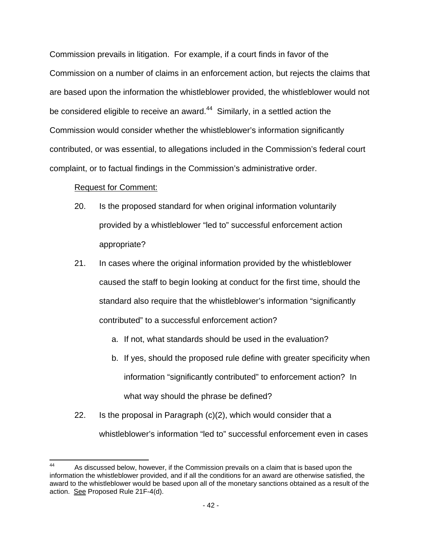Commission prevails in litigation. For example, if a court finds in favor of the Commission on a number of claims in an enforcement action, but rejects the claims that are based upon the information the whistleblower provided, the whistleblower would not be considered eligible to receive an award.<sup>44</sup> Similarly, in a settled action the Commission would consider whether the whistleblower's information significantly contributed, or was essential, to allegations included in the Commission's federal court complaint, or to factual findings in the Commission's administrative order.

# **Request for Comment:**

- 20. Is the proposed standard for when original information voluntarily provided by a whistleblower "led to" successful enforcement action appropriate?
- 21. In cases where the original information provided by the whistleblower caused the staff to begin looking at conduct for the first time, should the standard also require that the whistleblower's information "significantly contributed" to a successful enforcement action?
	- a. If not, what standards should be used in the evaluation?
	- b. If yes, should the proposed rule define with greater specificity when information "significantly contributed" to enforcement action? In what way should the phrase be defined?
- 22. Is the proposal in Paragraph (c)(2), which would consider that a whistleblower's information "led to" successful enforcement even in cases

 $\overline{a}$  44 As discussed below, however, if the Commission prevails on a claim that is based upon the information the whistleblower provided, and if all the conditions for an award are otherwise satisfied, the award to the whistleblower would be based upon all of the monetary sanctions obtained as a result of the action. See Proposed Rule 21F-4(d).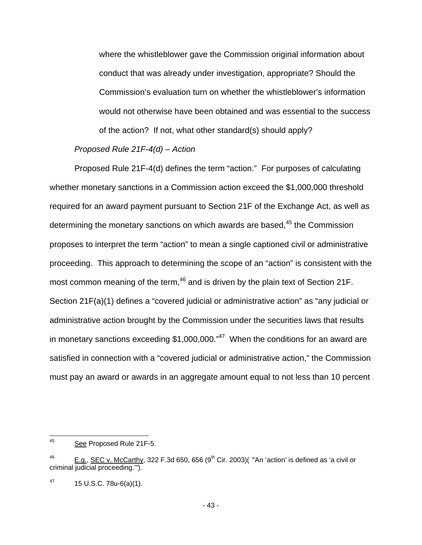where the whistleblower gave the Commission original information about conduct that was already under investigation, appropriate? Should the Commission's evaluation turn on whether the whistleblower's information would not otherwise have been obtained and was essential to the success of the action? If not, what other standard(s) should apply?

# *Proposed Rule 21F-4(d) – Action*

Proposed Rule 21F-4(d) defines the term "action." For purposes of calculating whether monetary sanctions in a Commission action exceed the \$1,000,000 threshold required for an award payment pursuant to Section 21F of the Exchange Act, as well as determining the monetary sanctions on which awards are based, $45$  the Commission proposes to interpret the term "action" to mean a single captioned civil or administrative proceeding. This approach to determining the scope of an "action" is consistent with the most common meaning of the term,<sup>46</sup> and is driven by the plain text of Section 21F. Section 21F(a)(1) defines a "covered judicial or administrative action" as "any judicial or administrative action brought by the Commission under the securities laws that results in monetary sanctions exceeding \$1,000,000."<sup>47</sup> When the conditions for an award are satisfied in connection with a "covered judicial or administrative action," the Commission must pay an award or awards in an aggregate amount equal to not less than 10 percent

1

See Proposed Rule 21F-5.

 $^{46}$  E.g., SEC v. McCarthy, 322 F.3d 650, 656 (9<sup>th</sup> Cir. 2003)( "An 'action' is defined as 'a civil or criminal judicial proceeding.'").

<sup>47</sup> 47 15 U.S.C. 78u-6(a)(1).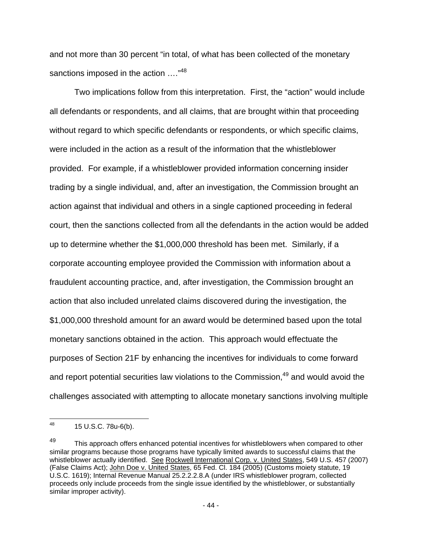and not more than 30 percent "in total, of what has been collected of the monetary sanctions imposed in the action ...."<sup>48</sup>

Two implications follow from this interpretation. First, the "action" would include all defendants or respondents, and all claims, that are brought within that proceeding without regard to which specific defendants or respondents, or which specific claims, were included in the action as a result of the information that the whistleblower provided. For example, if a whistleblower provided information concerning insider trading by a single individual, and, after an investigation, the Commission brought an action against that individual and others in a single captioned proceeding in federal court, then the sanctions collected from all the defendants in the action would be added up to determine whether the \$1,000,000 threshold has been met. Similarly, if a corporate accounting employee provided the Commission with information about a fraudulent accounting practice, and, after investigation, the Commission brought an action that also included unrelated claims discovered during the investigation, the \$1,000,000 threshold amount for an award would be determined based upon the total monetary sanctions obtained in the action. This approach would effectuate the purposes of Section 21F by enhancing the incentives for individuals to come forward and report potential securities law violations to the Commission, $49$  and would avoid the challenges associated with attempting to allocate monetary sanctions involving multiple

<sup>1</sup> 48 15 U.S.C. 78u-6(b).

<sup>49</sup> similar improper activity).<br>- 44 -This approach offers enhanced potential incentives for whistleblowers when compared to other similar programs because those programs have typically limited awards to successful claims that the whistleblower actually identified. See Rockwell International Corp. v. United States, 549 U.S. 457 (2007) (False Claims Act); John Doe v. United States, 65 Fed. Cl. 184 (2005) (Customs moiety statute, 19 U.S.C. 1619); Internal Revenue Manual 25.2.2.2.8.A (under IRS whistleblower program, collected proceeds only include proceeds from the single issue identified by the whistleblower, or substantially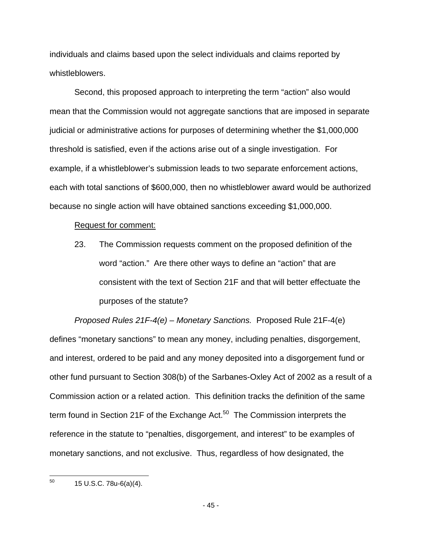individuals and claims based upon the select individuals and claims reported by whistleblowers.

Second, this proposed approach to interpreting the term "action" also would mean that the Commission would not aggregate sanctions that are imposed in separate judicial or administrative actions for purposes of determining whether the \$1,000,000 threshold is satisfied, even if the actions arise out of a single investigation. For example, if a whistleblower's submission leads to two separate enforcement actions, each with total sanctions of \$600,000, then no whistleblower award would be authorized because no single action will have obtained sanctions exceeding \$1,000,000.

# Request for comment:

23. The Commission requests comment on the proposed definition of the word "action." Are there other ways to define an "action" that are consistent with the text of Section 21F and that will better effectuate the purposes of the statute?

*Proposed Rules 21F-4(e) – Monetary Sanctions.* Proposed Rule 21F-4(e) defines "monetary sanctions" to mean any money, including penalties, disgorgement, and interest, ordered to be paid and any money deposited into a disgorgement fund or other fund pursuant to Section 308(b) of the Sarbanes-Oxley Act of 2002 as a result of a Commission action or a related action. This definition tracks the definition of the same term found in Section 21F of the Exchange Act. $50$  The Commission interprets the reference in the statute to "penalties, disgorgement, and interest" to be examples of monetary sanctions, and not exclusive. Thus, regardless of how designated, the

 50 15 U.S.C. 78u-6(a)(4).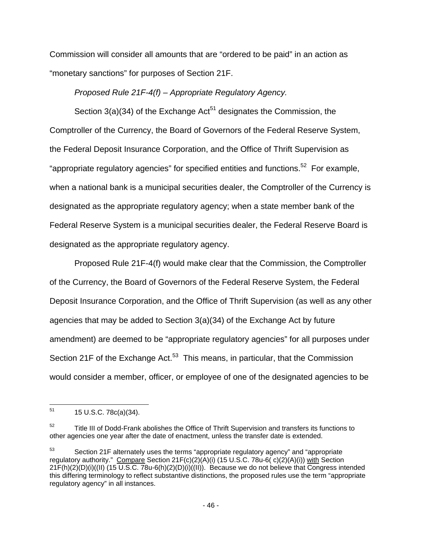Commission will consider all amounts that are "ordered to be paid" in an action as "monetary sanctions" for purposes of Section 21F.

*Proposed Rule 21F-4(f) – Appropriate Regulatory Agency.* 

Section  $3(a)(34)$  of the Exchange Act<sup>51</sup> designates the Commission, the Comptroller of the Currency, the Board of Governors of the Federal Reserve System, the Federal Deposit Insurance Corporation, and the Office of Thrift Supervision as "appropriate regulatory agencies" for specified entities and functions.<sup>52</sup> For example, when a national bank is a municipal securities dealer, the Comptroller of the Currency is designated as the appropriate regulatory agency; when a state member bank of the Federal Reserve System is a municipal securities dealer, the Federal Reserve Board is designated as the appropriate regulatory agency.

Proposed Rule 21F-4(f) would make clear that the Commission, the Comptroller of the Currency, the Board of Governors of the Federal Reserve System, the Federal Deposit Insurance Corporation, and the Office of Thrift Supervision (as well as any other agencies that may be added to Section 3(a)(34) of the Exchange Act by future amendment) are deemed to be "appropriate regulatory agencies" for all purposes under Section 21F of the Exchange Act. $53$  This means, in particular, that the Commission would consider a member, officer, or employee of one of the designated agencies to be

<sup>1</sup> 51 15 U.S.C. 78c(a)(34).

<sup>52</sup> Title III of Dodd-Frank abolishes the Office of Thrift Supervision and transfers its functions to other agencies one year after the date of enactment, unless the transfer date is extended.

<sup>53</sup> Section 21F alternately uses the terms "appropriate regulatory agency" and "appropriate regulatory authority." Compare Section 21F(c)(2)(A)(i) (15 U.S.C. 78u-6( c)(2)(A)(i)) with Section 21F(h)(2)(D)(i)((II) (15 U.S.C. 78u-6(h)(2)(D)(i)((II)). Because we do not believe that Congress intended this differing terminology to reflect substantive distinctions, the proposed rules use the term "appropriate regulatory agency" in all instances.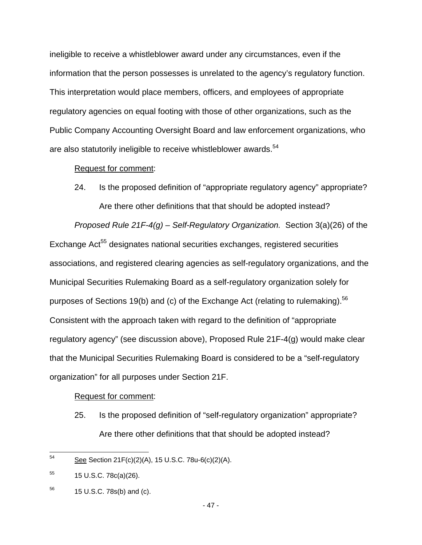ineligible to receive a whistleblower award under any circumstances, even if the information that the person possesses is unrelated to the agency's regulatory function. This interpretation would place members, officers, and employees of appropriate regulatory agencies on equal footing with those of other organizations, such as the Public Company Accounting Oversight Board and law enforcement organizations, who are also statutorily ineligible to receive whistleblower awards.<sup>54</sup>

#### Request for comment:

24. Is the proposed definition of "appropriate regulatory agency" appropriate? Are there other definitions that that should be adopted instead?

purposes of Sections 19(b) and (c) of the Exchange Act (relating to rulemaking).<sup>56</sup> *Proposed Rule 21F-4(g) – Self-Regulatory Organization.* Section 3(a)(26) of the Exchange Act<sup>55</sup> designates national securities exchanges, registered securities associations, and registered clearing agencies as self-regulatory organizations, and the Municipal Securities Rulemaking Board as a self-regulatory organization solely for Consistent with the approach taken with regard to the definition of "appropriate regulatory agency" (see discussion above), Proposed Rule 21F-4(g) would make clear that the Municipal Securities Rulemaking Board is considered to be a "self-regulatory organization" for all purposes under Section 21F.

### Request for comment:

25. Is the proposed definition of "self-regulatory organization" appropriate? Are there other definitions that that should be adopted instead?

 $\overline{a}$ 

See Section 21F(c)(2)(A), 15 U.S.C. 78u-6(c)(2)(A).

 $^{55}$  15 U.S.C. 78c(a)(26).

<sup>56</sup> 56 15 U.S.C. 78s(b) and (c).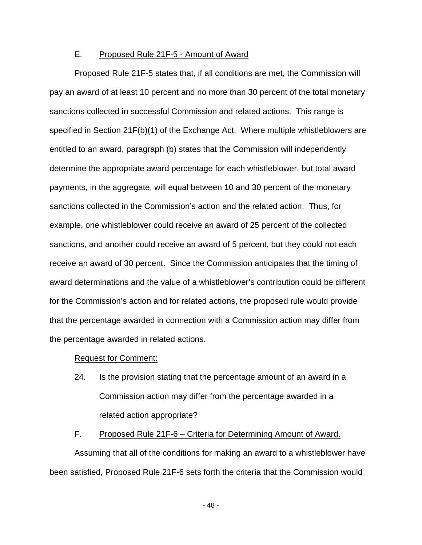### E. Proposed Rule 21F-5 - Amount of Award

Proposed Rule 21F-5 states that, if all conditions are met, the Commission will pay an award of at least 10 percent and no more than 30 percent of the total monetary sanctions collected in successful Commission and related actions. This range is specified in Section 21F(b)(1) of the Exchange Act. Where multiple whistleblowers are entitled to an award, paragraph (b) states that the Commission will independently determine the appropriate award percentage for each whistleblower, but total award payments, in the aggregate, will equal between 10 and 30 percent of the monetary sanctions collected in the Commission's action and the related action. Thus, for example, one whistleblower could receive an award of 25 percent of the collected sanctions, and another could receive an award of 5 percent, but they could not each receive an award of 30 percent. Since the Commission anticipates that the timing of award determinations and the value of a whistleblower's contribution could be different for the Commission's action and for related actions, the proposed rule would provide that the percentage awarded in connection with a Commission action may differ from the percentage awarded in related actions.

#### **Request for Comment:**

24. Is the provision stating that the percentage amount of an award in a Commission action may differ from the percentage awarded in a related action appropriate?

F. Proposed Rule 21F-6 – Criteria for Determining Amount of Award.

Assuming that all of the conditions for making an award to a whistleblower have been satisfied, Proposed Rule 21F-6 sets forth the criteria that the Commission would

- 48 -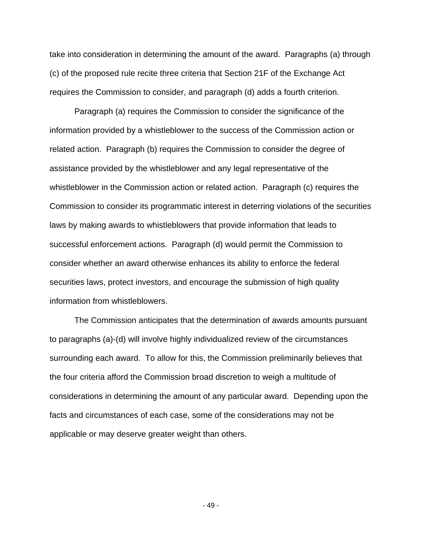take into consideration in determining the amount of the award. Paragraphs (a) through (c) of the proposed rule recite three criteria that Section 21F of the Exchange Act requires the Commission to consider, and paragraph (d) adds a fourth criterion.

Paragraph (a) requires the Commission to consider the significance of the information provided by a whistleblower to the success of the Commission action or related action. Paragraph (b) requires the Commission to consider the degree of assistance provided by the whistleblower and any legal representative of the whistleblower in the Commission action or related action. Paragraph (c) requires the Commission to consider its programmatic interest in deterring violations of the securities laws by making awards to whistleblowers that provide information that leads to successful enforcement actions. Paragraph (d) would permit the Commission to consider whether an award otherwise enhances its ability to enforce the federal securities laws, protect investors, and encourage the submission of high quality information from whistleblowers.

The Commission anticipates that the determination of awards amounts pursuant to paragraphs (a)-(d) will involve highly individualized review of the circumstances surrounding each award. To allow for this, the Commission preliminarily believes that the four criteria afford the Commission broad discretion to weigh a multitude of considerations in determining the amount of any particular award. Depending upon the facts and circumstances of each case, some of the considerations may not be applicable or may deserve greater weight than others.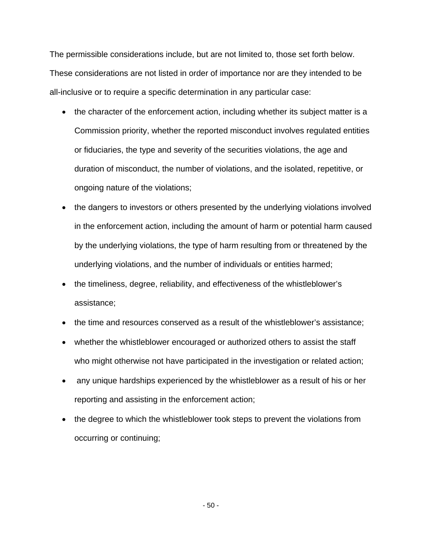The permissible considerations include, but are not limited to, those set forth below. These considerations are not listed in order of importance nor are they intended to be all-inclusive or to require a specific determination in any particular case:

- the character of the enforcement action, including whether its subject matter is a Commission priority, whether the reported misconduct involves regulated entities or fiduciaries, the type and severity of the securities violations, the age and duration of misconduct, the number of violations, and the isolated, repetitive, or ongoing nature of the violations;
- the dangers to investors or others presented by the underlying violations involved in the enforcement action, including the amount of harm or potential harm caused by the underlying violations, the type of harm resulting from or threatened by the underlying violations, and the number of individuals or entities harmed;
- the timeliness, degree, reliability, and effectiveness of the whistleblower's assistance;
- the time and resources conserved as a result of the whistleblower's assistance:
- whether the whistleblower encouraged or authorized others to assist the staff who might otherwise not have participated in the investigation or related action;
- any unique hardships experienced by the whistleblower as a result of his or her reporting and assisting in the enforcement action;
- the degree to which the whistleblower took steps to prevent the violations from occurring or continuing;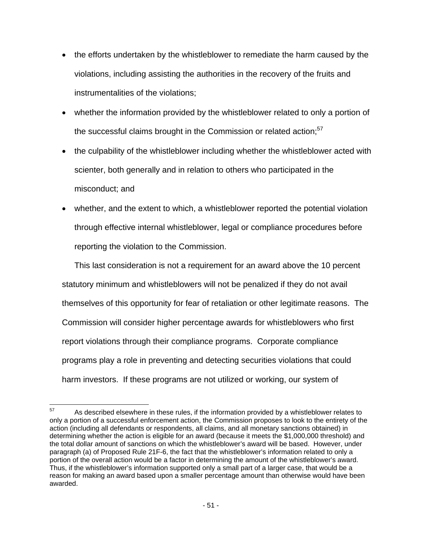- the efforts undertaken by the whistleblower to remediate the harm caused by the violations, including assisting the authorities in the recovery of the fruits and instrumentalities of the violations;
- the successful claims brought in the Commission or related action; $57$ • whether the information provided by the whistleblower related to only a portion of
- the culpability of the whistleblower including whether the whistleblower acted with scienter, both generally and in relation to others who participated in the misconduct; and
- whether, and the extent to which, a whistleblower reported the potential violation through effective internal whistleblower, legal or compliance procedures before reporting the violation to the Commission.

This last consideration is not a requirement for an award above the 10 percent statutory minimum and whistleblowers will not be penalized if they do not avail themselves of this opportunity for fear of retaliation or other legitimate reasons. The Commission will consider higher percentage awards for whistleblowers who first report violations through their compliance programs. Corporate compliance programs play a role in preventing and detecting securities violations that could harm investors. If these programs are not utilized or working, our system of

1

 57 As described elsewhere in these rules, if the information provided by a whistleblower relates to only a portion of a successful enforcement action, the Commission proposes to look to the entirety of the action (including all defendants or respondents, all claims, and all monetary sanctions obtained) in determining whether the action is eligible for an award (because it meets the \$1,000,000 threshold) and the total dollar amount of sanctions on which the whistleblower's award will be based. However, under paragraph (a) of Proposed Rule 21F-6, the fact that the whistleblower's information related to only a portion of the overall action would be a factor in determining the amount of the whistleblower's award. Thus, if the whistleblower's information supported only a small part of a larger case, that would be a reason for making an award based upon a smaller percentage amount than otherwise would have been awarded.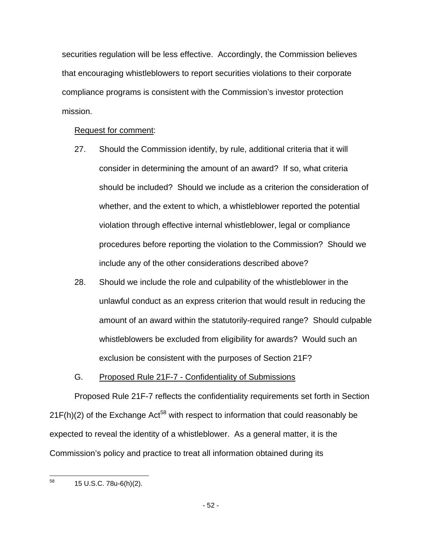securities regulation will be less effective. Accordingly, the Commission believes that encouraging whistleblowers to report securities violations to their corporate compliance programs is consistent with the Commission's investor protection mission.

# Request for comment:

- 27. Should the Commission identify, by rule, additional criteria that it will consider in determining the amount of an award? If so, what criteria should be included? Should we include as a criterion the consideration of whether, and the extent to which, a whistleblower reported the potential violation through effective internal whistleblower, legal or compliance procedures before reporting the violation to the Commission? Should we include any of the other considerations described above?
- 28. Should we include the role and culpability of the whistleblower in the unlawful conduct as an express criterion that would result in reducing the amount of an award within the statutorily-required range? Should culpable whistleblowers be excluded from eligibility for awards? Would such an exclusion be consistent with the purposes of Section 21F?
- G. Proposed Rule 21F-7 Confidentiality of Submissions

Proposed Rule 21F-7 reflects the confidentiality requirements set forth in Section  $21F(h)(2)$  of the Exchange Act<sup>58</sup> with respect to information that could reasonably be expected to reveal the identity of a whistleblower. As a general matter, it is the Commission's policy and practice to treat all information obtained during its

 58 15 U.S.C. 78u-6(h)(2).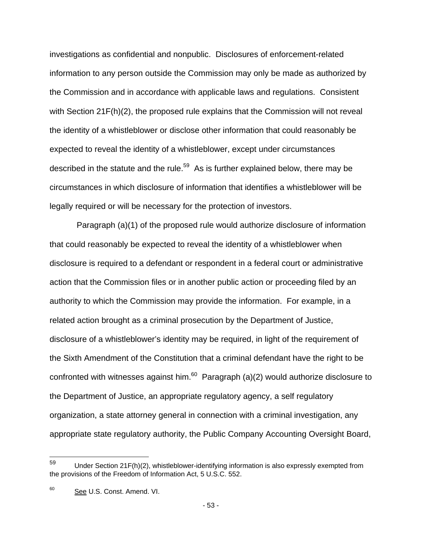investigations as confidential and nonpublic. Disclosures of enforcement-related information to any person outside the Commission may only be made as authorized by the Commission and in accordance with applicable laws and regulations. Consistent with Section 21F(h)(2), the proposed rule explains that the Commission will not reveal the identity of a whistleblower or disclose other information that could reasonably be expected to reveal the identity of a whistleblower, except under circumstances described in the statute and the rule.<sup>59</sup> As is further explained below, there may be circumstances in which disclosure of information that identifies a whistleblower will be legally required or will be necessary for the protection of investors.

 Paragraph (a)(1) of the proposed rule would authorize disclosure of information that could reasonably be expected to reveal the identity of a whistleblower when disclosure is required to a defendant or respondent in a federal court or administrative action that the Commission files or in another public action or proceeding filed by an authority to which the Commission may provide the information. For example, in a related action brought as a criminal prosecution by the Department of Justice, disclosure of a whistleblower's identity may be required, in light of the requirement of the Sixth Amendment of the Constitution that a criminal defendant have the right to be confronted with witnesses against him.<sup>60</sup> Paragraph (a)(2) would authorize disclosure to the Department of Justice, an appropriate regulatory agency, a self regulatory organization, a state attorney general in connection with a criminal investigation, any appropriate state regulatory authority, the Public Company Accounting Oversight Board,

1

<sup>59</sup> Under Section 21F(h)(2), whistleblower-identifying information is also expressly exempted from the provisions of the Freedom of Information Act, 5 U.S.C. 552.

<sup>60</sup> See U.S. Const. Amend. VI.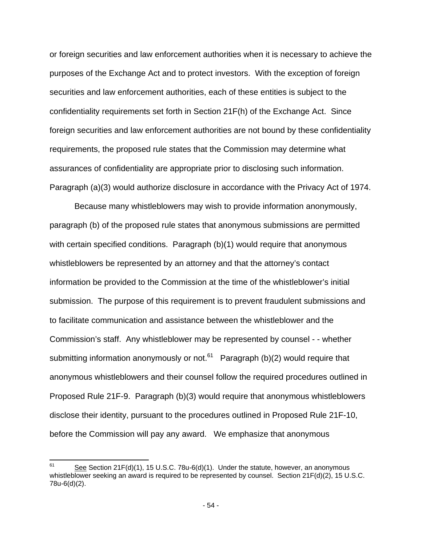or foreign securities and law enforcement authorities when it is necessary to achieve the purposes of the Exchange Act and to protect investors. With the exception of foreign securities and law enforcement authorities, each of these entities is subject to the confidentiality requirements set forth in Section 21F(h) of the Exchange Act. Since foreign securities and law enforcement authorities are not bound by these confidentiality requirements, the proposed rule states that the Commission may determine what assurances of confidentiality are appropriate prior to disclosing such information. Paragraph (a)(3) would authorize disclosure in accordance with the Privacy Act of 1974.

Because many whistleblowers may wish to provide information anonymously, paragraph (b) of the proposed rule states that anonymous submissions are permitted with certain specified conditions. Paragraph (b)(1) would require that anonymous whistleblowers be represented by an attorney and that the attorney's contact information be provided to the Commission at the time of the whistleblower's initial submission. The purpose of this requirement is to prevent fraudulent submissions and to facilitate communication and assistance between the whistleblower and the Commission's staff. Any whistleblower may be represented by counsel - - whether submitting information anonymously or not. $61$  Paragraph (b)(2) would require that anonymous whistleblowers and their counsel follow the required procedures outlined in Proposed Rule 21F-9. Paragraph (b)(3) would require that anonymous whistleblowers disclose their identity, pursuant to the procedures outlined in Proposed Rule 21F-10, before the Commission will pay any award. We emphasize that anonymous

 $\frac{1}{61}$ See Section 21F(d)(1), 15 U.S.C. 78u-6(d)(1). Under the statute, however, an anonymous whistleblower seeking an award is required to be represented by counsel. Section 21F(d)(2), 15 U.S.C. 78u-6(d)(2).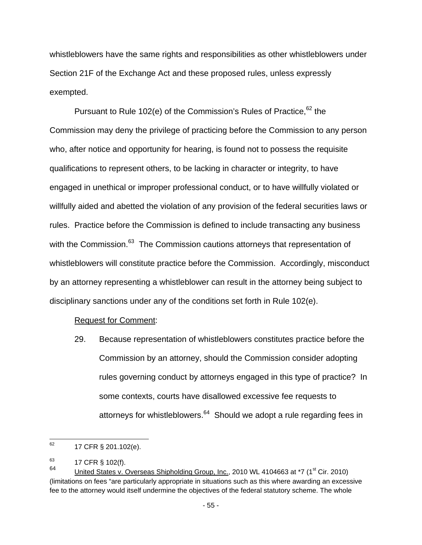whistleblowers have the same rights and responsibilities as other whistleblowers under Section 21F of the Exchange Act and these proposed rules, unless expressly exempted.

Pursuant to Rule 102(e) of the Commission's Rules of Practice,  $62$  the Commission may deny the privilege of practicing before the Commission to any person who, after notice and opportunity for hearing, is found not to possess the requisite qualifications to represent others, to be lacking in character or integrity, to have engaged in unethical or improper professional conduct, or to have willfully violated or willfully aided and abetted the violation of any provision of the federal securities laws or rules. Practice before the Commission is defined to include transacting any business with the Commission.<sup>63</sup> The Commission cautions attorneys that representation of whistleblowers will constitute practice before the Commission. Accordingly, misconduct by an attorney representing a whistleblower can result in the attorney being subject to disciplinary sanctions under any of the conditions set forth in Rule 102(e).

#### Request for Comment:

29. Because representation of whistleblowers constitutes practice before the Commission by an attorney, should the Commission consider adopting rules governing conduct by attorneys engaged in this type of practice? In some contexts, courts have disallowed excessive fee requests to attorneys for whistleblowers. $64$  Should we adopt a rule regarding fees in

 $\overline{a}$ 17 CFR § 201.102(e).

<sup>63</sup> 17 CFR § 102(f).

<sup>64</sup> United States v. Overseas Shipholding Group, Inc., 2010 WL 4104663 at \*7 (1<sup>st</sup> Cir. 2010) (limitations on fees "are particularly appropriate in situations such as this where awarding an excessive fee to the attorney would itself undermine the objectives of the federal statutory scheme. The whole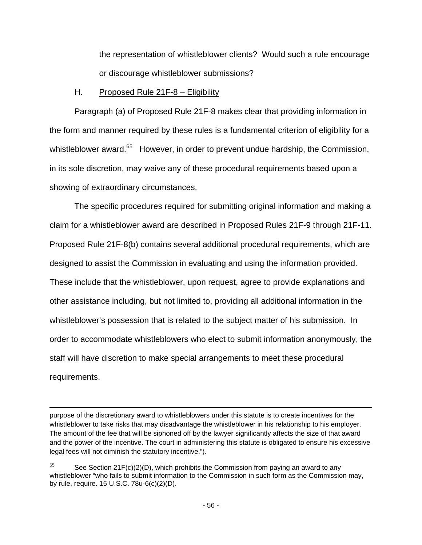the representation of whistleblower clients? Would such a rule encourage or discourage whistleblower submissions?

### H. Proposed Rule 21F-8 – Eligibility

 $\overline{a}$ 

Paragraph (a) of Proposed Rule 21F-8 makes clear that providing information in the form and manner required by these rules is a fundamental criterion of eligibility for a whistleblower award.<sup>65</sup> However, in order to prevent undue hardship, the Commission, in its sole discretion, may waive any of these procedural requirements based upon a showing of extraordinary circumstances.

The specific procedures required for submitting original information and making a claim for a whistleblower award are described in Proposed Rules 21F-9 through 21F-11. Proposed Rule 21F-8(b) contains several additional procedural requirements, which are designed to assist the Commission in evaluating and using the information provided. These include that the whistleblower, upon request, agree to provide explanations and other assistance including, but not limited to, providing all additional information in the whistleblower's possession that is related to the subject matter of his submission. In order to accommodate whistleblowers who elect to submit information anonymously, the staff will have discretion to make special arrangements to meet these procedural requirements.

purpose of the discretionary award to whistleblowers under this statute is to create incentives for the whistleblower to take risks that may disadvantage the whistleblower in his relationship to his employer. The amount of the fee that will be siphoned off by the lawyer significantly affects the size of that award and the power of the incentive. The court in administering this statute is obligated to ensure his excessive legal fees will not diminish the statutory incentive.").

See Section  $21F(c)(2)(D)$ , which prohibits the Commission from paying an award to any whistleblower "who fails to submit information to the Commission in such form as the Commission may, by rule, require. 15 U.S.C. 78u-6(c)(2)(D). 65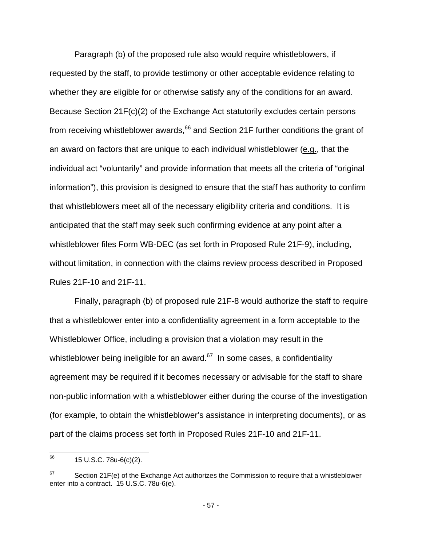Paragraph (b) of the proposed rule also would require whistleblowers, if requested by the staff, to provide testimony or other acceptable evidence relating to whether they are eligible for or otherwise satisfy any of the conditions for an award. Because Section 21F(c)(2) of the Exchange Act statutorily excludes certain persons from receiving whistleblower awards, $66$  and Section 21F further conditions the grant of an award on factors that are unique to each individual whistleblower (e.g., that the individual act "voluntarily" and provide information that meets all the criteria of "original information"), this provision is designed to ensure that the staff has authority to confirm that whistleblowers meet all of the necessary eligibility criteria and conditions. It is anticipated that the staff may seek such confirming evidence at any point after a whistleblower files Form WB-DEC (as set forth in Proposed Rule 21F-9), including, without limitation, in connection with the claims review process described in Proposed Rules 21F-10 and 21F-11.

Finally, paragraph (b) of proposed rule 21F-8 would authorize the staff to require that a whistleblower enter into a confidentiality agreement in a form acceptable to the Whistleblower Office, including a provision that a violation may result in the whistleblower being ineligible for an award. $67$  In some cases, a confidentiality agreement may be required if it becomes necessary or advisable for the staff to share non-public information with a whistleblower either during the course of the investigation (for example, to obtain the whistleblower's assistance in interpreting documents), or as part of the claims process set forth in Proposed Rules 21F-10 and 21F-11.

 $\overline{a}$ 66 15 U.S.C. 78u-6(c)(2).

<sup>67</sup> Section 21F(e) of the Exchange Act authorizes the Commission to require that a whistleblower enter into a contract. 15 U.S.C. 78u-6(e).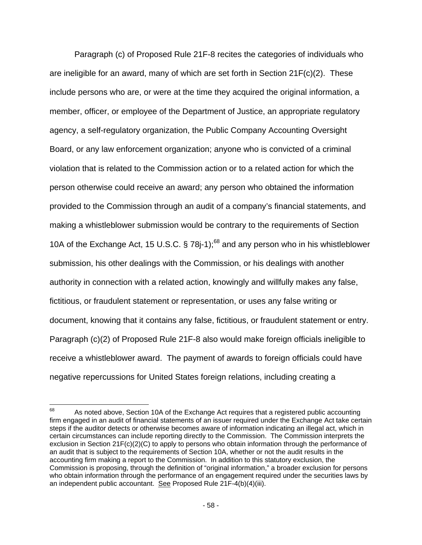Paragraph (c) of Proposed Rule 21F-8 recites the categories of individuals who are ineligible for an award, many of which are set forth in Section  $21F(c)(2)$ . These include persons who are, or were at the time they acquired the original information, a member, officer, or employee of the Department of Justice, an appropriate regulatory agency, a self-regulatory organization, the Public Company Accounting Oversight Board, or any law enforcement organization; anyone who is convicted of a criminal violation that is related to the Commission action or to a related action for which the person otherwise could receive an award; any person who obtained the information provided to the Commission through an audit of a company's financial statements, and making a whistleblower submission would be contrary to the requirements of Section 10A of the Exchange Act, 15 U.S.C. § 78 $i$ -1);<sup>68</sup> and any person who in his whistleblower submission, his other dealings with the Commission, or his dealings with another authority in connection with a related action, knowingly and willfully makes any false, fictitious, or fraudulent statement or representation, or uses any false writing or document, knowing that it contains any false, fictitious, or fraudulent statement or entry. Paragraph (c)(2) of Proposed Rule 21F-8 also would make foreign officials ineligible to receive a whistleblower award. The payment of awards to foreign officials could have negative repercussions for United States foreign relations, including creating a

1

 68 As noted above, Section 10A of the Exchange Act requires that a registered public accounting firm engaged in an audit of financial statements of an issuer required under the Exchange Act take certain steps if the auditor detects or otherwise becomes aware of information indicating an illegal act, which in certain circumstances can include reporting directly to the Commission. The Commission interprets the exclusion in Section 21F(c)(2)(C) to apply to persons who obtain information through the performance of an audit that is subject to the requirements of Section 10A, whether or not the audit results in the accounting firm making a report to the Commission. In addition to this statutory exclusion, the Commission is proposing, through the definition of "original information," a broader exclusion for persons who obtain information through the performance of an engagement required under the securities laws by an independent public accountant. See Proposed Rule 21F-4(b)(4)(iii).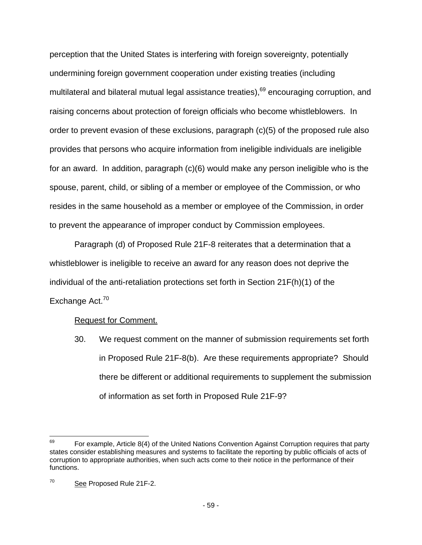perception that the United States is interfering with foreign sovereignty, potentially undermining foreign government cooperation under existing treaties (including multilateral and bilateral mutual legal assistance treaties), $69$  encouraging corruption, and raising concerns about protection of foreign officials who become whistleblowers. In order to prevent evasion of these exclusions, paragraph (c)(5) of the proposed rule also provides that persons who acquire information from ineligible individuals are ineligible for an award. In addition, paragraph (c)(6) would make any person ineligible who is the spouse, parent, child, or sibling of a member or employee of the Commission, or who resides in the same household as a member or employee of the Commission, in order to prevent the appearance of improper conduct by Commission employees.

Exchange Act.<sup>70</sup> Paragraph (d) of Proposed Rule 21F-8 reiterates that a determination that a whistleblower is ineligible to receive an award for any reason does not deprive the individual of the anti-retaliation protections set forth in Section 21F(h)(1) of the

# **Request for Comment.**

30. We request comment on the manner of submission requirements set forth in Proposed Rule 21F-8(b). Are these requirements appropriate? Should there be different or additional requirements to supplement the submission of information as set forth in Proposed Rule 21F-9?

 $\overline{a}$ For example, Article 8(4) of the United Nations Convention Against Corruption requires that party states consider establishing measures and systems to facilitate the reporting by public officials of acts of corruption to appropriate authorities, when such acts come to their notice in the performance of their functions.

<sup>&</sup>lt;sup>70</sup> See Proposed Rule 21F-2.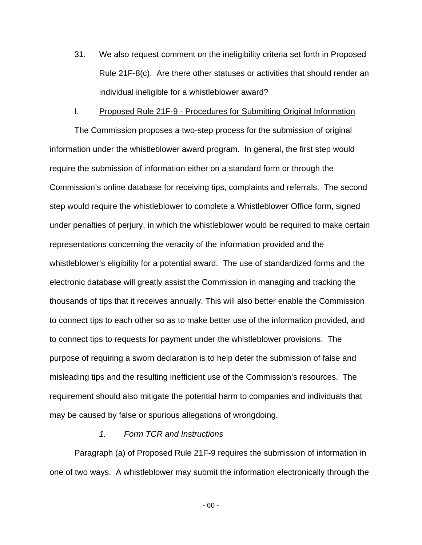31. We also request comment on the ineligibility criteria set forth in Proposed Rule 21F-8(c). Are there other statuses or activities that should render an individual ineligible for a whistleblower award?

#### I. Proposed Rule 21F-9 - Procedures for Submitting Original Information

 misleading tips and the resulting inefficient use of the Commission's resources. The The Commission proposes a two-step process for the submission of original information under the whistleblower award program. In general, the first step would require the submission of information either on a standard form or through the Commission's online database for receiving tips, complaints and referrals. The second step would require the whistleblower to complete a Whistleblower Office form, signed under penalties of perjury, in which the whistleblower would be required to make certain representations concerning the veracity of the information provided and the whistleblower's eligibility for a potential award. The use of standardized forms and the electronic database will greatly assist the Commission in managing and tracking the thousands of tips that it receives annually. This will also better enable the Commission to connect tips to each other so as to make better use of the information provided, and to connect tips to requests for payment under the whistleblower provisions. The purpose of requiring a sworn declaration is to help deter the submission of false and requirement should also mitigate the potential harm to companies and individuals that may be caused by false or spurious allegations of wrongdoing.

### *1. Form TCR and Instructions*

Paragraph (a) of Proposed Rule 21F-9 requires the submission of information in one of two ways. A whistleblower may submit the information electronically through the

- 60 -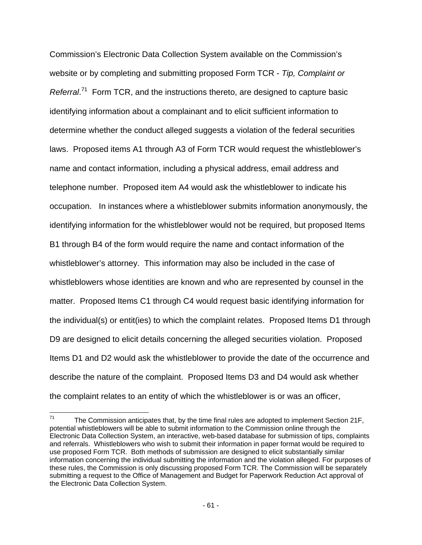Commission's Electronic Data Collection System available on the Commission's website or by completing and submitting proposed Form TCR - *Tip, Complaint or*  Referral.<sup>71</sup> Form TCR, and the instructions thereto, are designed to capture basic identifying information about a complainant and to elicit sufficient information to determine whether the conduct alleged suggests a violation of the federal securities laws. Proposed items A1 through A3 of Form TCR would request the whistleblower's name and contact information, including a physical address, email address and telephone number. Proposed item A4 would ask the whistleblower to indicate his occupation. In instances where a whistleblower submits information anonymously, the identifying information for the whistleblower would not be required, but proposed Items B1 through B4 of the form would require the name and contact information of the whistleblower's attorney. This information may also be included in the case of whistleblowers whose identities are known and who are represented by counsel in the matter. Proposed Items C1 through C4 would request basic identifying information for the individual(s) or entit(ies) to which the complaint relates. Proposed Items D1 through D9 are designed to elicit details concerning the alleged securities violation. Proposed Items D1 and D2 would ask the whistleblower to provide the date of the occurrence and describe the nature of the complaint. Proposed Items D3 and D4 would ask whether the complaint relates to an entity of which the whistleblower is or was an officer,

1

The Commission anticipates that, by the time final rules are adopted to implement Section 21F, potential whistleblowers will be able to submit information to the Commission online through the Electronic Data Collection System, an interactive, web-based database for submission of tips, complaints and referrals. Whistleblowers who wish to submit their information in paper format would be required to use proposed Form TCR. Both methods of submission are designed to elicit substantially similar information concerning the individual submitting the information and the violation alleged. For purposes of these rules, the Commission is only discussing proposed Form TCR. The Commission will be separately submitting a request to the Office of Management and Budget for Paperwork Reduction Act approval of the Electronic Data Collection System. 71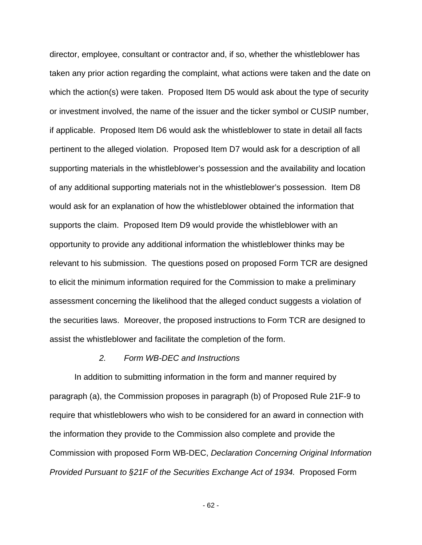director, employee, consultant or contractor and, if so, whether the whistleblower has taken any prior action regarding the complaint, what actions were taken and the date on which the action(s) were taken. Proposed Item D5 would ask about the type of security or investment involved, the name of the issuer and the ticker symbol or CUSIP number, if applicable. Proposed Item D6 would ask the whistleblower to state in detail all facts pertinent to the alleged violation. Proposed Item D7 would ask for a description of all supporting materials in the whistleblower's possession and the availability and location of any additional supporting materials not in the whistleblower's possession. Item D8 would ask for an explanation of how the whistleblower obtained the information that supports the claim. Proposed Item D9 would provide the whistleblower with an opportunity to provide any additional information the whistleblower thinks may be relevant to his submission. The questions posed on proposed Form TCR are designed to elicit the minimum information required for the Commission to make a preliminary assessment concerning the likelihood that the alleged conduct suggests a violation of the securities laws. Moreover, the proposed instructions to Form TCR are designed to assist the whistleblower and facilitate the completion of the form.

#### *2. Form WB-DEC and Instructions*

In addition to submitting information in the form and manner required by paragraph (a), the Commission proposes in paragraph (b) of Proposed Rule 21F-9 to require that whistleblowers who wish to be considered for an award in connection with the information they provide to the Commission also complete and provide the Commission with proposed Form WB-DEC, *Declaration Concerning Original Information Provided Pursuant to §21F of the Securities Exchange Act of 1934.* Proposed Form

- 62 -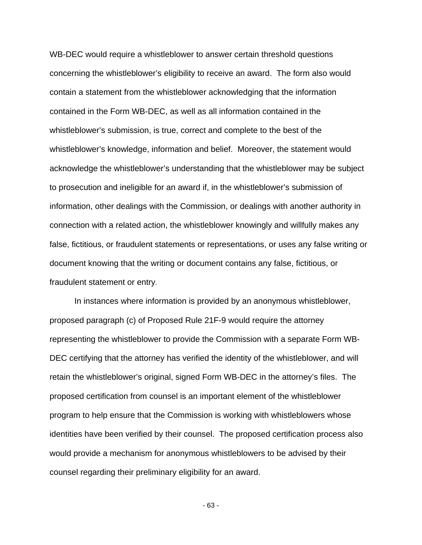WB-DEC would require a whistleblower to answer certain threshold questions concerning the whistleblower's eligibility to receive an award. The form also would contain a statement from the whistleblower acknowledging that the information contained in the Form WB-DEC, as well as all information contained in the whistleblower's submission, is true, correct and complete to the best of the whistleblower's knowledge, information and belief. Moreover, the statement would acknowledge the whistleblower's understanding that the whistleblower may be subject to prosecution and ineligible for an award if, in the whistleblower's submission of information, other dealings with the Commission, or dealings with another authority in connection with a related action, the whistleblower knowingly and willfully makes any false, fictitious, or fraudulent statements or representations, or uses any false writing or document knowing that the writing or document contains any false, fictitious, or fraudulent statement or entry.

In instances where information is provided by an anonymous whistleblower, proposed paragraph (c) of Proposed Rule 21F-9 would require the attorney representing the whistleblower to provide the Commission with a separate Form WB-DEC certifying that the attorney has verified the identity of the whistleblower, and will retain the whistleblower's original, signed Form WB-DEC in the attorney's files. The proposed certification from counsel is an important element of the whistleblower program to help ensure that the Commission is working with whistleblowers whose identities have been verified by their counsel. The proposed certification process also would provide a mechanism for anonymous whistleblowers to be advised by their counsel regarding their preliminary eligibility for an award.

- 63 -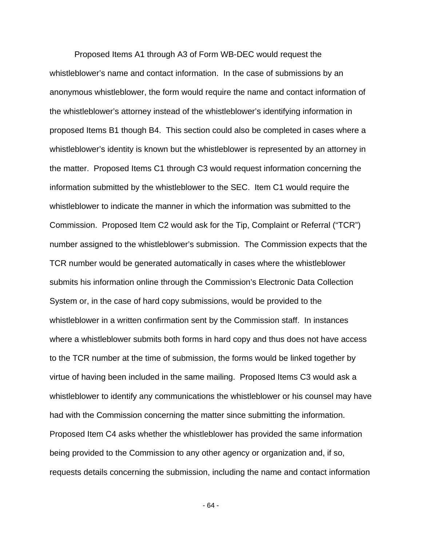Proposed Items A1 through A3 of Form WB-DEC would request the whistleblower's name and contact information. In the case of submissions by an anonymous whistleblower, the form would require the name and contact information of the whistleblower's attorney instead of the whistleblower's identifying information in proposed Items B1 though B4. This section could also be completed in cases where a whistleblower's identity is known but the whistleblower is represented by an attorney in the matter. Proposed Items C1 through C3 would request information concerning the information submitted by the whistleblower to the SEC. Item C1 would require the whistleblower to indicate the manner in which the information was submitted to the Commission. Proposed Item C2 would ask for the Tip, Complaint or Referral ("TCR") number assigned to the whistleblower's submission. The Commission expects that the TCR number would be generated automatically in cases where the whistleblower submits his information online through the Commission's Electronic Data Collection System or, in the case of hard copy submissions, would be provided to the whistleblower in a written confirmation sent by the Commission staff. In instances where a whistleblower submits both forms in hard copy and thus does not have access to the TCR number at the time of submission, the forms would be linked together by virtue of having been included in the same mailing. Proposed Items C3 would ask a whistleblower to identify any communications the whistleblower or his counsel may have had with the Commission concerning the matter since submitting the information. Proposed Item C4 asks whether the whistleblower has provided the same information being provided to the Commission to any other agency or organization and, if so, requests details concerning the submission, including the name and contact information

- 64 -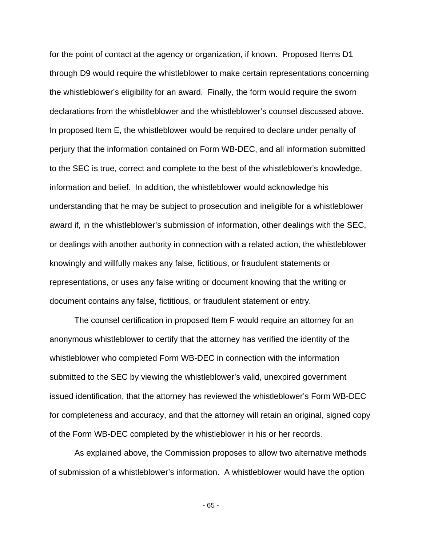for the point of contact at the agency or organization, if known. Proposed Items D1 through D9 would require the whistleblower to make certain representations concerning the whistleblower's eligibility for an award. Finally, the form would require the sworn declarations from the whistleblower and the whistleblower's counsel discussed above. In proposed Item E, the whistleblower would be required to declare under penalty of perjury that the information contained on Form WB-DEC, and all information submitted to the SEC is true, correct and complete to the best of the whistleblower's knowledge, information and belief. In addition, the whistleblower would acknowledge his understanding that he may be subject to prosecution and ineligible for a whistleblower award if, in the whistleblower's submission of information, other dealings with the SEC, or dealings with another authority in connection with a related action, the whistleblower knowingly and willfully makes any false, fictitious, or fraudulent statements or representations, or uses any false writing or document knowing that the writing or document contains any false, fictitious, or fraudulent statement or entry.

The counsel certification in proposed Item F would require an attorney for an anonymous whistleblower to certify that the attorney has verified the identity of the whistleblower who completed Form WB-DEC in connection with the information submitted to the SEC by viewing the whistleblower's valid, unexpired government issued identification, that the attorney has reviewed the whistleblower's Form WB-DEC for completeness and accuracy, and that the attorney will retain an original, signed copy of the Form WB-DEC completed by the whistleblower in his or her records.

As explained above, the Commission proposes to allow two alternative methods of submission of a whistleblower's information. A whistleblower would have the option

- 65 -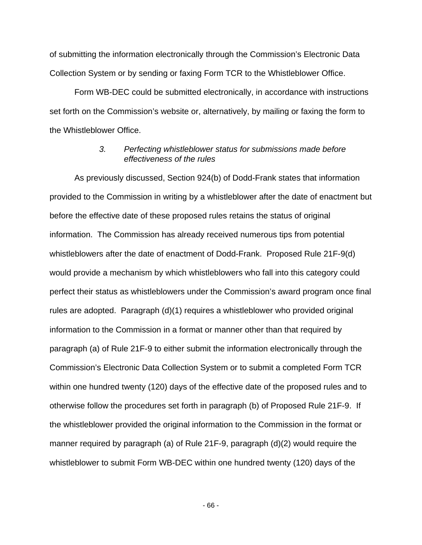of submitting the information electronically through the Commission's Electronic Data Collection System or by sending or faxing Form TCR to the Whistleblower Office.

Form WB-DEC could be submitted electronically, in accordance with instructions set forth on the Commission's website or, alternatively, by mailing or faxing the form to the Whistleblower Office.

# *3. Perfecting whistleblower status for submissions made before effectiveness of the rules*

As previously discussed, Section 924(b) of Dodd-Frank states that information provided to the Commission in writing by a whistleblower after the date of enactment but before the effective date of these proposed rules retains the status of original information. The Commission has already received numerous tips from potential whistleblowers after the date of enactment of Dodd-Frank. Proposed Rule 21F-9(d) would provide a mechanism by which whistleblowers who fall into this category could perfect their status as whistleblowers under the Commission's award program once final rules are adopted. Paragraph (d)(1) requires a whistleblower who provided original information to the Commission in a format or manner other than that required by paragraph (a) of Rule 21F-9 to either submit the information electronically through the Commission's Electronic Data Collection System or to submit a completed Form TCR within one hundred twenty (120) days of the effective date of the proposed rules and to otherwise follow the procedures set forth in paragraph (b) of Proposed Rule 21F-9. If the whistleblower provided the original information to the Commission in the format or manner required by paragraph (a) of Rule 21F-9, paragraph (d)(2) would require the whistleblower to submit Form WB-DEC within one hundred twenty (120) days of the

- 66 -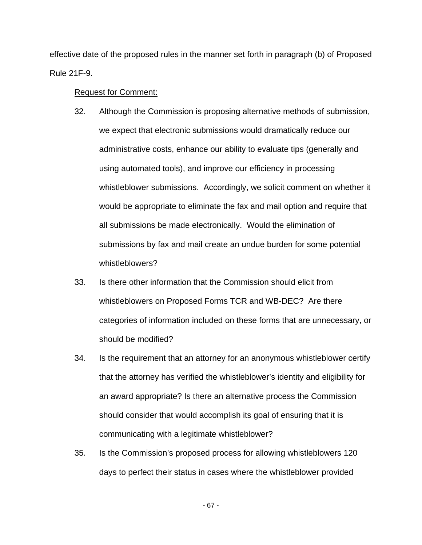effective date of the proposed rules in the manner set forth in paragraph (b) of Proposed Rule 21F-9.

### **Request for Comment:**

- 32. Although the Commission is proposing alternative methods of submission, we expect that electronic submissions would dramatically reduce our administrative costs, enhance our ability to evaluate tips (generally and using automated tools), and improve our efficiency in processing whistleblower submissions. Accordingly, we solicit comment on whether it would be appropriate to eliminate the fax and mail option and require that all submissions be made electronically. Would the elimination of submissions by fax and mail create an undue burden for some potential whistleblowers?
- 33. Is there other information that the Commission should elicit from whistleblowers on Proposed Forms TCR and WB-DEC? Are there categories of information included on these forms that are unnecessary, or should be modified?
- 34. Is the requirement that an attorney for an anonymous whistleblower certify that the attorney has verified the whistleblower's identity and eligibility for an award appropriate? Is there an alternative process the Commission should consider that would accomplish its goal of ensuring that it is communicating with a legitimate whistleblower?
- 35. Is the Commission's proposed process for allowing whistleblowers 120 days to perfect their status in cases where the whistleblower provided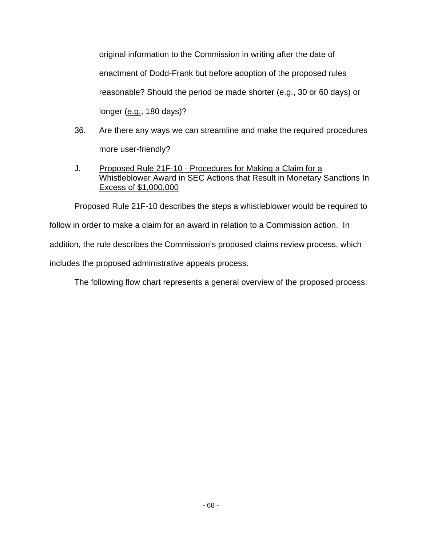original information to the Commission in writing after the date of enactment of Dodd-Frank but before adoption of the proposed rules reasonable? Should the period be made shorter (e.g., 30 or 60 days) or longer  $(e.g., 180 \text{ days})$ ?

- 36. Are there any ways we can streamline and make the required procedures more user-friendly?
- Proposed Rule 21F-10 Procedures for Making a Claim for a J. Proposed Rule 21F-10 - Procedures for Making a Claim for a Whistleblower Award in SEC Actions that Result in Monetary Sanctions In Excess of \$1,000,000

Proposed Rule 21F-10 describes the steps a whistleblower would be required to follow in order to make a claim for an award in relation to a Commission action. In addition, the rule describes the Commission's proposed claims review process, which includes the proposed administrative appeals process.

The following flow chart represents a general overview of the proposed process: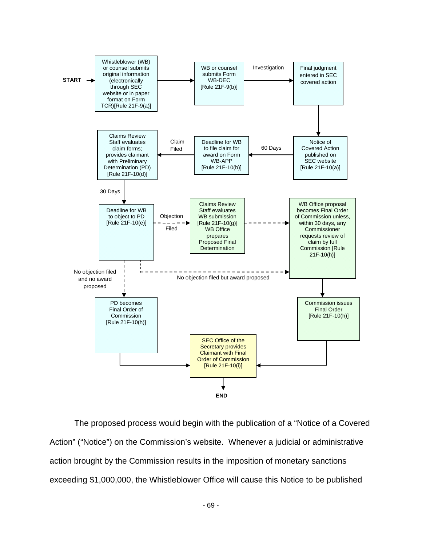

The proposed process would begin with the publication of a "Notice of a Covered Action" ("Notice") on the Commission's website. Whenever a judicial or administrative action brought by the Commission results in the imposition of monetary sanctions exceeding \$1,000,000, the Whistleblower Office will cause this Notice to be published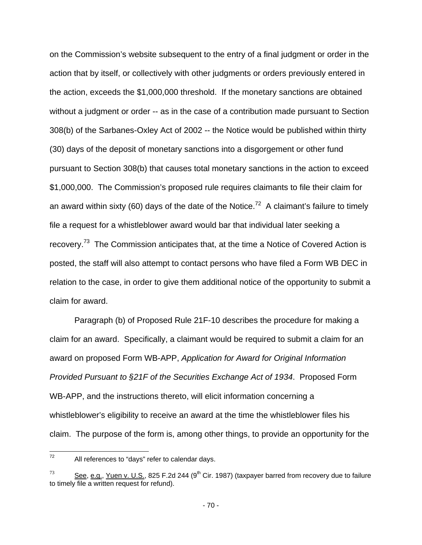on the Commission's website subsequent to the entry of a final judgment or order in the action that by itself, or collectively with other judgments or orders previously entered in the action, exceeds the \$1,000,000 threshold. If the monetary sanctions are obtained without a judgment or order -- as in the case of a contribution made pursuant to Section 308(b) of the Sarbanes-Oxley Act of 2002 -- the Notice would be published within thirty (30) days of the deposit of monetary sanctions into a disgorgement or other fund pursuant to Section 308(b) that causes total monetary sanctions in the action to exceed \$1,000,000. The Commission's proposed rule requires claimants to file their claim for an award within sixty (60) days of the date of the Notice.<sup>72</sup> A claimant's failure to timely file a request for a whistleblower award would bar that individual later seeking a recovery.<sup>73</sup> The Commission anticipates that, at the time a Notice of Covered Action is posted, the staff will also attempt to contact persons who have filed a Form WB DEC in relation to the case, in order to give them additional notice of the opportunity to submit a claim for award.

Paragraph (b) of Proposed Rule 21F-10 describes the procedure for making a claim for an award. Specifically, a claimant would be required to submit a claim for an award on proposed Form WB-APP, *Application for Award for Original Information Provided Pursuant to §21F of the Securities Exchange Act of 1934*. Proposed Form WB-APP, and the instructions thereto, will elicit information concerning a whistleblower's eligibility to receive an award at the time the whistleblower files his claim. The purpose of the form is, among other things, to provide an opportunity for the

1

All references to "days" refer to calendar days.

<sup>73</sup>  to timely file a written request for refund). See, e.g., Yuen v. U.S., 825 F.2d 244 (9<sup>th</sup> Cir. 1987) (taxpayer barred from recovery due to failure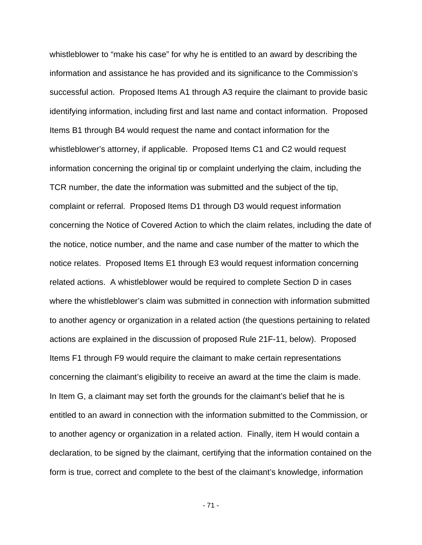whistleblower to "make his case" for why he is entitled to an award by describing the information and assistance he has provided and its significance to the Commission's successful action. Proposed Items A1 through A3 require the claimant to provide basic identifying information, including first and last name and contact information. Proposed Items B1 through B4 would request the name and contact information for the whistleblower's attorney, if applicable. Proposed Items C1 and C2 would request information concerning the original tip or complaint underlying the claim, including the TCR number, the date the information was submitted and the subject of the tip, complaint or referral. Proposed Items D1 through D3 would request information concerning the Notice of Covered Action to which the claim relates, including the date of the notice, notice number, and the name and case number of the matter to which the notice relates. Proposed Items E1 through E3 would request information concerning related actions. A whistleblower would be required to complete Section D in cases where the whistleblower's claim was submitted in connection with information submitted to another agency or organization in a related action (the questions pertaining to related actions are explained in the discussion of proposed Rule 21F-11, below). Proposed Items F1 through F9 would require the claimant to make certain representations concerning the claimant's eligibility to receive an award at the time the claim is made. In Item G, a claimant may set forth the grounds for the claimant's belief that he is entitled to an award in connection with the information submitted to the Commission, or to another agency or organization in a related action. Finally, item H would contain a declaration, to be signed by the claimant, certifying that the information contained on the form is true, correct and complete to the best of the claimant's knowledge, information

- 71 -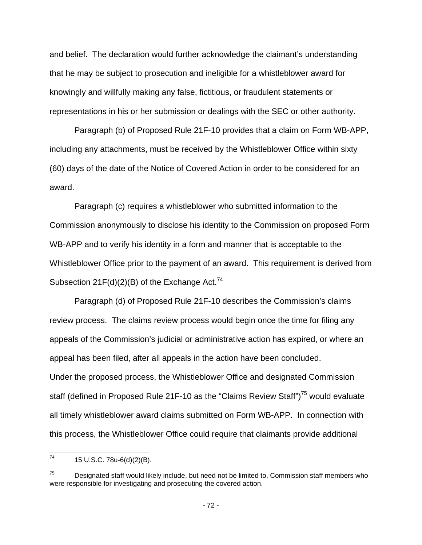and belief. The declaration would further acknowledge the claimant's understanding that he may be subject to prosecution and ineligible for a whistleblower award for knowingly and willfully making any false, fictitious, or fraudulent statements or representations in his or her submission or dealings with the SEC or other authority.

Paragraph (b) of Proposed Rule 21F-10 provides that a claim on Form WB-APP, including any attachments, must be received by the Whistleblower Office within sixty (60) days of the date of the Notice of Covered Action in order to be considered for an award.

Subsection 21F(d)(2)(B) of the Exchange Act.<sup>74</sup> Paragraph (c) requires a whistleblower who submitted information to the Commission anonymously to disclose his identity to the Commission on proposed Form WB-APP and to verify his identity in a form and manner that is acceptable to the Whistleblower Office prior to the payment of an award. This requirement is derived from

Paragraph (d) of Proposed Rule 21F-10 describes the Commission's claims review process. The claims review process would begin once the time for filing any appeals of the Commission's judicial or administrative action has expired, or where an appeal has been filed, after all appeals in the action have been concluded. Under the proposed process, the Whistleblower Office and designated Commission staff (defined in Proposed Rule 21F-10 as the "Claims Review Staff")<sup>75</sup> would evaluate all timely whistleblower award claims submitted on Form WB-APP. In connection with this process, the Whistleblower Office could require that claimants provide additional

<sup>1</sup> 74 15 U.S.C. 78u-6(d)(2)(B).

 ${\bf 75}$ Designated staff would likely include, but need not be limited to, Commission staff members who were responsible for investigating and prosecuting the covered action.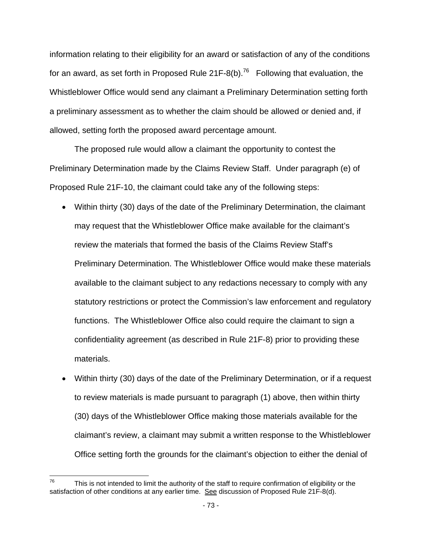information relating to their eligibility for an award or satisfaction of any of the conditions for an award, as set forth in Proposed Rule 21F-8(b).<sup>76</sup> Following that evaluation, the Whistleblower Office would send any claimant a Preliminary Determination setting forth a preliminary assessment as to whether the claim should be allowed or denied and, if allowed, setting forth the proposed award percentage amount.

The proposed rule would allow a claimant the opportunity to contest the Preliminary Determination made by the Claims Review Staff. Under paragraph (e) of Proposed Rule 21F-10, the claimant could take any of the following steps:

- Within thirty (30) days of the date of the Preliminary Determination, the claimant may request that the Whistleblower Office make available for the claimant's review the materials that formed the basis of the Claims Review Staff's Preliminary Determination. The Whistleblower Office would make these materials available to the claimant subject to any redactions necessary to comply with any statutory restrictions or protect the Commission's law enforcement and regulatory functions. The Whistleblower Office also could require the claimant to sign a confidentiality agreement (as described in Rule 21F-8) prior to providing these materials.
- Within thirty (30) days of the date of the Preliminary Determination, or if a request to review materials is made pursuant to paragraph (1) above, then within thirty (30) days of the Whistleblower Office making those materials available for the claimant's review, a claimant may submit a written response to the Whistleblower Office setting forth the grounds for the claimant's objection to either the denial of

 76 This is not intended to limit the authority of the staff to require confirmation of eligibility or the satisfaction of other conditions at any earlier time. See discussion of Proposed Rule 21F-8(d).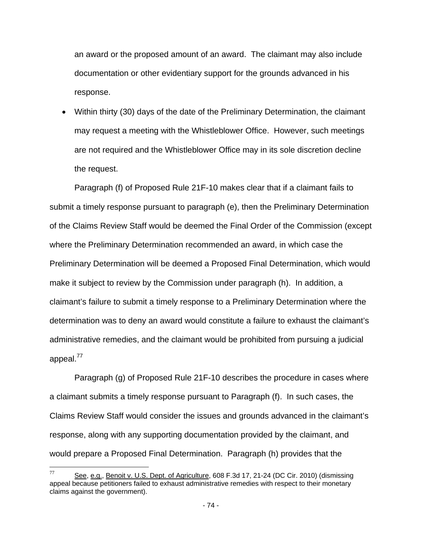an award or the proposed amount of an award. The claimant may also include documentation or other evidentiary support for the grounds advanced in his response.

• Within thirty (30) days of the date of the Preliminary Determination, the claimant may request a meeting with the Whistleblower Office. However, such meetings are not required and the Whistleblower Office may in its sole discretion decline the request.

appeal.<sup>77</sup> Paragraph (f) of Proposed Rule 21F-10 makes clear that if a claimant fails to submit a timely response pursuant to paragraph (e), then the Preliminary Determination of the Claims Review Staff would be deemed the Final Order of the Commission (except where the Preliminary Determination recommended an award, in which case the Preliminary Determination will be deemed a Proposed Final Determination, which would make it subject to review by the Commission under paragraph (h). In addition, a claimant's failure to submit a timely response to a Preliminary Determination where the determination was to deny an award would constitute a failure to exhaust the claimant's administrative remedies, and the claimant would be prohibited from pursuing a judicial

Paragraph (g) of Proposed Rule 21F-10 describes the procedure in cases where a claimant submits a timely response pursuant to Paragraph (f). In such cases, the Claims Review Staff would consider the issues and grounds advanced in the claimant's response, along with any supporting documentation provided by the claimant, and would prepare a Proposed Final Determination. Paragraph (h) provides that the

See, e.g., Benoit v. U.S. Dept. of Agriculture, 608 F.3d 17, 21-24 (DC Cir. 2010) (dismissing appeal because petitioners failed to exhaust administrative remedies with respect to their monetary claims against the government). 77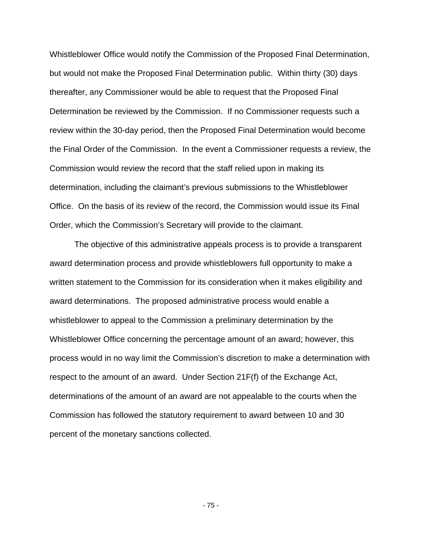Whistleblower Office would notify the Commission of the Proposed Final Determination, but would not make the Proposed Final Determination public. Within thirty (30) days thereafter, any Commissioner would be able to request that the Proposed Final Determination be reviewed by the Commission. If no Commissioner requests such a review within the 30-day period, then the Proposed Final Determination would become the Final Order of the Commission. In the event a Commissioner requests a review, the Commission would review the record that the staff relied upon in making its determination, including the claimant's previous submissions to the Whistleblower Office. On the basis of its review of the record, the Commission would issue its Final Order, which the Commission's Secretary will provide to the claimant.

The objective of this administrative appeals process is to provide a transparent award determination process and provide whistleblowers full opportunity to make a written statement to the Commission for its consideration when it makes eligibility and award determinations. The proposed administrative process would enable a whistleblower to appeal to the Commission a preliminary determination by the Whistleblower Office concerning the percentage amount of an award; however, this process would in no way limit the Commission's discretion to make a determination with respect to the amount of an award. Under Section 21F(f) of the Exchange Act, determinations of the amount of an award are not appealable to the courts when the Commission has followed the statutory requirement to award between 10 and 30 percent of the monetary sanctions collected.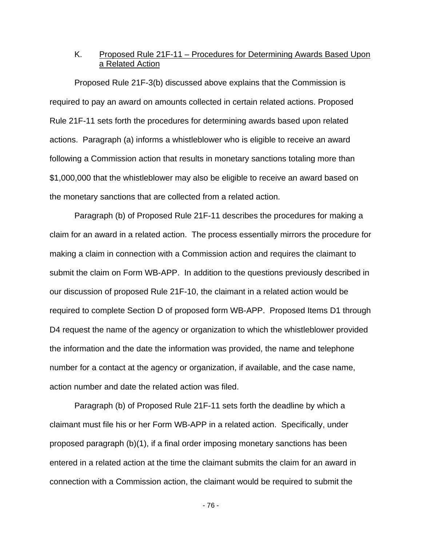## K. Proposed Rule 21F-11 – Procedures for Determining Awards Based Upon a Related Action

Proposed Rule 21F-3(b) discussed above explains that the Commission is required to pay an award on amounts collected in certain related actions. Proposed Rule 21F-11 sets forth the procedures for determining awards based upon related actions. Paragraph (a) informs a whistleblower who is eligible to receive an award following a Commission action that results in monetary sanctions totaling more than \$1,000,000 that the whistleblower may also be eligible to receive an award based on the monetary sanctions that are collected from a related action.

Paragraph (b) of Proposed Rule 21F-11 describes the procedures for making a claim for an award in a related action. The process essentially mirrors the procedure for making a claim in connection with a Commission action and requires the claimant to submit the claim on Form WB-APP. In addition to the questions previously described in our discussion of proposed Rule 21F-10, the claimant in a related action would be required to complete Section D of proposed form WB-APP. Proposed Items D1 through D4 request the name of the agency or organization to which the whistleblower provided the information and the date the information was provided, the name and telephone number for a contact at the agency or organization, if available, and the case name, action number and date the related action was filed.

Paragraph (b) of Proposed Rule 21F-11 sets forth the deadline by which a claimant must file his or her Form WB-APP in a related action. Specifically, under proposed paragraph (b)(1), if a final order imposing monetary sanctions has been entered in a related action at the time the claimant submits the claim for an award in connection with a Commission action, the claimant would be required to submit the

- 76 -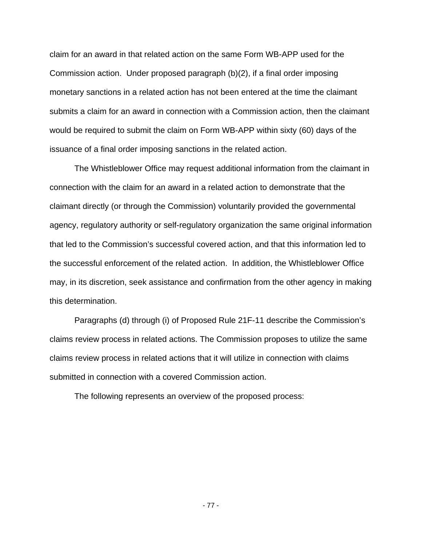claim for an award in that related action on the same Form WB-APP used for the Commission action. Under proposed paragraph (b)(2), if a final order imposing monetary sanctions in a related action has not been entered at the time the claimant submits a claim for an award in connection with a Commission action, then the claimant would be required to submit the claim on Form WB-APP within sixty (60) days of the issuance of a final order imposing sanctions in the related action.

The Whistleblower Office may request additional information from the claimant in connection with the claim for an award in a related action to demonstrate that the claimant directly (or through the Commission) voluntarily provided the governmental agency, regulatory authority or self-regulatory organization the same original information that led to the Commission's successful covered action, and that this information led to the successful enforcement of the related action. In addition, the Whistleblower Office may, in its discretion, seek assistance and confirmation from the other agency in making this determination.

Paragraphs (d) through (i) of Proposed Rule 21F-11 describe the Commission's claims review process in related actions. The Commission proposes to utilize the same claims review process in related actions that it will utilize in connection with claims submitted in connection with a covered Commission action.

The following represents an overview of the proposed process:

- 77 -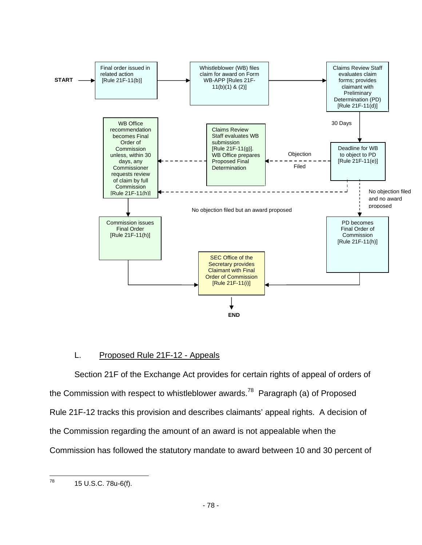

# L. Proposed Rule 21F-12 - Appeals

Section 21F of the Exchange Act provides for certain rights of appeal of orders of the Commission with respect to whistleblower awards.<sup>78</sup> Paragraph (a) of Proposed Rule 21F-12 tracks this provision and describes claimants' appeal rights. A decision of the Commission regarding the amount of an award is not appealable when the Commission has followed the statutory mandate to award between 10 and 30 percent of

 $\overline{a}$  78 15 U.S.C. 78u-6(f).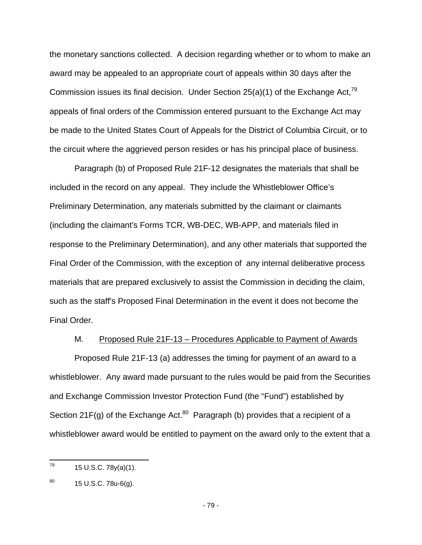the monetary sanctions collected. A decision regarding whether or to whom to make an award may be appealed to an appropriate court of appeals within 30 days after the Commission issues its final decision. Under Section 25(a)(1) of the Exchange Act,  $79$ appeals of final orders of the Commission entered pursuant to the Exchange Act may be made to the United States Court of Appeals for the District of Columbia Circuit, or to the circuit where the aggrieved person resides or has his principal place of business.

Paragraph (b) of Proposed Rule 21F-12 designates the materials that shall be included in the record on any appeal. They include the Whistleblower Office's Preliminary Determination, any materials submitted by the claimant or claimants (including the claimant's Forms TCR, WB-DEC, WB-APP, and materials filed in response to the Preliminary Determination), and any other materials that supported the Final Order of the Commission, with the exception of any internal deliberative process materials that are prepared exclusively to assist the Commission in deciding the claim, such as the staff's Proposed Final Determination in the event it does not become the Final Order.

#### M. Proposed Rule 21F-13 – Procedures Applicable to Payment of Awards

Proposed Rule 21F-13 (a) addresses the timing for payment of an award to a whistleblower. Any award made pursuant to the rules would be paid from the Securities and Exchange Commission Investor Protection Fund (the "Fund") established by Section 21F(g) of the Exchange Act.<sup>80</sup> Paragraph (b) provides that a recipient of a whistleblower award would be entitled to payment on the award only to the extent that a

<sup>79 15</sup> U.S.C. 78y(a)(1).

<sup>80</sup> 80 15 U.S.C. 78u-6(g).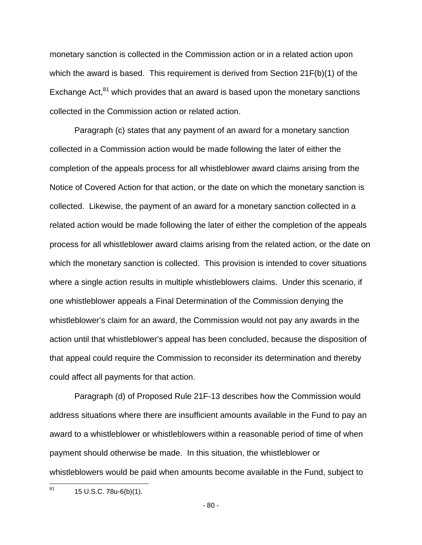monetary sanction is collected in the Commission action or in a related action upon which the award is based. This requirement is derived from Section 21F(b)(1) of the Exchange Act, $81$  which provides that an award is based upon the monetary sanctions collected in the Commission action or related action.

 Paragraph (c) states that any payment of an award for a monetary sanction collected in a Commission action would be made following the later of either the completion of the appeals process for all whistleblower award claims arising from the Notice of Covered Action for that action, or the date on which the monetary sanction is collected. Likewise, the payment of an award for a monetary sanction collected in a related action would be made following the later of either the completion of the appeals process for all whistleblower award claims arising from the related action, or the date on which the monetary sanction is collected. This provision is intended to cover situations where a single action results in multiple whistleblowers claims. Under this scenario, if one whistleblower appeals a Final Determination of the Commission denying the whistleblower's claim for an award, the Commission would not pay any awards in the action until that whistleblower's appeal has been concluded, because the disposition of that appeal could require the Commission to reconsider its determination and thereby could affect all payments for that action.

Paragraph (d) of Proposed Rule 21F-13 describes how the Commission would address situations where there are insufficient amounts available in the Fund to pay an award to a whistleblower or whistleblowers within a reasonable period of time of when payment should otherwise be made. In this situation, the whistleblower or whistleblowers would be paid when amounts become available in the Fund, subject to

 81 15 U.S.C. 78u-6(b)(1).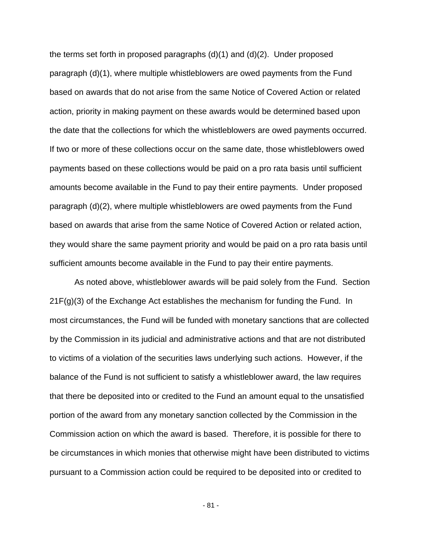the terms set forth in proposed paragraphs  $(d)(1)$  and  $(d)(2)$ . Under proposed paragraph (d)(1), where multiple whistleblowers are owed payments from the Fund based on awards that do not arise from the same Notice of Covered Action or related action, priority in making payment on these awards would be determined based upon the date that the collections for which the whistleblowers are owed payments occurred. If two or more of these collections occur on the same date, those whistleblowers owed payments based on these collections would be paid on a pro rata basis until sufficient amounts become available in the Fund to pay their entire payments. Under proposed paragraph (d)(2), where multiple whistleblowers are owed payments from the Fund based on awards that arise from the same Notice of Covered Action or related action, they would share the same payment priority and would be paid on a pro rata basis until sufficient amounts become available in the Fund to pay their entire payments.

As noted above, whistleblower awards will be paid solely from the Fund. Section 21F(g)(3) of the Exchange Act establishes the mechanism for funding the Fund. In most circumstances, the Fund will be funded with monetary sanctions that are collected by the Commission in its judicial and administrative actions and that are not distributed to victims of a violation of the securities laws underlying such actions. However, if the balance of the Fund is not sufficient to satisfy a whistleblower award, the law requires that there be deposited into or credited to the Fund an amount equal to the unsatisfied portion of the award from any monetary sanction collected by the Commission in the Commission action on which the award is based. Therefore, it is possible for there to be circumstances in which monies that otherwise might have been distributed to victims pursuant to a Commission action could be required to be deposited into or credited to

- 81 -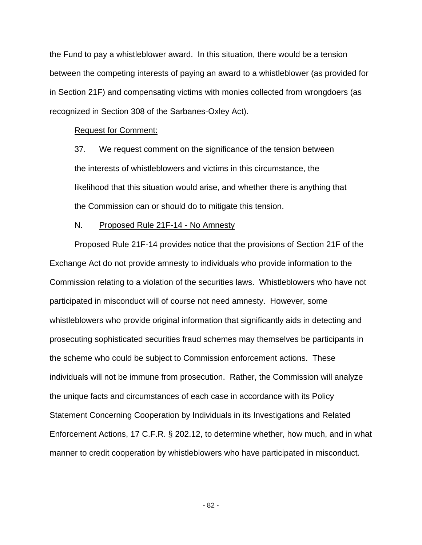the Fund to pay a whistleblower award. In this situation, there would be a tension between the competing interests of paying an award to a whistleblower (as provided for in Section 21F) and compensating victims with monies collected from wrongdoers (as recognized in Section 308 of the Sarbanes-Oxley Act).

#### Request for Comment:

37. We request comment on the significance of the tension between the interests of whistleblowers and victims in this circumstance, the likelihood that this situation would arise, and whether there is anything that the Commission can or should do to mitigate this tension.

#### N. Proposed Rule 21F-14 - No Amnesty

Proposed Rule 21F-14 provides notice that the provisions of Section 21F of the Exchange Act do not provide amnesty to individuals who provide information to the Commission relating to a violation of the securities laws. Whistleblowers who have not participated in misconduct will of course not need amnesty. However, some whistleblowers who provide original information that significantly aids in detecting and prosecuting sophisticated securities fraud schemes may themselves be participants in the scheme who could be subject to Commission enforcement actions. These individuals will not be immune from prosecution. Rather, the Commission will analyze the unique facts and circumstances of each case in accordance with its Policy Statement Concerning Cooperation by Individuals in its Investigations and Related Enforcement Actions, 17 C.F.R. § 202.12, to determine whether, how much, and in what manner to credit cooperation by whistleblowers who have participated in misconduct.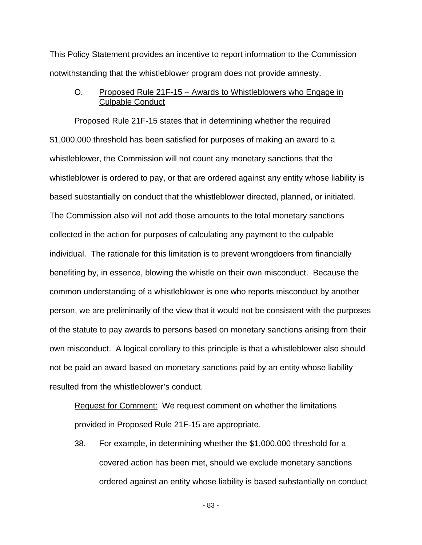This Policy Statement provides an incentive to report information to the Commission notwithstanding that the whistleblower program does not provide amnesty.

### O. Proposed Rule 21F-15 – Awards to Whistleblowers who Engage in Culpable Conduct

Proposed Rule 21F-15 states that in determining whether the required \$1,000,000 threshold has been satisfied for purposes of making an award to a whistleblower, the Commission will not count any monetary sanctions that the whistleblower is ordered to pay, or that are ordered against any entity whose liability is based substantially on conduct that the whistleblower directed, planned, or initiated. The Commission also will not add those amounts to the total monetary sanctions collected in the action for purposes of calculating any payment to the culpable individual. The rationale for this limitation is to prevent wrongdoers from financially benefiting by, in essence, blowing the whistle on their own misconduct. Because the common understanding of a whistleblower is one who reports misconduct by another person, we are preliminarily of the view that it would not be consistent with the purposes of the statute to pay awards to persons based on monetary sanctions arising from their own misconduct. A logical corollary to this principle is that a whistleblower also should not be paid an award based on monetary sanctions paid by an entity whose liability resulted from the whistleblower's conduct.

Request for Comment: We request comment on whether the limitations provided in Proposed Rule 21F-15 are appropriate.

38. For example, in determining whether the \$1,000,000 threshold for a covered action has been met, should we exclude monetary sanctions ordered against an entity whose liability is based substantially on conduct

- 83 -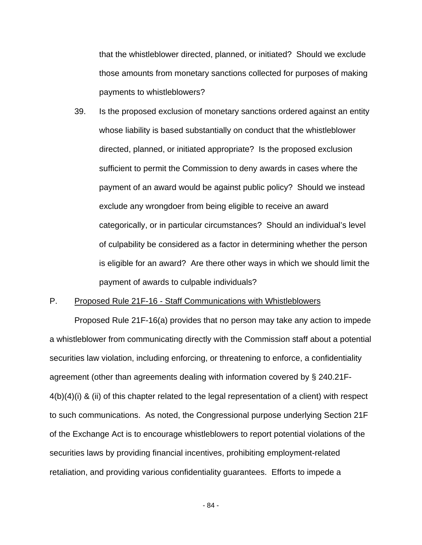that the whistleblower directed, planned, or initiated? Should we exclude those amounts from monetary sanctions collected for purposes of making payments to whistleblowers?

39. Is the proposed exclusion of monetary sanctions ordered against an entity whose liability is based substantially on conduct that the whistleblower directed, planned, or initiated appropriate? Is the proposed exclusion sufficient to permit the Commission to deny awards in cases where the payment of an award would be against public policy? Should we instead exclude any wrongdoer from being eligible to receive an award categorically, or in particular circumstances? Should an individual's level of culpability be considered as a factor in determining whether the person is eligible for an award? Are there other ways in which we should limit the payment of awards to culpable individuals?

#### P. Proposed Rule 21F-16 - Staff Communications with Whistleblowers

Proposed Rule 21F-16(a) provides that no person may take any action to impede a whistleblower from communicating directly with the Commission staff about a potential securities law violation, including enforcing, or threatening to enforce, a confidentiality agreement (other than agreements dealing with information covered by § 240.21F-4(b)(4)(i) & (ii) of this chapter related to the legal representation of a client) with respect to such communications. As noted, the Congressional purpose underlying Section 21F of the Exchange Act is to encourage whistleblowers to report potential violations of the securities laws by providing financial incentives, prohibiting employment-related retaliation, and providing various confidentiality guarantees. Efforts to impede a

- 84 -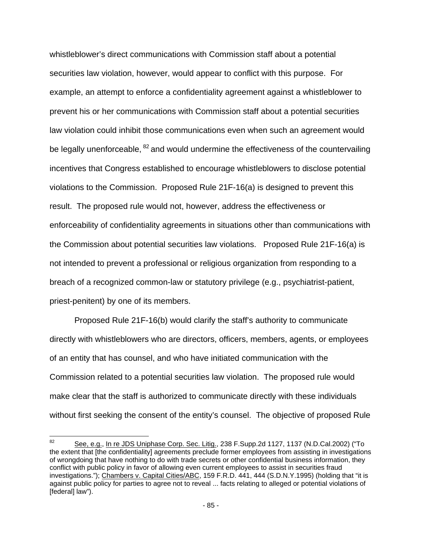whistleblower's direct communications with Commission staff about a potential securities law violation, however, would appear to conflict with this purpose. For example, an attempt to enforce a confidentiality agreement against a whistleblower to prevent his or her communications with Commission staff about a potential securities law violation could inhibit those communications even when such an agreement would be legally unenforceable, <sup>82</sup> and would undermine the effectiveness of the countervailing incentives that Congress established to encourage whistleblowers to disclose potential violations to the Commission. Proposed Rule 21F-16(a) is designed to prevent this result. The proposed rule would not, however, address the effectiveness or enforceability of confidentiality agreements in situations other than communications with the Commission about potential securities law violations. Proposed Rule 21F-16(a) is not intended to prevent a professional or religious organization from responding to a breach of a recognized common-law or statutory privilege (e.g., psychiatrist-patient, priest-penitent) by one of its members.

Proposed Rule 21F-16(b) would clarify the staff's authority to communicate directly with whistleblowers who are directors, officers, members, agents, or employees of an entity that has counsel, and who have initiated communication with the Commission related to a potential securities law violation. The proposed rule would make clear that the staff is authorized to communicate directly with these individuals without first seeking the consent of the entity's counsel. The objective of proposed Rule

 82 See, e.g., In re JDS Uniphase Corp. Sec. Litig., 238 F.Supp.2d 1127, 1137 (N.D.Cal.2002) ("To the extent that [the confidentiality] agreements preclude former employees from assisting in investigations of wrongdoing that have nothing to do with trade secrets or other confidential business information, they conflict with public policy in favor of allowing even current employees to assist in securities fraud investigations."); Chambers v. Capital Cities/ABC, 159 F.R.D. 441, 444 (S.D.N.Y.1995) (holding that "it is against public policy for parties to agree not to reveal ... facts relating to alleged or potential violations of [federal] law").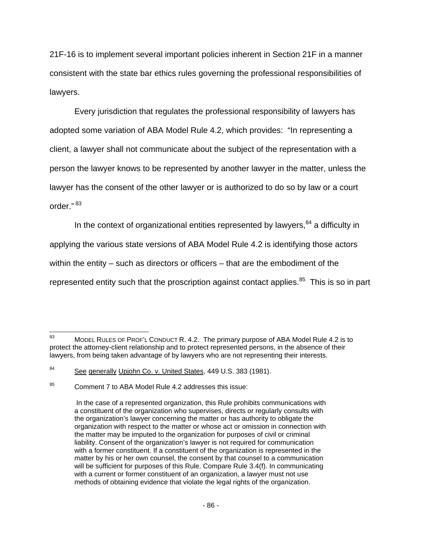21F-16 is to implement several important policies inherent in Section 21F in a manner consistent with the state bar ethics rules governing the professional responsibilities of lawyers.

order." <sup>83</sup> Every jurisdiction that regulates the professional responsibility of lawyers has adopted some variation of ABA Model Rule 4.2, which provides: "In representing a client, a lawyer shall not communicate about the subject of the representation with a person the lawyer knows to be represented by another lawyer in the matter, unless the lawyer has the consent of the other lawyer or is authorized to do so by law or a court

In the context of organizational entities represented by lawyers, $84$  a difficulty in applying the various state versions of ABA Model Rule 4.2 is identifying those actors within the entity – such as directors or officers – that are the embodiment of the represented entity such that the proscription against contact applies.<sup>85</sup> This is so in part

<sup>1</sup> 83 MODEL RULES OF PROF'L CONDUCT R. 4.2. The primary purpose of ABA Model Rule 4.2 is to protect the attorney-client relationship and to protect represented persons, in the absence of their lawyers, from being taken advantage of by lawyers who are not representing their interests.

<sup>84</sup> See generally Upjohn Co. v. United States, 449 U.S. 383 (1981).

<sup>&</sup>lt;sup>85</sup> Comment 7 to ABA Model Rule 4.2 addresses this issue:

In the case of a represented organization, this Rule prohibits communications with a constituent of the organization who supervises, directs or regularly consults with the organization's lawyer concerning the matter or has authority to obligate the organization with respect to the matter or whose act or omission in connection with the matter may be imputed to the organization for purposes of civil or criminal liability. Consent of the organization's lawyer is not required for communication with a former constituent. If a constituent of the organization is represented in the matter by his or her own counsel, the consent by that counsel to a communication will be sufficient for purposes of this Rule. Compare Rule 3.4(f). In communicating with a current or former constituent of an organization, a lawyer must not use methods of obtaining evidence that violate the legal rights of the organization.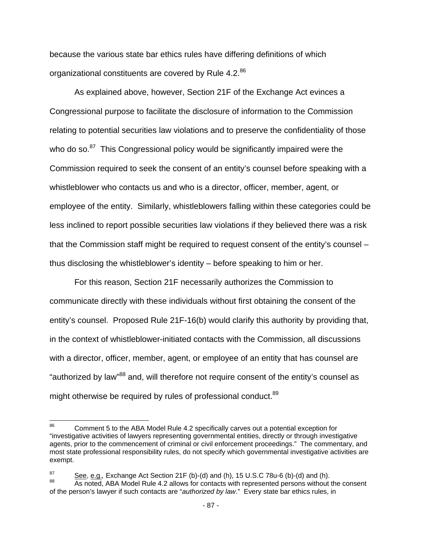organizational constituents are covered by Rule 4.2. $86$ because the various state bar ethics rules have differing definitions of which

As explained above, however, Section 21F of the Exchange Act evinces a Congressional purpose to facilitate the disclosure of information to the Commission relating to potential securities law violations and to preserve the confidentiality of those who do so. $87$  This Congressional policy would be significantly impaired were the Commission required to seek the consent of an entity's counsel before speaking with a whistleblower who contacts us and who is a director, officer, member, agent, or employee of the entity. Similarly, whistleblowers falling within these categories could be less inclined to report possible securities law violations if they believed there was a risk that the Commission staff might be required to request consent of the entity's counsel – thus disclosing the whistleblower's identity – before speaking to him or her.

might otherwise be required by rules of professional conduct.<sup>89</sup> For this reason, Section 21F necessarily authorizes the Commission to communicate directly with these individuals without first obtaining the consent of the entity's counsel. Proposed Rule 21F-16(b) would clarify this authority by providing that, in the context of whistleblower-initiated contacts with the Commission, all discussions with a director, officer, member, agent, or employee of an entity that has counsel are "authorized by law"<sup>88</sup> and, will therefore not require consent of the entity's counsel as

Comment 5 to the ABA Model Rule 4.2 specifically carves out a potential exception for "investigative activities of lawyers representing governmental entities, directly or through investigative agents, prior to the commencement of criminal or civil enforcement proceedings." The commentary, and most state professional responsibility rules, do not specify which governmental investigative activities are exempt.

 $\frac{87}{88}$  See, e.g., Exchange Act Section 21F (b)-(d) and (h), 15 U.S.C 78u-6 (b)-(d) and (h).<br>As noted, ABA Model Rule 4.2 allows for contacts with represented persons without the consent

of the person's lawyer if such contacts are "*authorized by law*." Every state bar ethics rules, in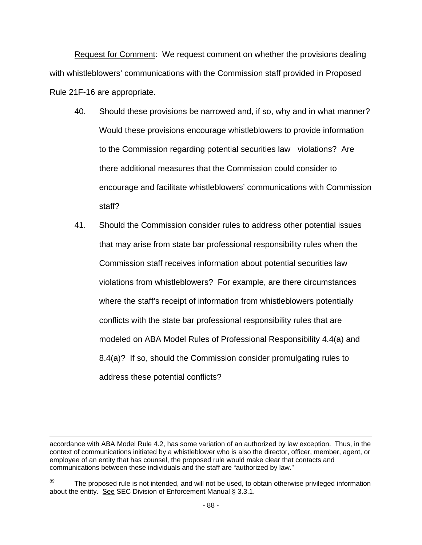Request for Comment: We request comment on whether the provisions dealing with whistleblowers' communications with the Commission staff provided in Proposed Rule 21F-16 are appropriate.

- 40. Should these provisions be narrowed and, if so, why and in what manner? Would these provisions encourage whistleblowers to provide information to the Commission regarding potential securities law violations? Are there additional measures that the Commission could consider to encourage and facilitate whistleblowers' communications with Commission staff?
- 41. Should the Commission consider rules to address other potential issues that may arise from state bar professional responsibility rules when the Commission staff receives information about potential securities law violations from whistleblowers? For example, are there circumstances where the staff's receipt of information from whistleblowers potentially conflicts with the state bar professional responsibility rules that are modeled on ABA Model Rules of Professional Responsibility 4.4(a) and 8.4(a)? If so, should the Commission consider promulgating rules to address these potential conflicts?

 $\overline{a}$ 

accordance with ABA Model Rule 4.2, has some variation of an authorized by law exception. Thus, in the context of communications initiated by a whistleblower who is also the director, officer, member, agent, or employee of an entity that has counsel, the proposed rule would make clear that contacts and communications between these individuals and the staff are "authorized by law."

 89 The proposed rule is not intended, and will not be used, to obtain otherwise privileged information about the entity. See SEC Division of Enforcement Manual § 3.3.1.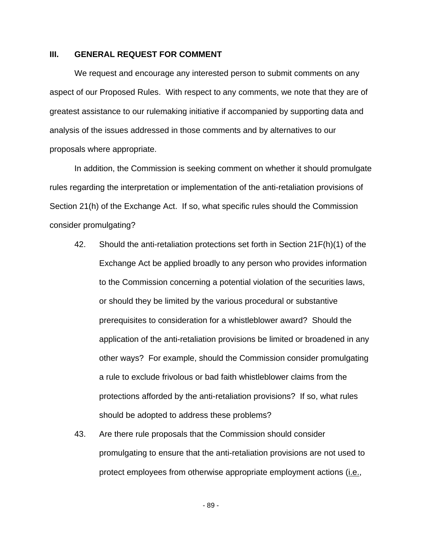#### **III. GENERAL REQUEST FOR COMMENT**

We request and encourage any interested person to submit comments on any aspect of our Proposed Rules. With respect to any comments, we note that they are of greatest assistance to our rulemaking initiative if accompanied by supporting data and analysis of the issues addressed in those comments and by alternatives to our proposals where appropriate.

In addition, the Commission is seeking comment on whether it should promulgate rules regarding the interpretation or implementation of the anti-retaliation provisions of Section 21(h) of the Exchange Act. If so, what specific rules should the Commission consider promulgating?

- 42. Should the anti-retaliation protections set forth in Section 21F(h)(1) of the Exchange Act be applied broadly to any person who provides information to the Commission concerning a potential violation of the securities laws, or should they be limited by the various procedural or substantive prerequisites to consideration for a whistleblower award? Should the application of the anti-retaliation provisions be limited or broadened in any other ways? For example, should the Commission consider promulgating a rule to exclude frivolous or bad faith whistleblower claims from the protections afforded by the anti-retaliation provisions? If so, what rules should be adopted to address these problems?
- 43. Are there rule proposals that the Commission should consider promulgating to ensure that the anti-retaliation provisions are not used to protect employees from otherwise appropriate employment actions (i.e.,

- 89 -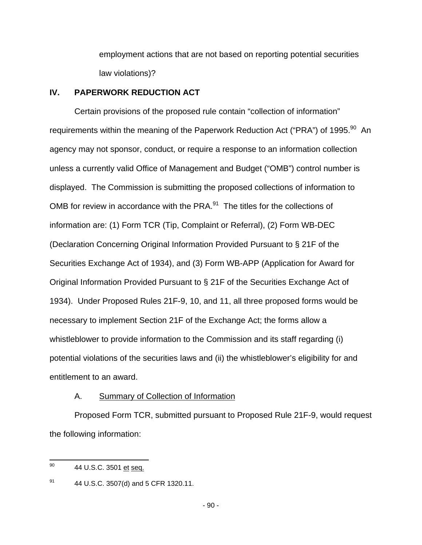employment actions that are not based on reporting potential securities law violations)?

### **IV. PAPERWORK REDUCTION ACT**

Certain provisions of the proposed rule contain "collection of information" requirements within the meaning of the Paperwork Reduction Act ("PRA") of 1995.<sup>90</sup> An agency may not sponsor, conduct, or require a response to an information collection unless a currently valid Office of Management and Budget ("OMB") control number is displayed. The Commission is submitting the proposed collections of information to OMB for review in accordance with the PRA.<sup>91</sup> The titles for the collections of information are: (1) Form TCR (Tip, Complaint or Referral), (2) Form WB-DEC (Declaration Concerning Original Information Provided Pursuant to § 21F of the Securities Exchange Act of 1934), and (3) Form WB-APP (Application for Award for Original Information Provided Pursuant to § 21F of the Securities Exchange Act of 1934). Under Proposed Rules 21F-9, 10, and 11, all three proposed forms would be necessary to implement Section 21F of the Exchange Act; the forms allow a whistleblower to provide information to the Commission and its staff regarding (i) potential violations of the securities laws and (ii) the whistleblower's eligibility for and entitlement to an award.

#### A. Summary of Collection of Information

Proposed Form TCR, submitted pursuant to Proposed Rule 21F-9, would request the following information:

 $\overline{a}$ 

<sup>44</sup> U.S.C. 3501 et seq.

<sup>91</sup> 91 44 U.S.C. 3507(d) and 5 CFR 1320.11.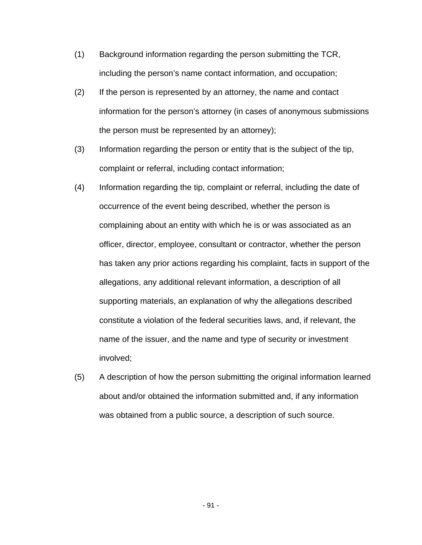- (1) Background information regarding the person submitting the TCR, including the person's name contact information, and occupation;
- (2) If the person is represented by an attorney, the name and contact information for the person's attorney (in cases of anonymous submissions the person must be represented by an attorney);
- (3) Information regarding the person or entity that is the subject of the tip, complaint or referral, including contact information;
- (4) Information regarding the tip, complaint or referral, including the date of occurrence of the event being described, whether the person is complaining about an entity with which he is or was associated as an officer, director, employee, consultant or contractor, whether the person has taken any prior actions regarding his complaint, facts in support of the allegations, any additional relevant information, a description of all supporting materials, an explanation of why the allegations described constitute a violation of the federal securities laws, and, if relevant, the name of the issuer, and the name and type of security or investment involved;
- (5) A description of how the person submitting the original information learned about and/or obtained the information submitted and, if any information was obtained from a public source, a description of such source.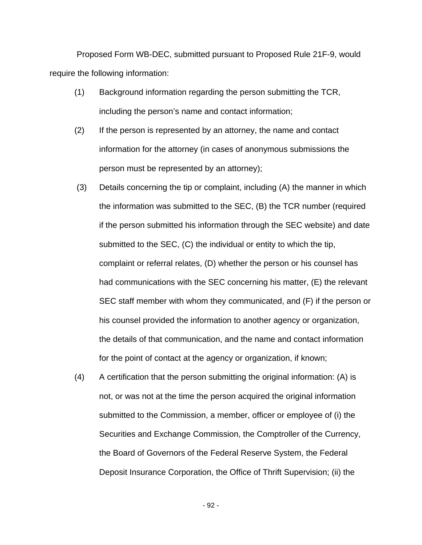Proposed Form WB-DEC, submitted pursuant to Proposed Rule 21F-9, would require the following information:

- (1) Background information regarding the person submitting the TCR, including the person's name and contact information;
- (2) If the person is represented by an attorney, the name and contact information for the attorney (in cases of anonymous submissions the person must be represented by an attorney);
- (3) Details concerning the tip or complaint, including (A) the manner in which the information was submitted to the SEC, (B) the TCR number (required if the person submitted his information through the SEC website) and date submitted to the SEC, (C) the individual or entity to which the tip, complaint or referral relates, (D) whether the person or his counsel has had communications with the SEC concerning his matter, (E) the relevant SEC staff member with whom they communicated, and (F) if the person or his counsel provided the information to another agency or organization, the details of that communication, and the name and contact information for the point of contact at the agency or organization, if known;
- (4) A certification that the person submitting the original information: (A) is not, or was not at the time the person acquired the original information submitted to the Commission, a member, officer or employee of (i) the Securities and Exchange Commission, the Comptroller of the Currency, the Board of Governors of the Federal Reserve System, the Federal Deposit Insurance Corporation, the Office of Thrift Supervision; (ii) the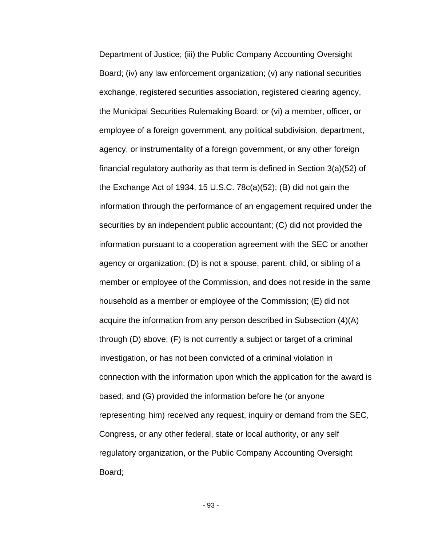Department of Justice; (iii) the Public Company Accounting Oversight Board; (iv) any law enforcement organization; (v) any national securities exchange, registered securities association, registered clearing agency, the Municipal Securities Rulemaking Board; or (vi) a member, officer, or employee of a foreign government, any political subdivision, department, agency, or instrumentality of a foreign government, or any other foreign financial regulatory authority as that term is defined in Section 3(a)(52) of the Exchange Act of 1934, 15 U.S.C. 78c(a)(52); (B) did not gain the information through the performance of an engagement required under the securities by an independent public accountant; (C) did not provided the information pursuant to a cooperation agreement with the SEC or another agency or organization; (D) is not a spouse, parent, child, or sibling of a member or employee of the Commission, and does not reside in the same household as a member or employee of the Commission; (E) did not acquire the information from any person described in Subsection (4)(A) through (D) above; (F) is not currently a subject or target of a criminal investigation, or has not been convicted of a criminal violation in connection with the information upon which the application for the award is based; and (G) provided the information before he (or anyone representing him) received any request, inquiry or demand from the SEC, Congress, or any other federal, state or local authority, or any self regulatory organization, or the Public Company Accounting Oversight Board;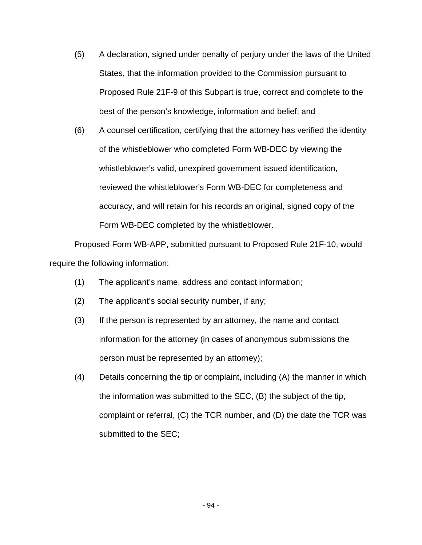- (5) A declaration, signed under penalty of perjury under the laws of the United States, that the information provided to the Commission pursuant to Proposed Rule 21F-9 of this Subpart is true, correct and complete to the best of the person's knowledge, information and belief; and
- (6) A counsel certification, certifying that the attorney has verified the identity of the whistleblower who completed Form WB-DEC by viewing the whistleblower's valid, unexpired government issued identification, reviewed the whistleblower's Form WB-DEC for completeness and accuracy, and will retain for his records an original, signed copy of the Form WB-DEC completed by the whistleblower.

Proposed Form WB-APP, submitted pursuant to Proposed Rule 21F-10, would require the following information:

- (1) The applicant's name, address and contact information;
- (2) The applicant's social security number, if any;
- (3) If the person is represented by an attorney, the name and contact information for the attorney (in cases of anonymous submissions the person must be represented by an attorney);
- (4) Details concerning the tip or complaint, including (A) the manner in which the information was submitted to the SEC, (B) the subject of the tip, complaint or referral, (C) the TCR number, and (D) the date the TCR was submitted to the SEC;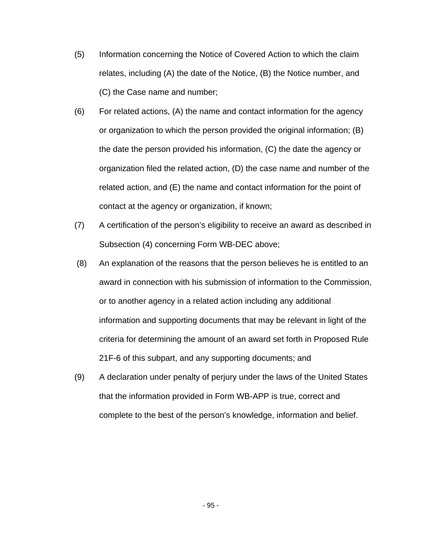- (5) Information concerning the Notice of Covered Action to which the claim relates, including (A) the date of the Notice, (B) the Notice number, and (C) the Case name and number;
- (6) For related actions, (A) the name and contact information for the agency or organization to which the person provided the original information; (B) the date the person provided his information, (C) the date the agency or organization filed the related action, (D) the case name and number of the related action, and (E) the name and contact information for the point of contact at the agency or organization, if known;
- (7) A certification of the person's eligibility to receive an award as described in Subsection (4) concerning Form WB-DEC above;
- (8) An explanation of the reasons that the person believes he is entitled to an award in connection with his submission of information to the Commission, or to another agency in a related action including any additional information and supporting documents that may be relevant in light of the criteria for determining the amount of an award set forth in Proposed Rule 21F-6 of this subpart, and any supporting documents; and
- (9) A declaration under penalty of perjury under the laws of the United States that the information provided in Form WB-APP is true, correct and complete to the best of the person's knowledge, information and belief.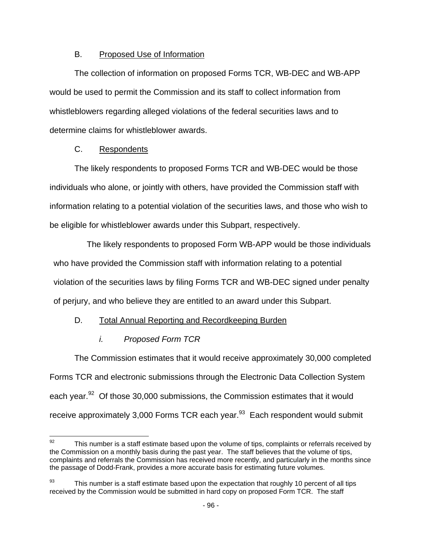## B. Proposed Use of Information

The collection of information on proposed Forms TCR, WB-DEC and WB-APP would be used to permit the Commission and its staff to collect information from whistleblowers regarding alleged violations of the federal securities laws and to determine claims for whistleblower awards.

# C. Respondents

The likely respondents to proposed Forms TCR and WB-DEC would be those individuals who alone, or jointly with others, have provided the Commission staff with information relating to a potential violation of the securities laws, and those who wish to be eligible for whistleblower awards under this Subpart, respectively.

The likely respondents to proposed Form WB-APP would be those individuals who have provided the Commission staff with information relating to a potential violation of the securities laws by filing Forms TCR and WB-DEC signed under penalty of perjury, and who believe they are entitled to an award under this Subpart.

# D. Total Annual Reporting and Recordkeeping Burden

*i. Proposed Form TCR* 

The Commission estimates that it would receive approximately 30,000 completed Forms TCR and electronic submissions through the Electronic Data Collection System each year. $92$  Of those 30,000 submissions, the Commission estimates that it would receive approximately 3,000 Forms TCR each year. $93$  Each respondent would submit

 $\overline{a}$ This number is a staff estimate based upon the volume of tips, complaints or referrals received by the Commission on a monthly basis during the past year. The staff believes that the volume of tips, complaints and referrals the Commission has received more recently, and particularly in the months since the passage of Dodd-Frank, provides a more accurate basis for estimating future volumes.

<sup>93</sup> This number is a staff estimate based upon the expectation that roughly 10 percent of all tips received by the Commission would be submitted in hard copy on proposed Form TCR. The staff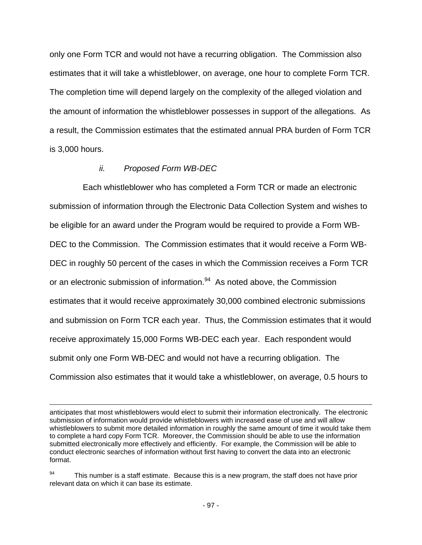only one Form TCR and would not have a recurring obligation. The Commission also estimates that it will take a whistleblower, on average, one hour to complete Form TCR. The completion time will depend largely on the complexity of the alleged violation and the amount of information the whistleblower possesses in support of the allegations. As a result, the Commission estimates that the estimated annual PRA burden of Form TCR is 3,000 hours.

### *ii. Proposed Form WB-DEC*

1

Each whistleblower who has completed a Form TCR or made an electronic submission of information through the Electronic Data Collection System and wishes to be eligible for an award under the Program would be required to provide a Form WB-DEC to the Commission. The Commission estimates that it would receive a Form WB-DEC in roughly 50 percent of the cases in which the Commission receives a Form TCR or an electronic submission of information.<sup>94</sup> As noted above, the Commission estimates that it would receive approximately 30,000 combined electronic submissions and submission on Form TCR each year. Thus, the Commission estimates that it would receive approximately 15,000 Forms WB-DEC each year. Each respondent would submit only one Form WB-DEC and would not have a recurring obligation. The Commission also estimates that it would take a whistleblower, on average, 0.5 hours to

anticipates that most whistleblowers would elect to submit their information electronically. The electronic submission of information would provide whistleblowers with increased ease of use and will allow whistleblowers to submit more detailed information in roughly the same amount of time it would take them to complete a hard copy Form TCR. Moreover, the Commission should be able to use the information submitted electronically more effectively and efficiently. For example, the Commission will be able to conduct electronic searches of information without first having to convert the data into an electronic format.

This number is a staff estimate. Because this is a new program, the staff does not have prior relevant data on which it can base its estimate. 94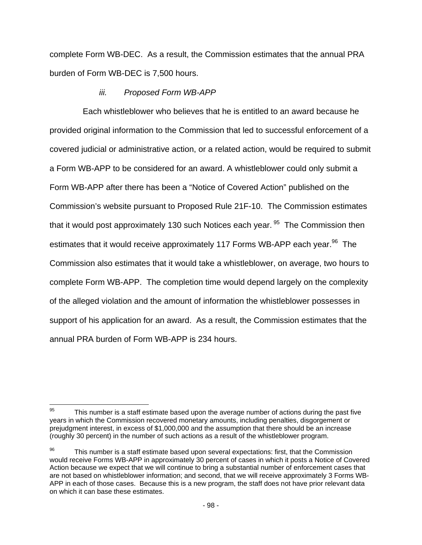complete Form WB-DEC. As a result, the Commission estimates that the annual PRA burden of Form WB-DEC is 7,500 hours.

## *iii. Proposed Form WB-APP*

Each whistleblower who believes that he is entitled to an award because he provided original information to the Commission that led to successful enforcement of a covered judicial or administrative action, or a related action, would be required to submit a Form WB-APP to be considered for an award. A whistleblower could only submit a Form WB-APP after there has been a "Notice of Covered Action" published on the Commission's website pursuant to Proposed Rule 21F-10. The Commission estimates that it would post approximately 130 such Notices each year. <sup>95</sup> The Commission then estimates that it would receive approximately 117 Forms WB-APP each year.<sup>96</sup> The Commission also estimates that it would take a whistleblower, on average, two hours to complete Form WB-APP. The completion time would depend largely on the complexity of the alleged violation and the amount of information the whistleblower possesses in support of his application for an award. As a result, the Commission estimates that the annual PRA burden of Form WB-APP is 234 hours.

This number is a staff estimate based upon the average number of actions during the past five years in which the Commission recovered monetary amounts, including penalties, disgorgement or prejudgment interest, in excess of \$1,000,000 and the assumption that there should be an increase (roughly 30 percent) in the number of such actions as a result of the whistleblower program.

<sup>96</sup> This number is a staff estimate based upon several expectations: first, that the Commission would receive Forms WB-APP in approximately 30 percent of cases in which it posts a Notice of Covered Action because we expect that we will continue to bring a substantial number of enforcement cases that are not based on whistleblower information; and second, that we will receive approximately 3 Forms WB-APP in each of those cases. Because this is a new program, the staff does not have prior relevant data on which it can base these estimates.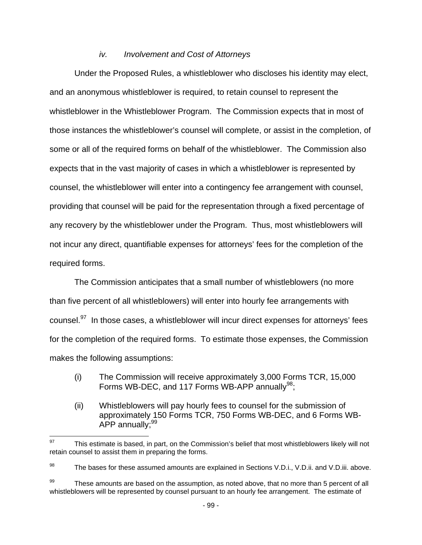### *iv. Involvement and Cost of Attorneys*

Under the Proposed Rules, a whistleblower who discloses his identity may elect, and an anonymous whistleblower is required, to retain counsel to represent the whistleblower in the Whistleblower Program. The Commission expects that in most of those instances the whistleblower's counsel will complete, or assist in the completion, of some or all of the required forms on behalf of the whistleblower. The Commission also expects that in the vast majority of cases in which a whistleblower is represented by counsel, the whistleblower will enter into a contingency fee arrangement with counsel, providing that counsel will be paid for the representation through a fixed percentage of any recovery by the whistleblower under the Program. Thus, most whistleblowers will not incur any direct, quantifiable expenses for attorneys' fees for the completion of the required forms.

The Commission anticipates that a small number of whistleblowers (no more than five percent of all whistleblowers) will enter into hourly fee arrangements with counsel.<sup>97</sup> In those cases, a whistleblower will incur direct expenses for attorneys' fees for the completion of the required forms. To estimate those expenses, the Commission makes the following assumptions:

- (i) The Commission will receive approximately 3,000 Forms TCR, 15,000 Forms WB-DEC, and 117 Forms WB-APP annually<sup>98</sup>;
- (ii) Whistleblowers will pay hourly fees to counsel for the submission of approximately 150 Forms TCR, 750 Forms WB-DEC, and 6 Forms WB- $APP$  annually:  $99$

<sup>97</sup> This estimate is based, in part, on the Commission's belief that most whistleblowers likely will not retain counsel to assist them in preparing the forms.

<sup>98</sup> The bases for these assumed amounts are explained in Sections V.D.i., V.D.ii. and V.D.iii. above.

<sup>99</sup> These amounts are based on the assumption, as noted above, that no more than 5 percent of all whistleblowers will be represented by counsel pursuant to an hourly fee arrangement. The estimate of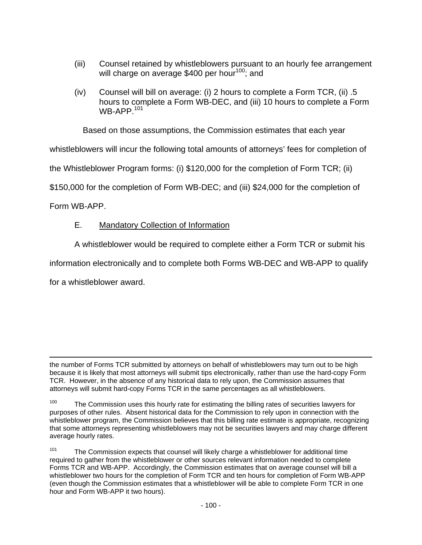- (iii) Counsel retained by whistleblowers pursuant to an hourly fee arrangement will charge on average \$400 per hour<sup>100</sup>; and
- (iv) Counsel will bill on average: (i) 2 hours to complete a Form TCR, (ii) .5 hours to complete a Form WB-DEC, and (iii) 10 hours to complete a Form  $WB-APP<sup>.101</sup>$

Based on those assumptions, the Commission estimates that each year

whistleblowers will incur the following total amounts of attorneys' fees for completion of

the Whistleblower Program forms: (i) \$120,000 for the completion of Form TCR; (ii)

\$150,000 for the completion of Form WB-DEC; and (iii) \$24,000 for the completion of

Form WB-APP.

## E. Mandatory Collection of Information

A whistleblower would be required to complete either a Form TCR or submit his

information electronically and to complete both Forms WB-DEC and WB-APP to qualify

for a whistleblower award.

<sup>1</sup> the number of Forms TCR submitted by attorneys on behalf of whistleblowers may turn out to be high because it is likely that most attorneys will submit tips electronically, rather than use the hard-copy Form TCR. However, in the absence of any historical data to rely upon, the Commission assumes that attorneys will submit hard-copy Forms TCR in the same percentages as all whistleblowers.

<sup>100</sup> The Commission uses this hourly rate for estimating the billing rates of securities lawyers for purposes of other rules. Absent historical data for the Commission to rely upon in connection with the whistleblower program, the Commission believes that this billing rate estimate is appropriate, recognizing that some attorneys representing whistleblowers may not be securities lawyers and may charge different average hourly rates.

<sup>101</sup> The Commission expects that counsel will likely charge a whistleblower for additional time required to gather from the whistleblower or other sources relevant information needed to complete Forms TCR and WB-APP. Accordingly, the Commission estimates that on average counsel will bill a whistleblower two hours for the completion of Form TCR and ten hours for completion of Form WB-APP (even though the Commission estimates that a whistleblower will be able to complete Form TCR in one hour and Form WB-APP it two hours).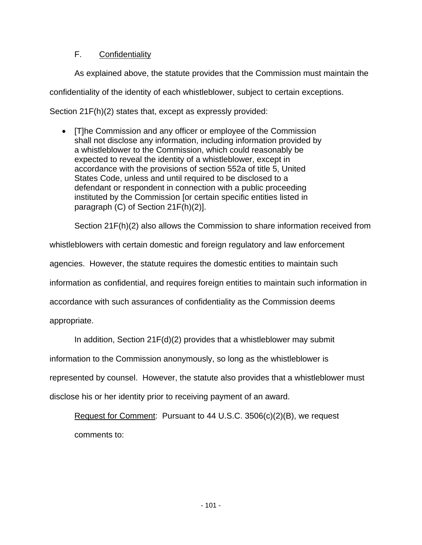# F. Confidentiality

As explained above, the statute provides that the Commission must maintain the confidentiality of the identity of each whistleblower, subject to certain exceptions.

Section 21F(h)(2) states that, except as expressly provided:

• [T]he Commission and any officer or employee of the Commission shall not disclose any information, including information provided by a whistleblower to the Commission, which could reasonably be expected to reveal the identity of a whistleblower, except in accordance with the provisions of section 552a of title 5, United States Code, unless and until required to be disclosed to a defendant or respondent in connection with a public proceeding instituted by the Commission [or certain specific entities listed in paragraph (C) of Section 21F(h)(2)].

Section 21F(h)(2) also allows the Commission to share information received from

whistleblowers with certain domestic and foreign regulatory and law enforcement

agencies. However, the statute requires the domestic entities to maintain such

information as confidential, and requires foreign entities to maintain such information in

accordance with such assurances of confidentiality as the Commission deems

appropriate.

In addition, Section 21F(d)(2) provides that a whistleblower may submit

information to the Commission anonymously, so long as the whistleblower is

represented by counsel. However, the statute also provides that a whistleblower must

disclose his or her identity prior to receiving payment of an award.

Request for Comment: Pursuant to 44 U.S.C. 3506(c)(2)(B), we request comments to: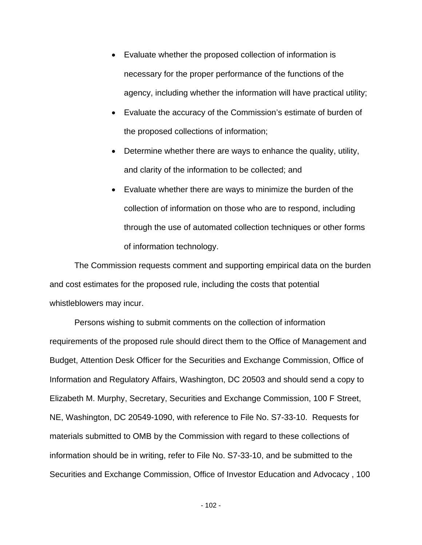- Evaluate whether the proposed collection of information is necessary for the proper performance of the functions of the agency, including whether the information will have practical utility;
- Evaluate the accuracy of the Commission's estimate of burden of the proposed collections of information;
- Determine whether there are ways to enhance the quality, utility, and clarity of the information to be collected; and
- Evaluate whether there are ways to minimize the burden of the collection of information on those who are to respond, including through the use of automated collection techniques or other forms of information technology.

The Commission requests comment and supporting empirical data on the burden and cost estimates for the proposed rule, including the costs that potential whistleblowers may incur.

Persons wishing to submit comments on the collection of information requirements of the proposed rule should direct them to the Office of Management and Budget, Attention Desk Officer for the Securities and Exchange Commission, Office of Information and Regulatory Affairs, Washington, DC 20503 and should send a copy to Elizabeth M. Murphy, Secretary, Securities and Exchange Commission, 100 F Street, NE, Washington, DC 20549-1090, with reference to File No. S7-33-10. Requests for materials submitted to OMB by the Commission with regard to these collections of information should be in writing, refer to File No. S7-33-10, and be submitted to the Securities and Exchange Commission, Office of Investor Education and Advocacy , 100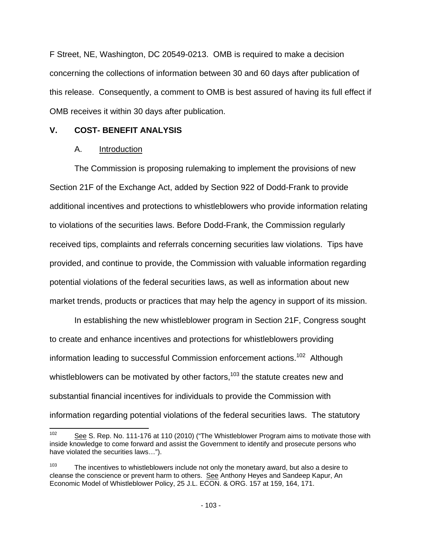F Street, NE, Washington, DC 20549-0213. OMB is required to make a decision concerning the collections of information between 30 and 60 days after publication of this release. Consequently, a comment to OMB is best assured of having its full effect if OMB receives it within 30 days after publication.

## **V. COST- BENEFIT ANALYSIS**

# A. Introduction

1

The Commission is proposing rulemaking to implement the provisions of new Section 21F of the Exchange Act, added by Section 922 of Dodd-Frank to provide additional incentives and protections to whistleblowers who provide information relating to violations of the securities laws. Before Dodd-Frank, the Commission regularly received tips, complaints and referrals concerning securities law violations. Tips have provided, and continue to provide, the Commission with valuable information regarding potential violations of the federal securities laws, as well as information about new market trends, products or practices that may help the agency in support of its mission.

In establishing the new whistleblower program in Section 21F, Congress sought to create and enhance incentives and protections for whistleblowers providing information leading to successful Commission enforcement actions.<sup>102</sup> Although whistleblowers can be motivated by other factors,  $103$  the statute creates new and substantial financial incentives for individuals to provide the Commission with information regarding potential violations of the federal securities laws. The statutory

See S. Rep. No. 111-176 at 110 (2010) ("The Whistleblower Program aims to motivate those with inside knowledge to come forward and assist the Government to identify and prosecute persons who have violated the securities laws…").

<sup>103</sup> Economic Model of Whistleblower Policy, 25 J.L. ECON. & ORG. 157 at 159, 164, 171.<br>- 103 -The incentives to whistleblowers include not only the monetary award, but also a desire to cleanse the conscience or prevent harm to others. See Anthony Heyes and Sandeep Kapur, An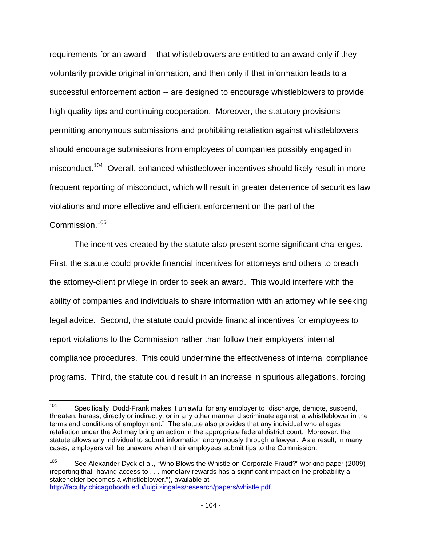requirements for an award -- that whistleblowers are entitled to an award only if they voluntarily provide original information, and then only if that information leads to a successful enforcement action -- are designed to encourage whistleblowers to provide high-quality tips and continuing cooperation. Moreover, the statutory provisions permitting anonymous submissions and prohibiting retaliation against whistleblowers should encourage submissions from employees of companies possibly engaged in misconduct.<sup>104</sup> Overall, enhanced whistleblower incentives should likely result in more frequent reporting of misconduct, which will result in greater deterrence of securities law violations and more effective and efficient enforcement on the part of the Commission.<sup>105</sup>

The incentives created by the statute also present some significant challenges. First, the statute could provide financial incentives for attorneys and others to breach the attorney-client privilege in order to seek an award. This would interfere with the ability of companies and individuals to share information with an attorney while seeking legal advice. Second, the statute could provide financial incentives for employees to report violations to the Commission rather than follow their employers' internal compliance procedures. This could undermine the effectiveness of internal compliance programs. Third, the statute could result in an increase in spurious allegations, forcing

Specifically, Dodd-Frank makes it unlawful for any employer to "discharge, demote, suspend, threaten, harass, directly or indirectly, or in any other manner discriminate against, a whistleblower in the terms and conditions of employment." The statute also provides that any individual who alleges retaliation under the Act may bring an action in the appropriate federal district court. Moreover, the statute allows any individual to submit information anonymously through a lawyer. As a result, in many cases, employers will be unaware when their employees submit tips to the Commission.

See Alexander Dyck et al., "Who Blows the Whistle on Corporate Fraud?" working paper (2009) (reporting that "having access to . . . monetary rewards has a significant impact on the probability a stakeholder becomes a whistleblower."), available at http://faculty.chicagobooth.edu/luigi.zingales/research/papers/whistle.pdf.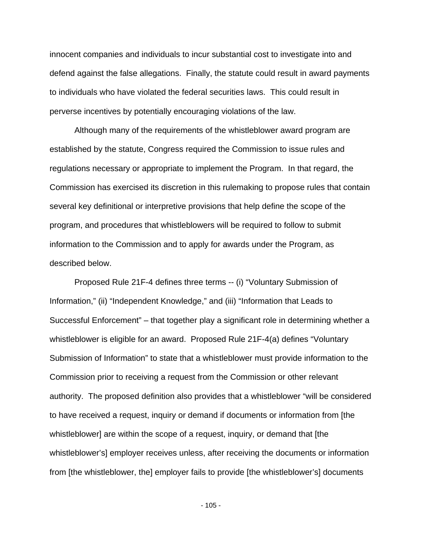innocent companies and individuals to incur substantial cost to investigate into and defend against the false allegations. Finally, the statute could result in award payments to individuals who have violated the federal securities laws. This could result in perverse incentives by potentially encouraging violations of the law.

Although many of the requirements of the whistleblower award program are established by the statute, Congress required the Commission to issue rules and regulations necessary or appropriate to implement the Program. In that regard, the Commission has exercised its discretion in this rulemaking to propose rules that contain several key definitional or interpretive provisions that help define the scope of the program, and procedures that whistleblowers will be required to follow to submit information to the Commission and to apply for awards under the Program, as described below.

Proposed Rule 21F-4 defines three terms -- (i) "Voluntary Submission of Information," (ii) "Independent Knowledge," and (iii) "Information that Leads to Successful Enforcement" – that together play a significant role in determining whether a whistleblower is eligible for an award. Proposed Rule 21F-4(a) defines "Voluntary Submission of Information" to state that a whistleblower must provide information to the Commission prior to receiving a request from the Commission or other relevant authority. The proposed definition also provides that a whistleblower "will be considered to have received a request, inquiry or demand if documents or information from [the whistleblower] are within the scope of a request, inquiry, or demand that [the whistleblower's] employer receives unless, after receiving the documents or information from [the whistleblower, the] employer fails to provide [the whistleblower's] documents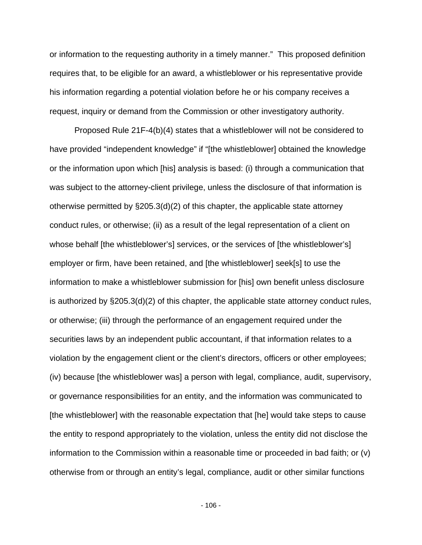or information to the requesting authority in a timely manner." This proposed definition requires that, to be eligible for an award, a whistleblower or his representative provide his information regarding a potential violation before he or his company receives a request, inquiry or demand from the Commission or other investigatory authority.

Proposed Rule 21F-4(b)(4) states that a whistleblower will not be considered to have provided "independent knowledge" if "[the whistleblower] obtained the knowledge or the information upon which [his] analysis is based: (i) through a communication that was subject to the attorney-client privilege, unless the disclosure of that information is otherwise permitted by §205.3(d)(2) of this chapter, the applicable state attorney conduct rules, or otherwise; (ii) as a result of the legal representation of a client on whose behalf [the whistleblower's] services, or the services of [the whistleblower's] employer or firm, have been retained, and [the whistleblower] seek[s] to use the information to make a whistleblower submission for [his] own benefit unless disclosure is authorized by §205.3(d)(2) of this chapter, the applicable state attorney conduct rules, or otherwise; (iii) through the performance of an engagement required under the securities laws by an independent public accountant, if that information relates to a violation by the engagement client or the client's directors, officers or other employees; (iv) because [the whistleblower was] a person with legal, compliance, audit, supervisory, or governance responsibilities for an entity, and the information was communicated to [the whistleblower] with the reasonable expectation that [he] would take steps to cause the entity to respond appropriately to the violation, unless the entity did not disclose the information to the Commission within a reasonable time or proceeded in bad faith; or (v) otherwise from or through an entity's legal, compliance, audit or other similar functions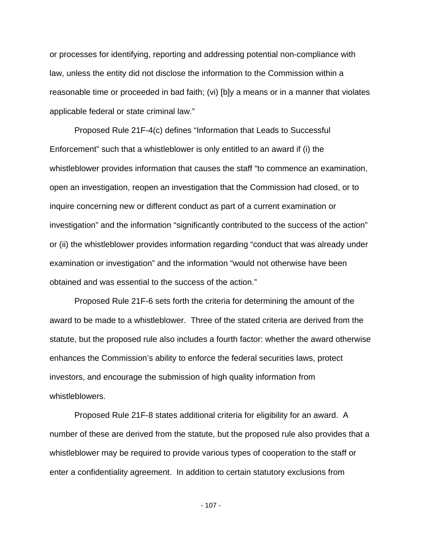or processes for identifying, reporting and addressing potential non-compliance with law, unless the entity did not disclose the information to the Commission within a reasonable time or proceeded in bad faith; (vi) [b]y a means or in a manner that violates applicable federal or state criminal law."

Proposed Rule 21F-4(c) defines "Information that Leads to Successful Enforcement" such that a whistleblower is only entitled to an award if (i) the whistleblower provides information that causes the staff "to commence an examination, open an investigation, reopen an investigation that the Commission had closed, or to inquire concerning new or different conduct as part of a current examination or investigation" and the information "significantly contributed to the success of the action" or (ii) the whistleblower provides information regarding "conduct that was already under examination or investigation" and the information "would not otherwise have been obtained and was essential to the success of the action."

Proposed Rule 21F-6 sets forth the criteria for determining the amount of the award to be made to a whistleblower. Three of the stated criteria are derived from the statute, but the proposed rule also includes a fourth factor: whether the award otherwise enhances the Commission's ability to enforce the federal securities laws, protect investors, and encourage the submission of high quality information from whistleblowers.

Proposed Rule 21F-8 states additional criteria for eligibility for an award. A number of these are derived from the statute, but the proposed rule also provides that a whistleblower may be required to provide various types of cooperation to the staff or enter a confidentiality agreement. In addition to certain statutory exclusions from

- 107 -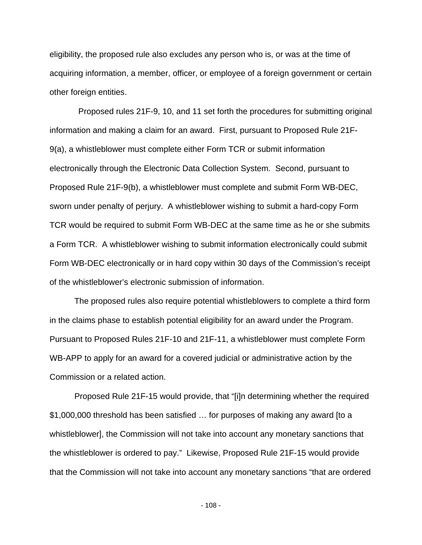eligibility, the proposed rule also excludes any person who is, or was at the time of acquiring information, a member, officer, or employee of a foreign government or certain other foreign entities.

Proposed rules 21F-9, 10, and 11 set forth the procedures for submitting original information and making a claim for an award. First, pursuant to Proposed Rule 21F-9(a), a whistleblower must complete either Form TCR or submit information electronically through the Electronic Data Collection System. Second, pursuant to Proposed Rule 21F-9(b), a whistleblower must complete and submit Form WB-DEC, sworn under penalty of perjury. A whistleblower wishing to submit a hard-copy Form TCR would be required to submit Form WB-DEC at the same time as he or she submits a Form TCR. A whistleblower wishing to submit information electronically could submit Form WB-DEC electronically or in hard copy within 30 days of the Commission's receipt of the whistleblower's electronic submission of information.

The proposed rules also require potential whistleblowers to complete a third form in the claims phase to establish potential eligibility for an award under the Program. Pursuant to Proposed Rules 21F-10 and 21F-11, a whistleblower must complete Form WB-APP to apply for an award for a covered judicial or administrative action by the Commission or a related action.

Proposed Rule 21F-15 would provide, that "[i]n determining whether the required \$1,000,000 threshold has been satisfied … for purposes of making any award [to a whistleblower], the Commission will not take into account any monetary sanctions that the whistleblower is ordered to pay." Likewise, Proposed Rule 21F-15 would provide that the Commission will not take into account any monetary sanctions "that are ordered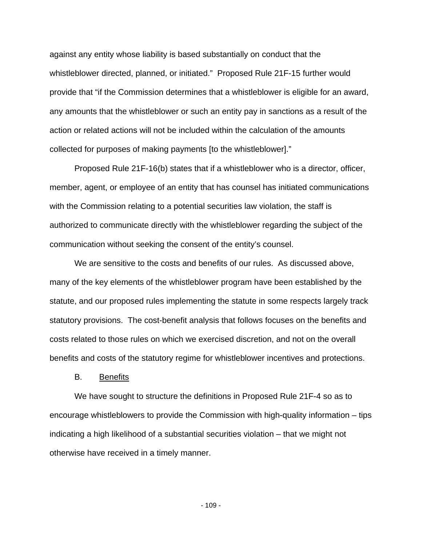against any entity whose liability is based substantially on conduct that the whistleblower directed, planned, or initiated." Proposed Rule 21F-15 further would provide that "if the Commission determines that a whistleblower is eligible for an award, any amounts that the whistleblower or such an entity pay in sanctions as a result of the action or related actions will not be included within the calculation of the amounts collected for purposes of making payments [to the whistleblower]."

Proposed Rule 21F-16(b) states that if a whistleblower who is a director, officer, member, agent, or employee of an entity that has counsel has initiated communications with the Commission relating to a potential securities law violation, the staff is authorized to communicate directly with the whistleblower regarding the subject of the communication without seeking the consent of the entity's counsel.

We are sensitive to the costs and benefits of our rules. As discussed above, many of the key elements of the whistleblower program have been established by the statute, and our proposed rules implementing the statute in some respects largely track statutory provisions. The cost-benefit analysis that follows focuses on the benefits and costs related to those rules on which we exercised discretion, and not on the overall benefits and costs of the statutory regime for whistleblower incentives and protections.

### B. Benefits

We have sought to structure the definitions in Proposed Rule 21F-4 so as to encourage whistleblowers to provide the Commission with high-quality information – tips indicating a high likelihood of a substantial securities violation – that we might not otherwise have received in a timely manner.

- 109 -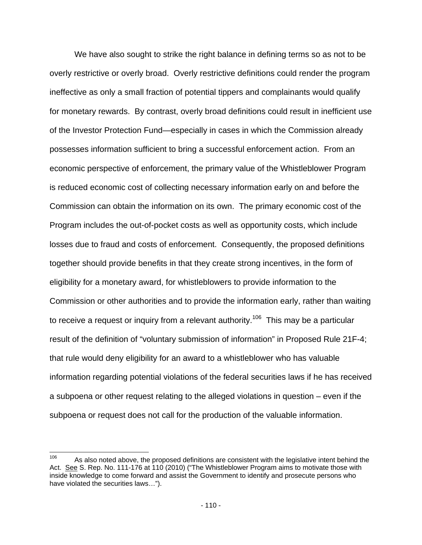We have also sought to strike the right balance in defining terms so as not to be overly restrictive or overly broad. Overly restrictive definitions could render the program ineffective as only a small fraction of potential tippers and complainants would qualify for monetary rewards. By contrast, overly broad definitions could result in inefficient use of the Investor Protection Fund—especially in cases in which the Commission already possesses information sufficient to bring a successful enforcement action. From an economic perspective of enforcement, the primary value of the Whistleblower Program is reduced economic cost of collecting necessary information early on and before the Commission can obtain the information on its own. The primary economic cost of the Program includes the out-of-pocket costs as well as opportunity costs, which include losses due to fraud and costs of enforcement. Consequently, the proposed definitions together should provide benefits in that they create strong incentives, in the form of eligibility for a monetary award, for whistleblowers to provide information to the Commission or other authorities and to provide the information early, rather than waiting to receive a request or inquiry from a relevant authority.<sup>106</sup> This may be a particular result of the definition of "voluntary submission of information" in Proposed Rule 21F-4; that rule would deny eligibility for an award to a whistleblower who has valuable information regarding potential violations of the federal securities laws if he has received a subpoena or other request relating to the alleged violations in question – even if the subpoena or request does not call for the production of the valuable information.

1

 106 As also noted above, the proposed definitions are consistent with the legislative intent behind the Act. See S. Rep. No. 111-176 at 110 (2010) ("The Whistleblower Program aims to motivate those with inside knowledge to come forward and assist the Government to identify and prosecute persons who have violated the securities laws…").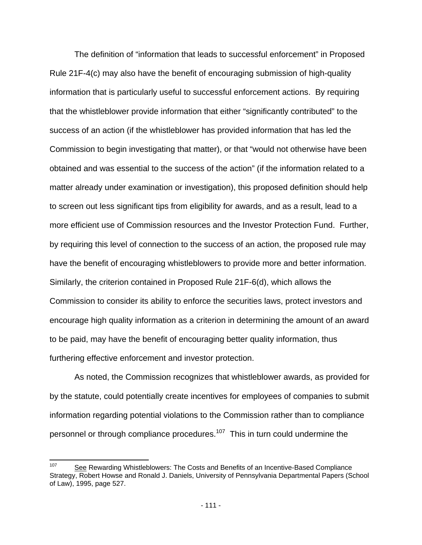The definition of "information that leads to successful enforcement" in Proposed Rule 21F-4(c) may also have the benefit of encouraging submission of high-quality information that is particularly useful to successful enforcement actions. By requiring that the whistleblower provide information that either "significantly contributed" to the success of an action (if the whistleblower has provided information that has led the Commission to begin investigating that matter), or that "would not otherwise have been obtained and was essential to the success of the action" (if the information related to a matter already under examination or investigation), this proposed definition should help to screen out less significant tips from eligibility for awards, and as a result, lead to a more efficient use of Commission resources and the Investor Protection Fund. Further, by requiring this level of connection to the success of an action, the proposed rule may have the benefit of encouraging whistleblowers to provide more and better information. Similarly, the criterion contained in Proposed Rule 21F-6(d), which allows the Commission to consider its ability to enforce the securities laws, protect investors and encourage high quality information as a criterion in determining the amount of an award to be paid, may have the benefit of encouraging better quality information, thus furthering effective enforcement and investor protection.

As noted, the Commission recognizes that whistleblower awards, as provided for by the statute, could potentially create incentives for employees of companies to submit information regarding potential violations to the Commission rather than to compliance personnel or through compliance procedures.<sup>107</sup> This in turn could undermine the

<sup>1</sup>  107 See Rewarding Whistleblowers: The Costs and Benefits of an Incentive-Based Compliance Strategy, Robert Howse and Ronald J. Daniels, University of Pennsylvania Departmental Papers (School of Law), 1995, page 527.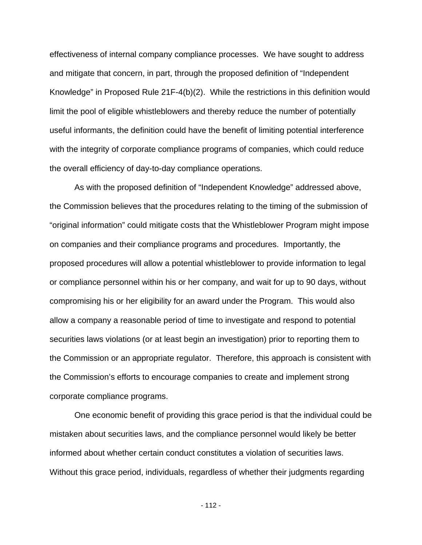effectiveness of internal company compliance processes. We have sought to address and mitigate that concern, in part, through the proposed definition of "Independent Knowledge" in Proposed Rule 21F-4(b)(2). While the restrictions in this definition would limit the pool of eligible whistleblowers and thereby reduce the number of potentially useful informants, the definition could have the benefit of limiting potential interference with the integrity of corporate compliance programs of companies, which could reduce the overall efficiency of day-to-day compliance operations.

As with the proposed definition of "Independent Knowledge" addressed above, the Commission believes that the procedures relating to the timing of the submission of "original information" could mitigate costs that the Whistleblower Program might impose on companies and their compliance programs and procedures. Importantly, the proposed procedures will allow a potential whistleblower to provide information to legal or compliance personnel within his or her company, and wait for up to 90 days, without compromising his or her eligibility for an award under the Program. This would also allow a company a reasonable period of time to investigate and respond to potential securities laws violations (or at least begin an investigation) prior to reporting them to the Commission or an appropriate regulator. Therefore, this approach is consistent with the Commission's efforts to encourage companies to create and implement strong corporate compliance programs.

One economic benefit of providing this grace period is that the individual could be mistaken about securities laws, and the compliance personnel would likely be better informed about whether certain conduct constitutes a violation of securities laws. Without this grace period, individuals, regardless of whether their judgments regarding

- 112 -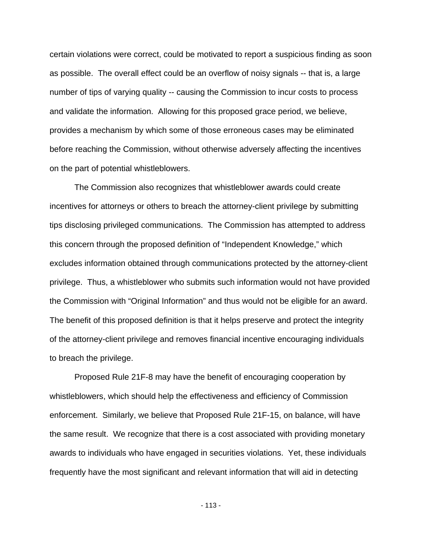certain violations were correct, could be motivated to report a suspicious finding as soon as possible. The overall effect could be an overflow of noisy signals -- that is, a large number of tips of varying quality -- causing the Commission to incur costs to process and validate the information. Allowing for this proposed grace period, we believe, provides a mechanism by which some of those erroneous cases may be eliminated before reaching the Commission, without otherwise adversely affecting the incentives on the part of potential whistleblowers.

The Commission also recognizes that whistleblower awards could create incentives for attorneys or others to breach the attorney-client privilege by submitting tips disclosing privileged communications. The Commission has attempted to address this concern through the proposed definition of "Independent Knowledge," which excludes information obtained through communications protected by the attorney-client privilege. Thus, a whistleblower who submits such information would not have provided the Commission with "Original Information" and thus would not be eligible for an award. The benefit of this proposed definition is that it helps preserve and protect the integrity of the attorney-client privilege and removes financial incentive encouraging individuals to breach the privilege.

Proposed Rule 21F-8 may have the benefit of encouraging cooperation by whistleblowers, which should help the effectiveness and efficiency of Commission enforcement. Similarly, we believe that Proposed Rule 21F-15, on balance, will have the same result. We recognize that there is a cost associated with providing monetary awards to individuals who have engaged in securities violations. Yet, these individuals frequently have the most significant and relevant information that will aid in detecting

- 113 -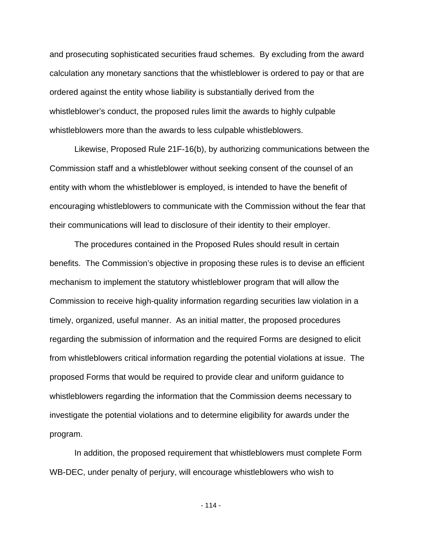and prosecuting sophisticated securities fraud schemes. By excluding from the award calculation any monetary sanctions that the whistleblower is ordered to pay or that are ordered against the entity whose liability is substantially derived from the whistleblower's conduct, the proposed rules limit the awards to highly culpable whistleblowers more than the awards to less culpable whistleblowers.

Likewise, Proposed Rule 21F-16(b), by authorizing communications between the Commission staff and a whistleblower without seeking consent of the counsel of an entity with whom the whistleblower is employed, is intended to have the benefit of encouraging whistleblowers to communicate with the Commission without the fear that their communications will lead to disclosure of their identity to their employer.

The procedures contained in the Proposed Rules should result in certain benefits. The Commission's objective in proposing these rules is to devise an efficient mechanism to implement the statutory whistleblower program that will allow the Commission to receive high-quality information regarding securities law violation in a timely, organized, useful manner. As an initial matter, the proposed procedures regarding the submission of information and the required Forms are designed to elicit from whistleblowers critical information regarding the potential violations at issue. The proposed Forms that would be required to provide clear and uniform guidance to whistleblowers regarding the information that the Commission deems necessary to investigate the potential violations and to determine eligibility for awards under the program.

In addition, the proposed requirement that whistleblowers must complete Form WB-DEC, under penalty of perjury, will encourage whistleblowers who wish to

- 114 -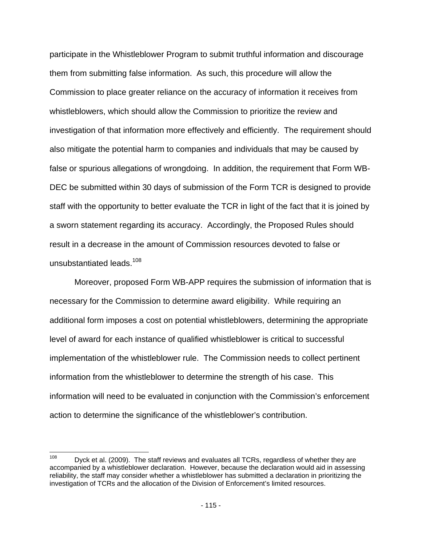participate in the Whistleblower Program to submit truthful information and discourage them from submitting false information. As such, this procedure will allow the Commission to place greater reliance on the accuracy of information it receives from whistleblowers, which should allow the Commission to prioritize the review and investigation of that information more effectively and efficiently. The requirement should also mitigate the potential harm to companies and individuals that may be caused by false or spurious allegations of wrongdoing. In addition, the requirement that Form WB-DEC be submitted within 30 days of submission of the Form TCR is designed to provide staff with the opportunity to better evaluate the TCR in light of the fact that it is joined by a sworn statement regarding its accuracy. Accordingly, the Proposed Rules should result in a decrease in the amount of Commission resources devoted to false or unsubstantiated leads.<sup>108</sup>

Moreover, proposed Form WB-APP requires the submission of information that is necessary for the Commission to determine award eligibility. While requiring an additional form imposes a cost on potential whistleblowers, determining the appropriate level of award for each instance of qualified whistleblower is critical to successful implementation of the whistleblower rule. The Commission needs to collect pertinent information from the whistleblower to determine the strength of his case. This information will need to be evaluated in conjunction with the Commission's enforcement action to determine the significance of the whistleblower's contribution.

1

 108 Dyck et al. (2009). The staff reviews and evaluates all TCRs, regardless of whether they are accompanied by a whistleblower declaration. However, because the declaration would aid in assessing reliability, the staff may consider whether a whistleblower has submitted a declaration in prioritizing the investigation of TCRs and the allocation of the Division of Enforcement's limited resources.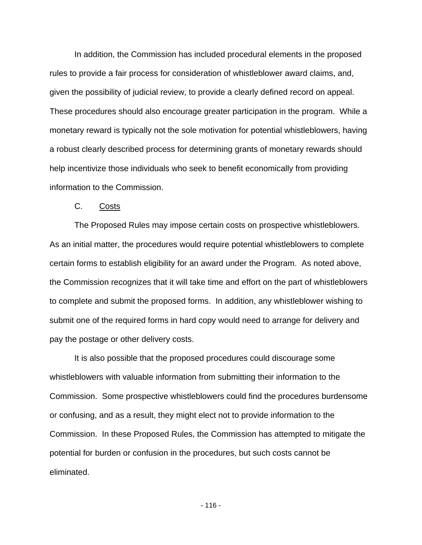In addition, the Commission has included procedural elements in the proposed rules to provide a fair process for consideration of whistleblower award claims, and, given the possibility of judicial review, to provide a clearly defined record on appeal. These procedures should also encourage greater participation in the program. While a monetary reward is typically not the sole motivation for potential whistleblowers, having a robust clearly described process for determining grants of monetary rewards should help incentivize those individuals who seek to benefit economically from providing information to the Commission.

### C. Costs

The Proposed Rules may impose certain costs on prospective whistleblowers. As an initial matter, the procedures would require potential whistleblowers to complete certain forms to establish eligibility for an award under the Program. As noted above, the Commission recognizes that it will take time and effort on the part of whistleblowers to complete and submit the proposed forms. In addition, any whistleblower wishing to submit one of the required forms in hard copy would need to arrange for delivery and pay the postage or other delivery costs.

It is also possible that the proposed procedures could discourage some whistleblowers with valuable information from submitting their information to the Commission. Some prospective whistleblowers could find the procedures burdensome or confusing, and as a result, they might elect not to provide information to the Commission. In these Proposed Rules, the Commission has attempted to mitigate the potential for burden or confusion in the procedures, but such costs cannot be eliminated.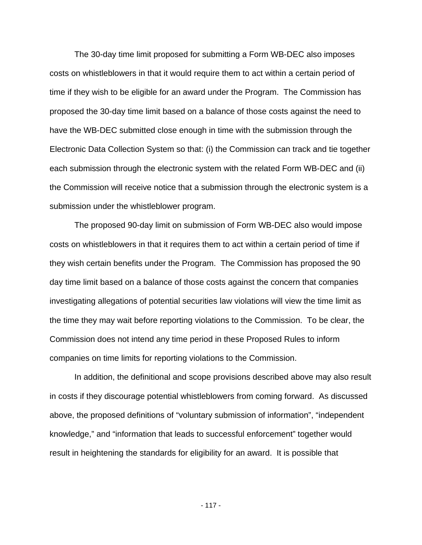The 30-day time limit proposed for submitting a Form WB-DEC also imposes costs on whistleblowers in that it would require them to act within a certain period of time if they wish to be eligible for an award under the Program. The Commission has proposed the 30-day time limit based on a balance of those costs against the need to have the WB-DEC submitted close enough in time with the submission through the Electronic Data Collection System so that: (i) the Commission can track and tie together each submission through the electronic system with the related Form WB-DEC and (ii) the Commission will receive notice that a submission through the electronic system is a submission under the whistleblower program.

The proposed 90-day limit on submission of Form WB-DEC also would impose costs on whistleblowers in that it requires them to act within a certain period of time if they wish certain benefits under the Program. The Commission has proposed the 90 day time limit based on a balance of those costs against the concern that companies investigating allegations of potential securities law violations will view the time limit as the time they may wait before reporting violations to the Commission. To be clear, the Commission does not intend any time period in these Proposed Rules to inform companies on time limits for reporting violations to the Commission.

In addition, the definitional and scope provisions described above may also result in costs if they discourage potential whistleblowers from coming forward. As discussed above, the proposed definitions of "voluntary submission of information", "independent knowledge," and "information that leads to successful enforcement" together would result in heightening the standards for eligibility for an award. It is possible that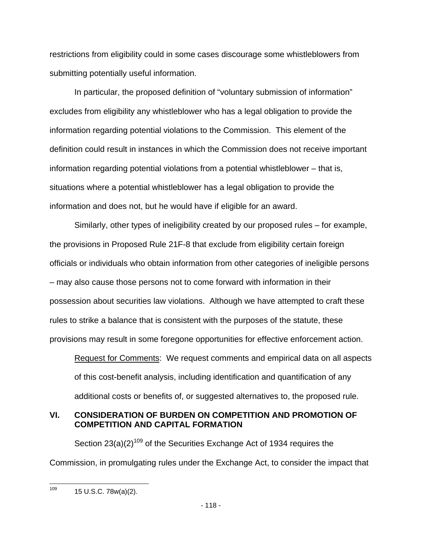restrictions from eligibility could in some cases discourage some whistleblowers from submitting potentially useful information.

In particular, the proposed definition of "voluntary submission of information" excludes from eligibility any whistleblower who has a legal obligation to provide the information regarding potential violations to the Commission. This element of the definition could result in instances in which the Commission does not receive important information regarding potential violations from a potential whistleblower – that is, situations where a potential whistleblower has a legal obligation to provide the information and does not, but he would have if eligible for an award.

Similarly, other types of ineligibility created by our proposed rules – for example, the provisions in Proposed Rule 21F-8 that exclude from eligibility certain foreign officials or individuals who obtain information from other categories of ineligible persons – may also cause those persons not to come forward with information in their possession about securities law violations. Although we have attempted to craft these rules to strike a balance that is consistent with the purposes of the statute, these provisions may result in some foregone opportunities for effective enforcement action.

 additional costs or benefits of, or suggested alternatives to, the proposed rule. Request for Comments: We request comments and empirical data on all aspects of this cost-benefit analysis, including identification and quantification of any

# **VI. CONSIDERATION OF BURDEN ON COMPETITION AND PROMOTION OF COMPETITION AND CAPITAL FORMATION**

Section  $23(a)(2)^{109}$  of the Securities Exchange Act of 1934 requires the Commission, in promulgating rules under the Exchange Act, to consider the impact that

<sup>1</sup>  109 15 U.S.C. 78w(a)(2).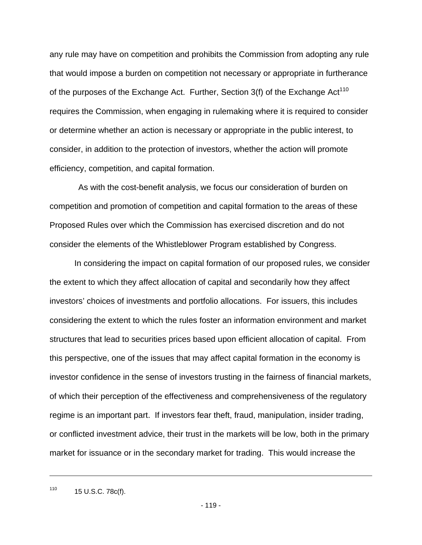any rule may have on competition and prohibits the Commission from adopting any rule that would impose a burden on competition not necessary or appropriate in furtherance of the purposes of the Exchange Act. Further, Section  $3(f)$  of the Exchange Act<sup>110</sup> requires the Commission, when engaging in rulemaking where it is required to consider or determine whether an action is necessary or appropriate in the public interest, to consider, in addition to the protection of investors, whether the action will promote efficiency, competition, and capital formation.

As with the cost-benefit analysis, we focus our consideration of burden on competition and promotion of competition and capital formation to the areas of these Proposed Rules over which the Commission has exercised discretion and do not consider the elements of the Whistleblower Program established by Congress.

In considering the impact on capital formation of our proposed rules, we consider the extent to which they affect allocation of capital and secondarily how they affect investors' choices of investments and portfolio allocations. For issuers, this includes considering the extent to which the rules foster an information environment and market structures that lead to securities prices based upon efficient allocation of capital. From this perspective, one of the issues that may affect capital formation in the economy is investor confidence in the sense of investors trusting in the fairness of financial markets, of which their perception of the effectiveness and comprehensiveness of the regulatory regime is an important part. If investors fear theft, fraud, manipulation, insider trading, or conflicted investment advice, their trust in the markets will be low, both in the primary market for issuance or in the secondary market for trading. This would increase the

1

 110 15 U.S.C. 78c(f).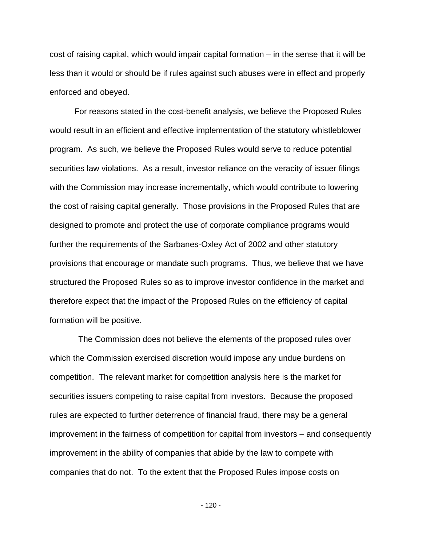enforced and obeyed. cost of raising capital, which would impair capital formation – in the sense that it will be less than it would or should be if rules against such abuses were in effect and properly

For reasons stated in the cost-benefit analysis, we believe the Proposed Rules would result in an efficient and effective implementation of the statutory whistleblower program. As such, we believe the Proposed Rules would serve to reduce potential securities law violations. As a result, investor reliance on the veracity of issuer filings with the Commission may increase incrementally, which would contribute to lowering the cost of raising capital generally. Those provisions in the Proposed Rules that are designed to promote and protect the use of corporate compliance programs would further the requirements of the Sarbanes-Oxley Act of 2002 and other statutory provisions that encourage or mandate such programs. Thus, we believe that we have structured the Proposed Rules so as to improve investor confidence in the market and therefore expect that the impact of the Proposed Rules on the efficiency of capital formation will be positive.

The Commission does not believe the elements of the proposed rules over which the Commission exercised discretion would impose any undue burdens on competition. The relevant market for competition analysis here is the market for securities issuers competing to raise capital from investors. Because the proposed rules are expected to further deterrence of financial fraud, there may be a general improvement in the fairness of competition for capital from investors – and consequently improvement in the ability of companies that abide by the law to compete with companies that do not. To the extent that the Proposed Rules impose costs on

- 120 -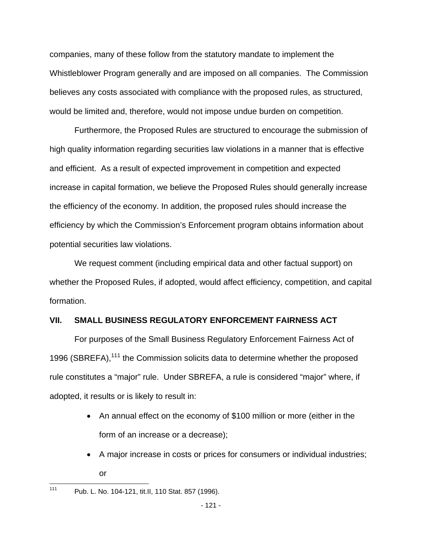companies, many of these follow from the statutory mandate to implement the Whistleblower Program generally and are imposed on all companies. The Commission believes any costs associated with compliance with the proposed rules, as structured, would be limited and, therefore, would not impose undue burden on competition.

Furthermore, the Proposed Rules are structured to encourage the submission of high quality information regarding securities law violations in a manner that is effective and efficient. As a result of expected improvement in competition and expected increase in capital formation, we believe the Proposed Rules should generally increase the efficiency of the economy. In addition, the proposed rules should increase the efficiency by which the Commission's Enforcement program obtains information about potential securities law violations.

We request comment (including empirical data and other factual support) on whether the Proposed Rules, if adopted, would affect efficiency, competition, and capital formation.

## **VII. SMALL BUSINESS REGULATORY ENFORCEMENT FAIRNESS ACT**

For purposes of the Small Business Regulatory Enforcement Fairness Act of 1996 (SBREFA),<sup>111</sup> the Commission solicits data to determine whether the proposed rule constitutes a "major" rule. Under SBREFA, a rule is considered "major" where, if adopted, it results or is likely to result in:

- An annual effect on the economy of \$100 million or more (either in the form of an increase or a decrease);
- A major increase in costs or prices for consumers or individual industries; or

 $\overline{a}$  111 Pub. L. No. 104-121, tit.II, 110 Stat. 857 (1996).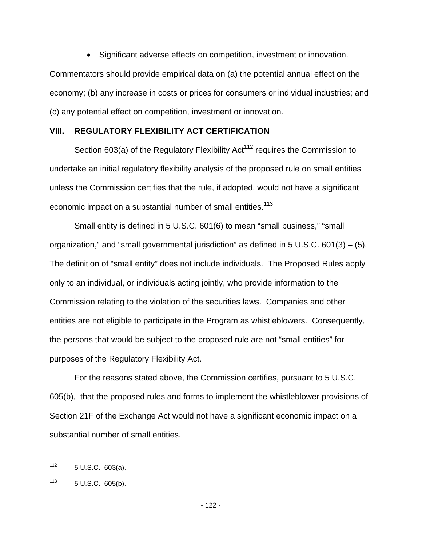• Significant adverse effects on competition, investment or innovation. Commentators should provide empirical data on (a) the potential annual effect on the economy; (b) any increase in costs or prices for consumers or individual industries; and (c) any potential effect on competition, investment or innovation.

## **VIII. REGULATORY FLEXIBILITY ACT CERTIFICATION**

economic impact on a substantial number of small entities. $113$ Section 603(a) of the Regulatory Flexibility Act<sup>112</sup> requires the Commission to undertake an initial regulatory flexibility analysis of the proposed rule on small entities unless the Commission certifies that the rule, if adopted, would not have a significant

Small entity is defined in 5 U.S.C. 601(6) to mean "small business," "small organization," and "small governmental jurisdiction" as defined in 5 U.S.C. 601(3) – (5). The definition of "small entity" does not include individuals. The Proposed Rules apply only to an individual, or individuals acting jointly, who provide information to the Commission relating to the violation of the securities laws. Companies and other entities are not eligible to participate in the Program as whistleblowers. Consequently, the persons that would be subject to the proposed rule are not "small entities" for purposes of the Regulatory Flexibility Act.

For the reasons stated above, the Commission certifies, pursuant to 5 U.S.C. 605(b), that the proposed rules and forms to implement the whistleblower provisions of Section 21F of the Exchange Act would not have a significant economic impact on a substantial number of small entities.

<sup>1</sup>  $5 U.S.C. 603(a)$ .

 $5 U.S.C. 605(b).$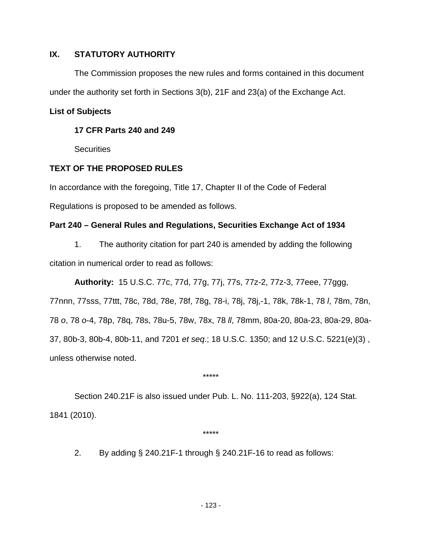## **IX. STATUTORY AUTHORITY**

The Commission proposes the new rules and forms contained in this document under the authority set forth in Sections 3(b), 21F and 23(a) of the Exchange Act.

## **List of Subjects**

# **17 CFR Parts 240 and 249**

**Securities** 

# **TEXT OF THE PROPOSED RULES**

In accordance with the foregoing, Title 17, Chapter II of the Code of Federal

Regulations is proposed to be amended as follows.

# **Part 240 – General Rules and Regulations, Securities Exchange Act of 1934**

1. The authority citation for part 240 is amended by adding the following citation in numerical order to read as follows:

**Authority:** 15 U.S.C. 77c, 77d, 77g, 77j, 77s, 77z-2, 77z-3, 77eee, 77ggg, 77nnn, 77sss, 77ttt, 78c, 78d, 78e, 78f, 78g, 78-i, 78j, 78j,-1, 78k, 78k-1, 78 *l*, 78m, 78n, 78 *o*, 78 *o*-4, 78p, 78q, 78s, 78u-5, 78w, 78x, 78 *ll*, 78mm, 80a-20, 80a-23, 80a-29, 80a-37, 80b-3, 80b-4, 80b-11, and 7201 *et seq*.; 18 U.S.C. 1350; and 12 U.S.C. 5221(e)(3) , unless otherwise noted.

\*\*\*\*\*

Section 240.21F is also issued under Pub. L. No. 111-203, §922(a), 124 Stat. 1841 (2010).

\*\*\*\*\*

2. By adding § 240.21F-1 through § 240.21F-16 to read as follows: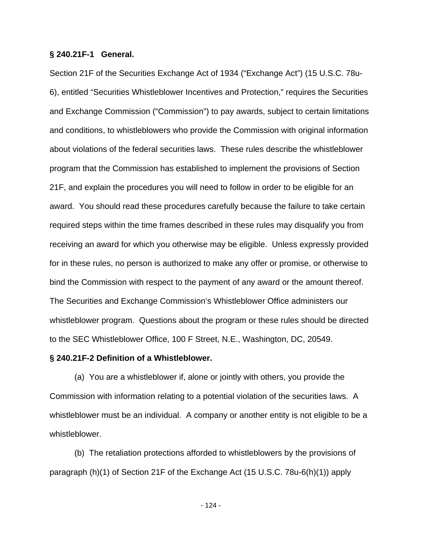### **§ 240.21F-1 General.**

Section 21F of the Securities Exchange Act of 1934 ("Exchange Act") (15 U.S.C. 78u-6), entitled "Securities Whistleblower Incentives and Protection," requires the Securities and Exchange Commission ("Commission") to pay awards, subject to certain limitations and conditions, to whistleblowers who provide the Commission with original information about violations of the federal securities laws. These rules describe the whistleblower program that the Commission has established to implement the provisions of Section 21F, and explain the procedures you will need to follow in order to be eligible for an award. You should read these procedures carefully because the failure to take certain required steps within the time frames described in these rules may disqualify you from receiving an award for which you otherwise may be eligible. Unless expressly provided for in these rules, no person is authorized to make any offer or promise, or otherwise to bind the Commission with respect to the payment of any award or the amount thereof. The Securities and Exchange Commission's Whistleblower Office administers our whistleblower program. Questions about the program or these rules should be directed to the SEC Whistleblower Office, 100 F Street, N.E., Washington, DC, 20549.

### **§ 240.21F-2 Definition of a Whistleblower.**

(a) You are a whistleblower if, alone or jointly with others, you provide the Commission with information relating to a potential violation of the securities laws. A whistleblower must be an individual. A company or another entity is not eligible to be a whistleblower.

(b) The retaliation protections afforded to whistleblowers by the provisions of paragraph (h)(1) of Section 21F of the Exchange Act (15 U.S.C. 78u-6(h)(1)) apply

- 124 -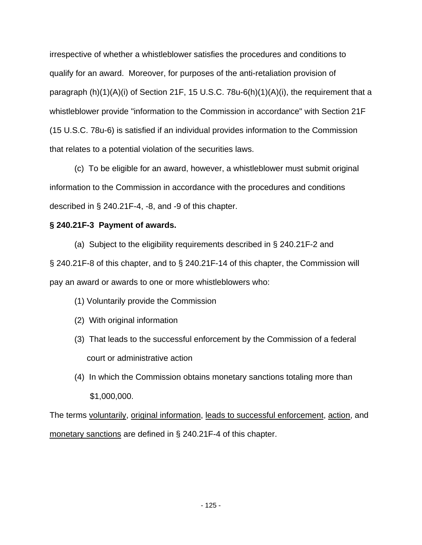irrespective of whether a whistleblower satisfies the procedures and conditions to qualify for an award. Moreover, for purposes of the anti-retaliation provision of paragraph (h)(1)(A)(i) of Section 21F, 15 U.S.C. 78u-6(h)(1)(A)(i), the requirement that a whistleblower provide "information to the Commission in accordance" with Section 21F (15 U.S.C. 78u-6) is satisfied if an individual provides information to the Commission that relates to a potential violation of the securities laws.

(c) To be eligible for an award, however, a whistleblower must submit original information to the Commission in accordance with the procedures and conditions described in § 240.21F-4, -8, and -9 of this chapter.

## **§ 240.21F-3 Payment of awards.**

(a) Subject to the eligibility requirements described in § 240.21F-2 and

§ 240.21F-8 of this chapter, and to § 240.21F-14 of this chapter, the Commission will pay an award or awards to one or more whistleblowers who:

- (1) Voluntarily provide the Commission
- (2) With original information
- (3) That leads to the successful enforcement by the Commission of a federal court or administrative action
- (4) In which the Commission obtains monetary sanctions totaling more than \$1,000,000.

The terms voluntarily, original information, leads to successful enforcement, action, and monetary sanctions are defined in § 240.21F-4 of this chapter.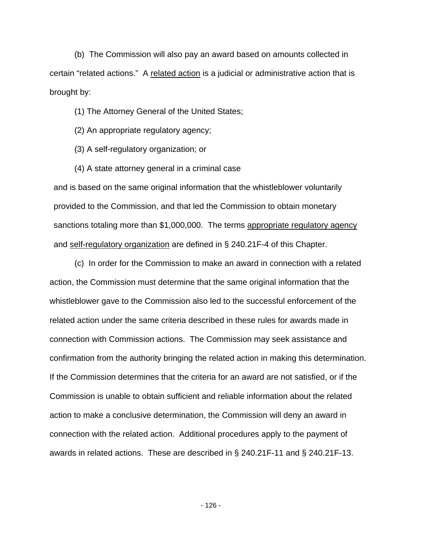(b) The Commission will also pay an award based on amounts collected in certain "related actions." A related action is a judicial or administrative action that is brought by:

(1) The Attorney General of the United States;

(2) An appropriate regulatory agency;

(3) A self-regulatory organization; or

(4) A state attorney general in a criminal case

and is based on the same original information that the whistleblower voluntarily provided to the Commission, and that led the Commission to obtain monetary sanctions totaling more than \$1,000,000. The terms appropriate regulatory agency and self-regulatory organization are defined in § 240.21F-4 of this Chapter.

(c) In order for the Commission to make an award in connection with a related action, the Commission must determine that the same original information that the whistleblower gave to the Commission also led to the successful enforcement of the related action under the same criteria described in these rules for awards made in connection with Commission actions. The Commission may seek assistance and confirmation from the authority bringing the related action in making this determination. If the Commission determines that the criteria for an award are not satisfied, or if the Commission is unable to obtain sufficient and reliable information about the related action to make a conclusive determination, the Commission will deny an award in connection with the related action. Additional procedures apply to the payment of awards in related actions. These are described in § 240.21F-11 and § 240.21F-13.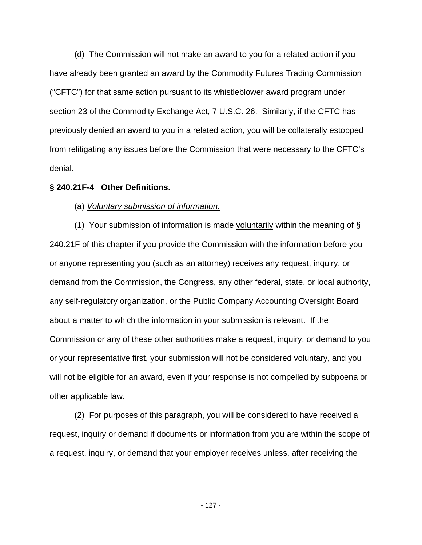(d) The Commission will not make an award to you for a related action if you have already been granted an award by the Commodity Futures Trading Commission ("CFTC") for that same action pursuant to its whistleblower award program under section 23 of the Commodity Exchange Act, 7 U.S.C. 26. Similarly, if the CFTC has previously denied an award to you in a related action, you will be collaterally estopped from relitigating any issues before the Commission that were necessary to the CFTC's denial.

#### **§ 240.21F-4 Other Definitions.**

#### (a) *Voluntary submission of information.*

(1) Your submission of information is made voluntarily within the meaning of  $\S$ 240.21F of this chapter if you provide the Commission with the information before you or anyone representing you (such as an attorney) receives any request, inquiry, or demand from the Commission, the Congress, any other federal, state, or local authority, any self-regulatory organization, or the Public Company Accounting Oversight Board about a matter to which the information in your submission is relevant. If the Commission or any of these other authorities make a request, inquiry, or demand to you or your representative first, your submission will not be considered voluntary, and you will not be eligible for an award, even if your response is not compelled by subpoena or other applicable law.

(2) For purposes of this paragraph, you will be considered to have received a request, inquiry or demand if documents or information from you are within the scope of a request, inquiry, or demand that your employer receives unless, after receiving the

- 127 -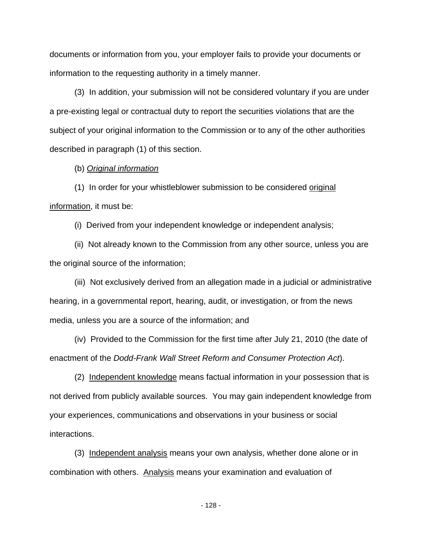documents or information from you, your employer fails to provide your documents or information to the requesting authority in a timely manner.

(3) In addition, your submission will not be considered voluntary if you are under a pre-existing legal or contractual duty to report the securities violations that are the subject of your original information to the Commission or to any of the other authorities described in paragraph (1) of this section.

(b) *Original information* 

(1) In order for your whistleblower submission to be considered original information, it must be:

(i) Derived from your independent knowledge or independent analysis;

(ii) Not already known to the Commission from any other source, unless you are the original source of the information;

(iii) Not exclusively derived from an allegation made in a judicial or administrative hearing, in a governmental report, hearing, audit, or investigation, or from the news media, unless you are a source of the information; and

(iv) Provided to the Commission for the first time after July 21, 2010 (the date of enactment of the *Dodd-Frank Wall Street Reform and Consumer Protection Act*).

(2) Independent knowledge means factual information in your possession that is not derived from publicly available sources. You may gain independent knowledge from your experiences, communications and observations in your business or social interactions.

(3) Independent analysis means your own analysis, whether done alone or in combination with others. Analysis means your examination and evaluation of

- 128 -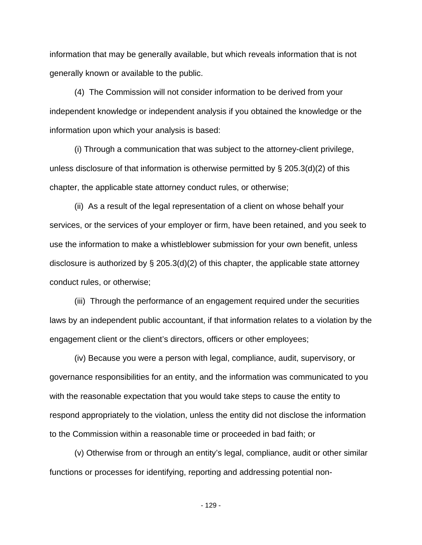information that may be generally available, but which reveals information that is not generally known or available to the public.

(4) The Commission will not consider information to be derived from your independent knowledge or independent analysis if you obtained the knowledge or the information upon which your analysis is based:

(i) Through a communication that was subject to the attorney-client privilege, unless disclosure of that information is otherwise permitted by § 205.3(d)(2) of this chapter, the applicable state attorney conduct rules, or otherwise;

conduct rules, or otherwise; (ii) As a result of the legal representation of a client on whose behalf your services, or the services of your employer or firm, have been retained, and you seek to use the information to make a whistleblower submission for your own benefit, unless disclosure is authorized by § 205.3(d)(2) of this chapter, the applicable state attorney

(iii) Through the performance of an engagement required under the securities laws by an independent public accountant, if that information relates to a violation by the engagement client or the client's directors, officers or other employees;

(iv) Because you were a person with legal, compliance, audit, supervisory, or governance responsibilities for an entity, and the information was communicated to you with the reasonable expectation that you would take steps to cause the entity to respond appropriately to the violation, unless the entity did not disclose the information to the Commission within a reasonable time or proceeded in bad faith; or

(v) Otherwise from or through an entity's legal, compliance, audit or other similar functions or processes for identifying, reporting and addressing potential non-

- 129 -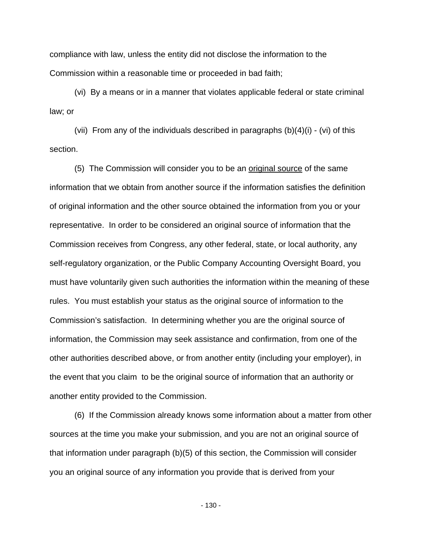compliance with law, unless the entity did not disclose the information to the Commission within a reasonable time or proceeded in bad faith;

(vi) By a means or in a manner that violates applicable federal or state criminal law; or

(vii) From any of the individuals described in paragraphs  $(b)(4)(i)$  - (vi) of this section.

(5) The Commission will consider you to be an original source of the same information that we obtain from another source if the information satisfies the definition of original information and the other source obtained the information from you or your representative. In order to be considered an original source of information that the Commission receives from Congress, any other federal, state, or local authority, any self-regulatory organization, or the Public Company Accounting Oversight Board, you must have voluntarily given such authorities the information within the meaning of these rules. You must establish your status as the original source of information to the Commission's satisfaction. In determining whether you are the original source of information, the Commission may seek assistance and confirmation, from one of the other authorities described above, or from another entity (including your employer), in the event that you claim to be the original source of information that an authority or another entity provided to the Commission.

(6) If the Commission already knows some information about a matter from other sources at the time you make your submission, and you are not an original source of that information under paragraph (b)(5) of this section, the Commission will consider you an original source of any information you provide that is derived from your

- 130 -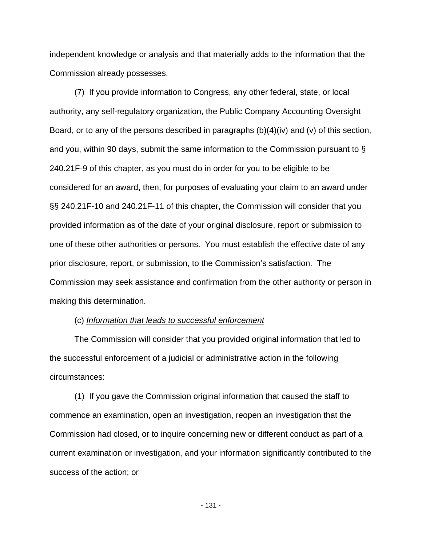independent knowledge or analysis and that materially adds to the information that the Commission already possesses.

(7) If you provide information to Congress, any other federal, state, or local authority, any self-regulatory organization, the Public Company Accounting Oversight Board, or to any of the persons described in paragraphs (b)(4)(iv) and (v) of this section, and you, within 90 days, submit the same information to the Commission pursuant to § 240.21F-9 of this chapter, as you must do in order for you to be eligible to be considered for an award, then, for purposes of evaluating your claim to an award under §§ 240.21F-10 and 240.21F-11 of this chapter, the Commission will consider that you provided information as of the date of your original disclosure, report or submission to one of these other authorities or persons. You must establish the effective date of any prior disclosure, report, or submission, to the Commission's satisfaction. The Commission may seek assistance and confirmation from the other authority or person in making this determination.

#### (c) *Information that leads to successful enforcement*

The Commission will consider that you provided original information that led to the successful enforcement of a judicial or administrative action in the following circumstances:

(1) If you gave the Commission original information that caused the staff to commence an examination, open an investigation, reopen an investigation that the Commission had closed, or to inquire concerning new or different conduct as part of a current examination or investigation, and your information significantly contributed to the success of the action; or

- 131 -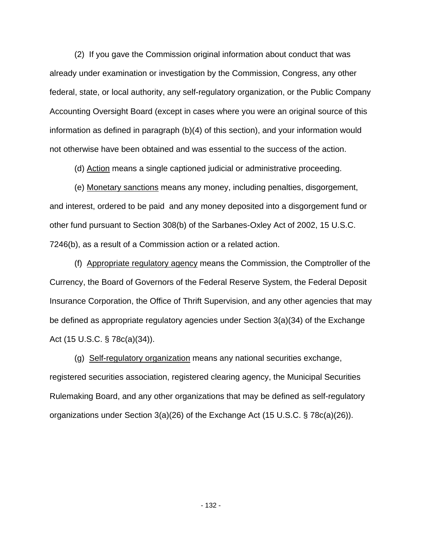(2) If you gave the Commission original information about conduct that was already under examination or investigation by the Commission, Congress, any other federal, state, or local authority, any self-regulatory organization, or the Public Company Accounting Oversight Board (except in cases where you were an original source of this information as defined in paragraph (b)(4) of this section), and your information would not otherwise have been obtained and was essential to the success of the action.

(d) Action means a single captioned judicial or administrative proceeding.

(e) Monetary sanctions means any money, including penalties, disgorgement, and interest, ordered to be paid and any money deposited into a disgorgement fund or other fund pursuant to Section 308(b) of the Sarbanes-Oxley Act of 2002, 15 U.S.C. 7246(b), as a result of a Commission action or a related action.

(f) Appropriate regulatory agency means the Commission, the Comptroller of the Currency, the Board of Governors of the Federal Reserve System, the Federal Deposit Insurance Corporation, the Office of Thrift Supervision, and any other agencies that may be defined as appropriate regulatory agencies under Section 3(a)(34) of the Exchange Act (15 U.S.C. § 78c(a)(34)).

(g) Self-regulatory organization means any national securities exchange, registered securities association, registered clearing agency, the Municipal Securities Rulemaking Board, and any other organizations that may be defined as self-regulatory organizations under Section 3(a)(26) of the Exchange Act (15 U.S.C. § 78c(a)(26)).

- 132 -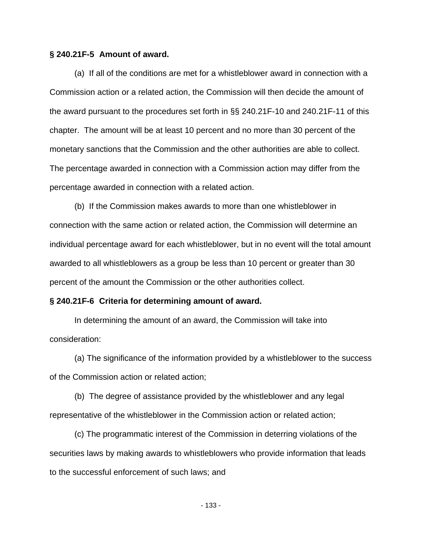#### **§ 240.21F-5 Amount of award.**

(a) If all of the conditions are met for a whistleblower award in connection with a Commission action or a related action, the Commission will then decide the amount of the award pursuant to the procedures set forth in §§ 240.21F-10 and 240.21F-11 of this chapter. The amount will be at least 10 percent and no more than 30 percent of the monetary sanctions that the Commission and the other authorities are able to collect. The percentage awarded in connection with a Commission action may differ from the percentage awarded in connection with a related action.

(b) If the Commission makes awards to more than one whistleblower in connection with the same action or related action, the Commission will determine an individual percentage award for each whistleblower, but in no event will the total amount awarded to all whistleblowers as a group be less than 10 percent or greater than 30 percent of the amount the Commission or the other authorities collect.

### **§ 240.21F-6 Criteria for determining amount of award.**

In determining the amount of an award, the Commission will take into consideration:

(a) The significance of the information provided by a whistleblower to the success of the Commission action or related action;

(b) The degree of assistance provided by the whistleblower and any legal representative of the whistleblower in the Commission action or related action;

(c) The programmatic interest of the Commission in deterring violations of the securities laws by making awards to whistleblowers who provide information that leads to the successful enforcement of such laws; and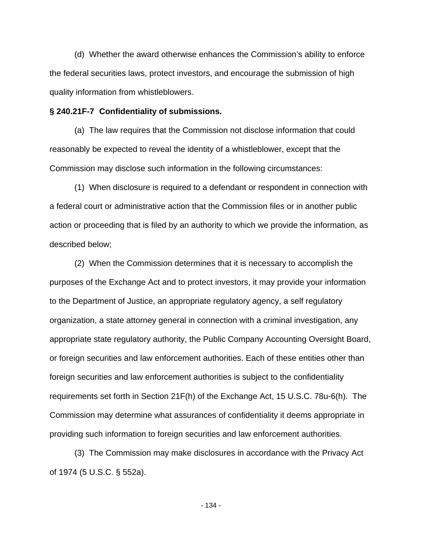(d) Whether the award otherwise enhances the Commission's ability to enforce the federal securities laws, protect investors, and encourage the submission of high quality information from whistleblowers.

### **§ 240.21F-7 Confidentiality of submissions.**

(a) The law requires that the Commission not disclose information that could reasonably be expected to reveal the identity of a whistleblower, except that the Commission may disclose such information in the following circumstances:

(1) When disclosure is required to a defendant or respondent in connection with a federal court or administrative action that the Commission files or in another public action or proceeding that is filed by an authority to which we provide the information, as described below;

(2) When the Commission determines that it is necessary to accomplish the purposes of the Exchange Act and to protect investors, it may provide your information to the Department of Justice, an appropriate regulatory agency, a self regulatory organization, a state attorney general in connection with a criminal investigation, any appropriate state regulatory authority, the Public Company Accounting Oversight Board, or foreign securities and law enforcement authorities. Each of these entities other than foreign securities and law enforcement authorities is subject to the confidentiality requirements set forth in Section 21F(h) of the Exchange Act, 15 U.S.C. 78u-6(h). The Commission may determine what assurances of confidentiality it deems appropriate in providing such information to foreign securities and law enforcement authorities.

(3) The Commission may make disclosures in accordance with the Privacy Act of 1974 (5 U.S.C. § 552a).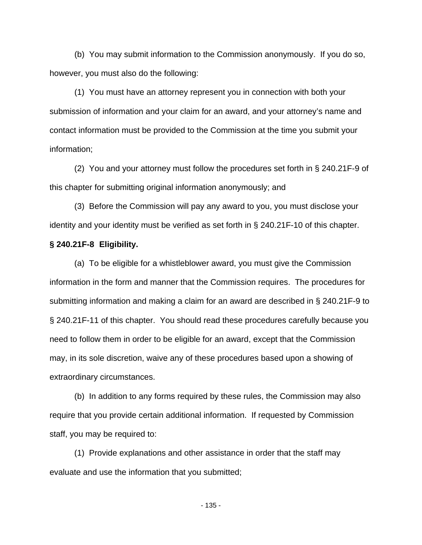(b) You may submit information to the Commission anonymously. If you do so, however, you must also do the following:

(1) You must have an attorney represent you in connection with both your submission of information and your claim for an award, and your attorney's name and contact information must be provided to the Commission at the time you submit your information;

(2) You and your attorney must follow the procedures set forth in § 240.21F-9 of this chapter for submitting original information anonymously; and

(3) Before the Commission will pay any award to you, you must disclose your identity and your identity must be verified as set forth in § 240.21F-10 of this chapter.

#### **§ 240.21F-8 Eligibility.**

(a) To be eligible for a whistleblower award, you must give the Commission information in the form and manner that the Commission requires. The procedures for submitting information and making a claim for an award are described in § 240.21F-9 to § 240.21F-11 of this chapter. You should read these procedures carefully because you need to follow them in order to be eligible for an award, except that the Commission may, in its sole discretion, waive any of these procedures based upon a showing of extraordinary circumstances.

(b) In addition to any forms required by these rules, the Commission may also require that you provide certain additional information. If requested by Commission staff, you may be required to:

(1) Provide explanations and other assistance in order that the staff may evaluate and use the information that you submitted;

- 135 -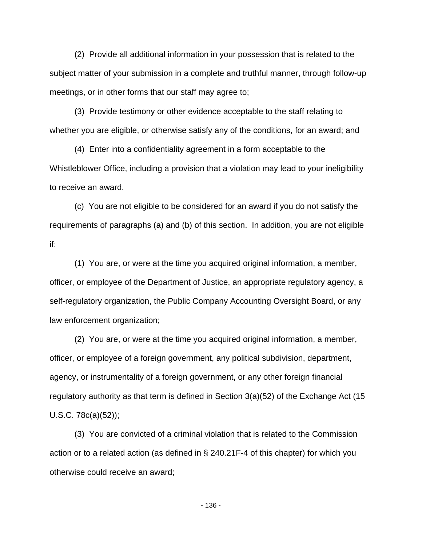(2) Provide all additional information in your possession that is related to the subject matter of your submission in a complete and truthful manner, through follow-up meetings, or in other forms that our staff may agree to;

(3) Provide testimony or other evidence acceptable to the staff relating to whether you are eligible, or otherwise satisfy any of the conditions, for an award; and

(4) Enter into a confidentiality agreement in a form acceptable to the Whistleblower Office, including a provision that a violation may lead to your ineligibility to receive an award.

(c) You are not eligible to be considered for an award if you do not satisfy the requirements of paragraphs (a) and (b) of this section. In addition, you are not eligible if:

law enforcement organization; (1) You are, or were at the time you acquired original information, a member, officer, or employee of the Department of Justice, an appropriate regulatory agency, a self-regulatory organization, the Public Company Accounting Oversight Board, or any

 $\langle 2 \rangle$  You are, or were at the time you acquired original information, a member, officer, or employee of a foreign government, any political subdivision, department, agency, or instrumentality of a foreign government, or any other foreign financial regulatory authority as that term is defined in Section 3(a)(52) of the Exchange Act (15 U.S.C. 78c(a)(52));

(3) You are convicted of a criminal violation that is related to the Commission action or to a related action (as defined in § 240.21F-4 of this chapter) for which you otherwise could receive an award;

- 136 -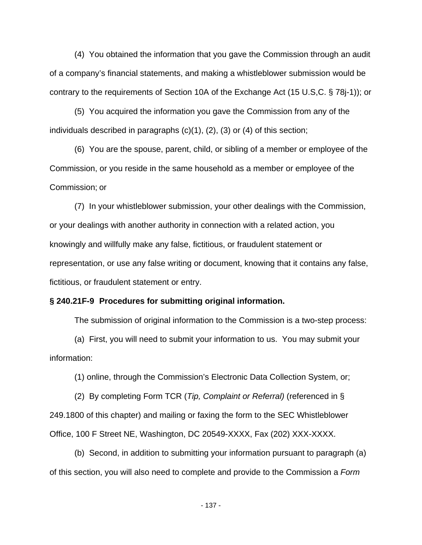(4) You obtained the information that you gave the Commission through an audit of a company's financial statements, and making a whistleblower submission would be contrary to the requirements of Section 10A of the Exchange Act (15 U.S,C. § 78j-1)); or

(5) You acquired the information you gave the Commission from any of the individuals described in paragraphs  $(c)(1)$ ,  $(2)$ ,  $(3)$  or  $(4)$  of this section;

(6) You are the spouse, parent, child, or sibling of a member or employee of the Commission, or you reside in the same household as a member or employee of the Commission; or

(7) In your whistleblower submission, your other dealings with the Commission, or your dealings with another authority in connection with a related action, you knowingly and willfully make any false, fictitious, or fraudulent statement or representation, or use any false writing or document, knowing that it contains any false, fictitious, or fraudulent statement or entry.

### **§ 240.21F-9 Procedures for submitting original information.**

The submission of original information to the Commission is a two-step process:

(a) First, you will need to submit your information to us. You may submit your information:

(1) online, through the Commission's Electronic Data Collection System, or;

(2) By completing Form TCR (*Tip, Complaint or Referral)* (referenced in § 249.1800 of this chapter) and mailing or faxing the form to the SEC Whistleblower Office, 100 F Street NE, Washington, DC 20549-XXXX, Fax (202) XXX-XXXX.

(b) Second, in addition to submitting your information pursuant to paragraph (a) of this section, you will also need to complete and provide to the Commission a *Form*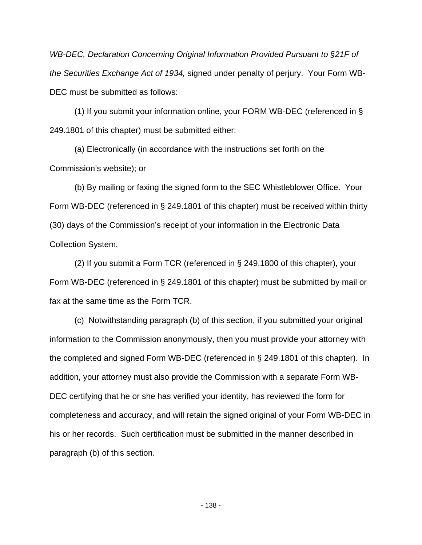*WB-DEC, Declaration Concerning Original Information Provided Pursuant to §21F of the Securities Exchange Act of 1934,* signed under penalty of perjury. Your Form WB-DEC must be submitted as follows:

(1) If you submit your information online, your FORM WB-DEC (referenced in § 249.1801 of this chapter) must be submitted either:

(a) Electronically (in accordance with the instructions set forth on the Commission's website); or

(b) By mailing or faxing the signed form to the SEC Whistleblower Office. Your Form WB-DEC (referenced in § 249.1801 of this chapter) must be received within thirty (30) days of the Commission's receipt of your information in the Electronic Data Collection System.

(2) If you submit a Form TCR (referenced in § 249.1800 of this chapter), your Form WB-DEC (referenced in § 249.1801 of this chapter) must be submitted by mail or fax at the same time as the Form TCR.

(c) Notwithstanding paragraph (b) of this section, if you submitted your original information to the Commission anonymously, then you must provide your attorney with the completed and signed Form WB-DEC (referenced in § 249.1801 of this chapter). In addition, your attorney must also provide the Commission with a separate Form WB-DEC certifying that he or she has verified your identity, has reviewed the form for completeness and accuracy, and will retain the signed original of your Form WB-DEC in his or her records. Such certification must be submitted in the manner described in paragraph (b) of this section.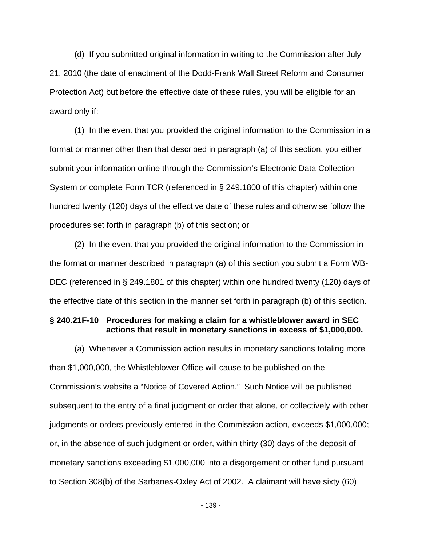(d) If you submitted original information in writing to the Commission after July 21, 2010 (the date of enactment of the Dodd-Frank Wall Street Reform and Consumer Protection Act) but before the effective date of these rules, you will be eligible for an award only if:

(1) In the event that you provided the original information to the Commission in a format or manner other than that described in paragraph (a) of this section, you either submit your information online through the Commission's Electronic Data Collection System or complete Form TCR (referenced in § 249.1800 of this chapter) within one hundred twenty (120) days of the effective date of these rules and otherwise follow the procedures set forth in paragraph (b) of this section; or

(2) In the event that you provided the original information to the Commission in the format or manner described in paragraph (a) of this section you submit a Form WB-DEC (referenced in § 249.1801 of this chapter) within one hundred twenty (120) days of the effective date of this section in the manner set forth in paragraph (b) of this section.

### **§ 240.21F-10 Procedures for making a claim for a whistleblower award in SEC actions that result in monetary sanctions in excess of \$1,000,000.**

(a) Whenever a Commission action results in monetary sanctions totaling more than \$1,000,000, the Whistleblower Office will cause to be published on the Commission's website a "Notice of Covered Action." Such Notice will be published subsequent to the entry of a final judgment or order that alone, or collectively with other judgments or orders previously entered in the Commission action, exceeds \$1,000,000; or, in the absence of such judgment or order, within thirty (30) days of the deposit of monetary sanctions exceeding \$1,000,000 into a disgorgement or other fund pursuant to Section 308(b) of the Sarbanes-Oxley Act of 2002. A claimant will have sixty (60)

- 139 -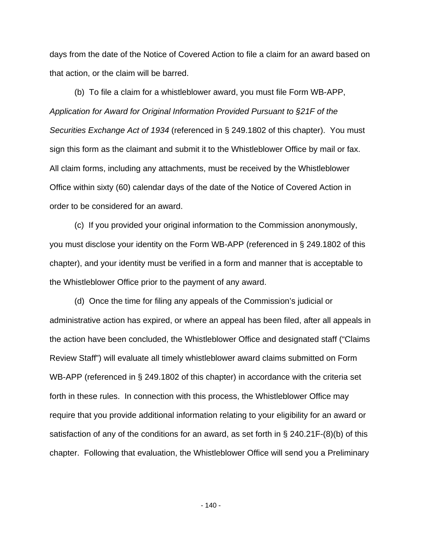days from the date of the Notice of Covered Action to file a claim for an award based on that action, or the claim will be barred.

sign this form as the claimant and submit it to the Whistleblower Office by mail or fax. (b) To file a claim for a whistleblower award, you must file Form WB-APP, *Application for Award for Original Information Provided Pursuant to §21F of the Securities Exchange Act of 1934* (referenced in § 249.1802 of this chapter). You must All claim forms, including any attachments, must be received by the Whistleblower Office within sixty (60) calendar days of the date of the Notice of Covered Action in order to be considered for an award.

(c) If you provided your original information to the Commission anonymously, you must disclose your identity on the Form WB-APP (referenced in § 249.1802 of this chapter), and your identity must be verified in a form and manner that is acceptable to the Whistleblower Office prior to the payment of any award.

(d) Once the time for filing any appeals of the Commission's judicial or administrative action has expired, or where an appeal has been filed, after all appeals in the action have been concluded, the Whistleblower Office and designated staff ("Claims Review Staff") will evaluate all timely whistleblower award claims submitted on Form WB-APP (referenced in § 249.1802 of this chapter) in accordance with the criteria set forth in these rules. In connection with this process, the Whistleblower Office may require that you provide additional information relating to your eligibility for an award or satisfaction of any of the conditions for an award, as set forth in § 240.21F-(8)(b) of this chapter. Following that evaluation, the Whistleblower Office will send you a Preliminary

- 140 -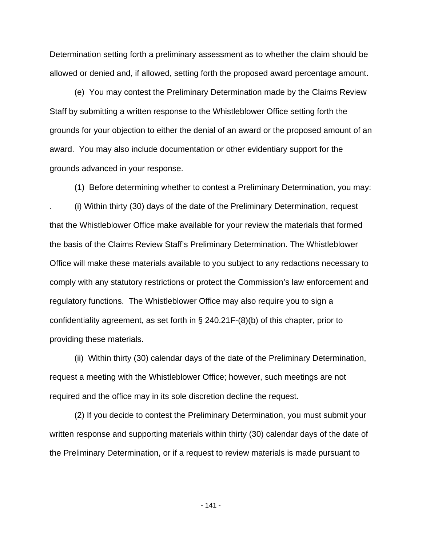Determination setting forth a preliminary assessment as to whether the claim should be allowed or denied and, if allowed, setting forth the proposed award percentage amount.

(e) You may contest the Preliminary Determination made by the Claims Review Staff by submitting a written response to the Whistleblower Office setting forth the grounds for your objection to either the denial of an award or the proposed amount of an award. You may also include documentation or other evidentiary support for the grounds advanced in your response.

(1) Before determining whether to contest a Preliminary Determination, you may:

. (i) Within thirty (30) days of the date of the Preliminary Determination, request that the Whistleblower Office make available for your review the materials that formed the basis of the Claims Review Staff's Preliminary Determination. The Whistleblower Office will make these materials available to you subject to any redactions necessary to comply with any statutory restrictions or protect the Commission's law enforcement and regulatory functions. The Whistleblower Office may also require you to sign a confidentiality agreement, as set forth in § 240.21F-(8)(b) of this chapter, prior to providing these materials.

(ii) Within thirty (30) calendar days of the date of the Preliminary Determination, request a meeting with the Whistleblower Office; however, such meetings are not required and the office may in its sole discretion decline the request.

(2) If you decide to contest the Preliminary Determination, you must submit your written response and supporting materials within thirty (30) calendar days of the date of the Preliminary Determination, or if a request to review materials is made pursuant to

- 141 -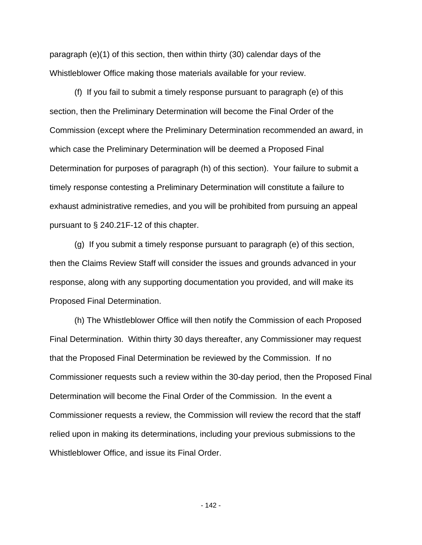paragraph (e)(1) of this section, then within thirty (30) calendar days of the Whistleblower Office making those materials available for your review.

(f) If you fail to submit a timely response pursuant to paragraph (e) of this section, then the Preliminary Determination will become the Final Order of the Commission (except where the Preliminary Determination recommended an award, in which case the Preliminary Determination will be deemed a Proposed Final Determination for purposes of paragraph (h) of this section). Your failure to submit a timely response contesting a Preliminary Determination will constitute a failure to exhaust administrative remedies, and you will be prohibited from pursuing an appeal pursuant to § 240.21F-12 of this chapter.

(g) If you submit a timely response pursuant to paragraph (e) of this section, then the Claims Review Staff will consider the issues and grounds advanced in your response, along with any supporting documentation you provided, and will make its Proposed Final Determination.

(h) The Whistleblower Office will then notify the Commission of each Proposed Final Determination. Within thirty 30 days thereafter, any Commissioner may request that the Proposed Final Determination be reviewed by the Commission. If no Commissioner requests such a review within the 30-day period, then the Proposed Final Determination will become the Final Order of the Commission. In the event a Commissioner requests a review, the Commission will review the record that the staff relied upon in making its determinations, including your previous submissions to the Whistleblower Office, and issue its Final Order.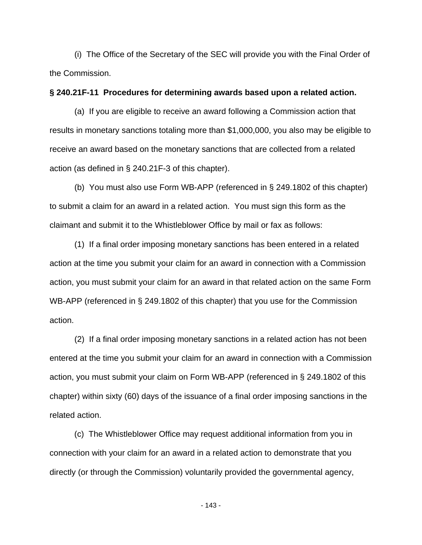(i) The Office of the Secretary of the SEC will provide you with the Final Order of the Commission.

### **§ 240.21F-11 Procedures for determining awards based upon a related action.**

(a) If you are eligible to receive an award following a Commission action that results in monetary sanctions totaling more than \$1,000,000, you also may be eligible to receive an award based on the monetary sanctions that are collected from a related action (as defined in § 240.21F-3 of this chapter).

(b) You must also use Form WB-APP (referenced in § 249.1802 of this chapter) to submit a claim for an award in a related action. You must sign this form as the claimant and submit it to the Whistleblower Office by mail or fax as follows:

(1) If a final order imposing monetary sanctions has been entered in a related action at the time you submit your claim for an award in connection with a Commission action, you must submit your claim for an award in that related action on the same Form WB-APP (referenced in § 249.1802 of this chapter) that you use for the Commission action.

(2) If a final order imposing monetary sanctions in a related action has not been entered at the time you submit your claim for an award in connection with a Commission action, you must submit your claim on Form WB-APP (referenced in § 249.1802 of this chapter) within sixty (60) days of the issuance of a final order imposing sanctions in the related action.

(c) The Whistleblower Office may request additional information from you in connection with your claim for an award in a related action to demonstrate that you directly (or through the Commission) voluntarily provided the governmental agency,

- 143 -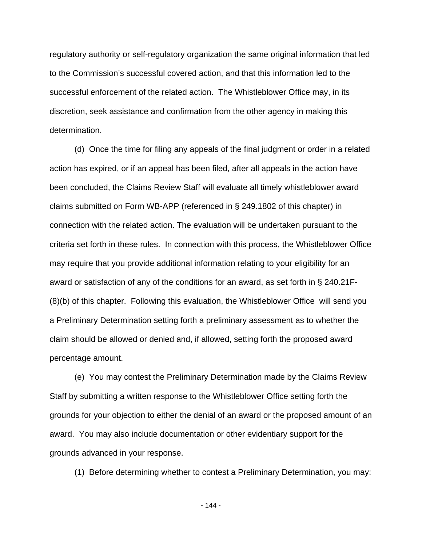regulatory authority or self-regulatory organization the same original information that led to the Commission's successful covered action, and that this information led to the successful enforcement of the related action. The Whistleblower Office may, in its discretion, seek assistance and confirmation from the other agency in making this determination.

criteria set forth in these rules. In connection with this process, the Whistleblower Office<br>may require that you provide additional information relating to your eligibility for an (d) Once the time for filing any appeals of the final judgment or order in a related action has expired, or if an appeal has been filed, after all appeals in the action have been concluded, the Claims Review Staff will evaluate all timely whistleblower award claims submitted on Form WB-APP (referenced in § 249.1802 of this chapter) in connection with the related action. The evaluation will be undertaken pursuant to the award or satisfaction of any of the conditions for an award, as set forth in § 240.21F- (8)(b) of this chapter. Following this evaluation, the Whistleblower Office will send you a Preliminary Determination setting forth a preliminary assessment as to whether the claim should be allowed or denied and, if allowed, setting forth the proposed award percentage amount.

(e) You may contest the Preliminary Determination made by the Claims Review Staff by submitting a written response to the Whistleblower Office setting forth the grounds for your objection to either the denial of an award or the proposed amount of an award. You may also include documentation or other evidentiary support for the grounds advanced in your response.

(1) Before determining whether to contest a Preliminary Determination, you may:

- 144 -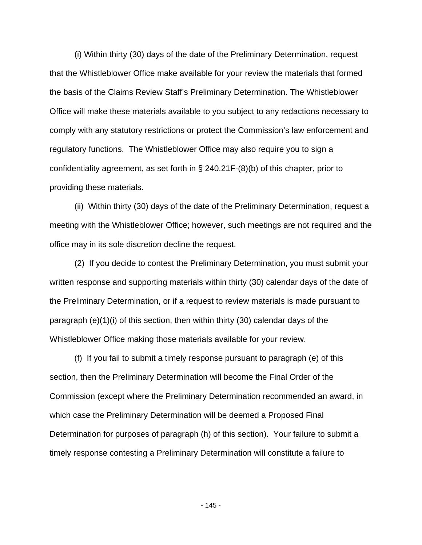(i) Within thirty (30) days of the date of the Preliminary Determination, request that the Whistleblower Office make available for your review the materials that formed the basis of the Claims Review Staff's Preliminary Determination. The Whistleblower Office will make these materials available to you subject to any redactions necessary to comply with any statutory restrictions or protect the Commission's law enforcement and regulatory functions. The Whistleblower Office may also require you to sign a confidentiality agreement, as set forth in § 240.21F-(8)(b) of this chapter, prior to providing these materials.

(ii) Within thirty (30) days of the date of the Preliminary Determination, request a meeting with the Whistleblower Office; however, such meetings are not required and the office may in its sole discretion decline the request.

(2) If you decide to contest the Preliminary Determination, you must submit your written response and supporting materials within thirty (30) calendar days of the date of the Preliminary Determination, or if a request to review materials is made pursuant to paragraph (e)(1)(i) of this section, then within thirty (30) calendar days of the Whistleblower Office making those materials available for your review.

(f) If you fail to submit a timely response pursuant to paragraph (e) of this section, then the Preliminary Determination will become the Final Order of the Commission (except where the Preliminary Determination recommended an award, in which case the Preliminary Determination will be deemed a Proposed Final Determination for purposes of paragraph (h) of this section). Your failure to submit a timely response contesting a Preliminary Determination will constitute a failure to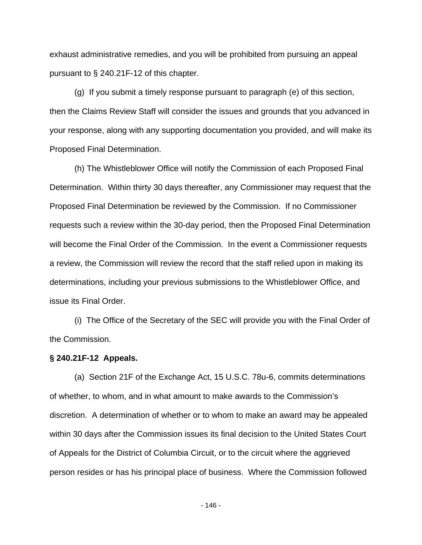exhaust administrative remedies, and you will be prohibited from pursuing an appeal pursuant to § 240.21F-12 of this chapter.

(g) If you submit a timely response pursuant to paragraph (e) of this section, then the Claims Review Staff will consider the issues and grounds that you advanced in your response, along with any supporting documentation you provided, and will make its Proposed Final Determination.

(h) The Whistleblower Office will notify the Commission of each Proposed Final Determination. Within thirty 30 days thereafter, any Commissioner may request that the Proposed Final Determination be reviewed by the Commission. If no Commissioner requests such a review within the 30-day period, then the Proposed Final Determination will become the Final Order of the Commission. In the event a Commissioner requests a review, the Commission will review the record that the staff relied upon in making its determinations, including your previous submissions to the Whistleblower Office, and issue its Final Order.

(i) The Office of the Secretary of the SEC will provide you with the Final Order of the Commission.

# **§ 240.21F-12 Appeals.**

(a) Section 21F of the Exchange Act, 15 U.S.C. 78u-6, commits determinations of whether, to whom, and in what amount to make awards to the Commission's discretion. A determination of whether or to whom to make an award may be appealed within 30 days after the Commission issues its final decision to the United States Court of Appeals for the District of Columbia Circuit, or to the circuit where the aggrieved person resides or has his principal place of business. Where the Commission followed

- 146 -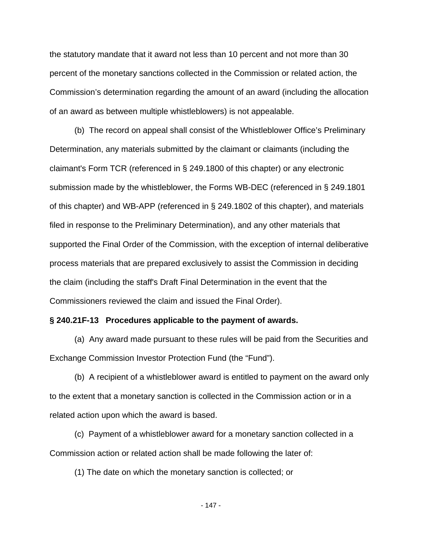the statutory mandate that it award not less than 10 percent and not more than 30 percent of the monetary sanctions collected in the Commission or related action, the Commission's determination regarding the amount of an award (including the allocation of an award as between multiple whistleblowers) is not appealable.

(b) The record on appeal shall consist of the Whistleblower Office's Preliminary Determination, any materials submitted by the claimant or claimants (including the claimant's Form TCR (referenced in § 249.1800 of this chapter) or any electronic submission made by the whistleblower, the Forms WB-DEC (referenced in § 249.1801 of this chapter) and WB-APP (referenced in § 249.1802 of this chapter), and materials filed in response to the Preliminary Determination), and any other materials that supported the Final Order of the Commission, with the exception of internal deliberative process materials that are prepared exclusively to assist the Commission in deciding the claim (including the staff's Draft Final Determination in the event that the Commissioners reviewed the claim and issued the Final Order).

## **§ 240.21F-13 Procedures applicable to the payment of awards.**

(a) Any award made pursuant to these rules will be paid from the Securities and Exchange Commission Investor Protection Fund (the "Fund").

(b) A recipient of a whistleblower award is entitled to payment on the award only to the extent that a monetary sanction is collected in the Commission action or in a related action upon which the award is based.

(c) Payment of a whistleblower award for a monetary sanction collected in a Commission action or related action shall be made following the later of:

(1) The date on which the monetary sanction is collected; or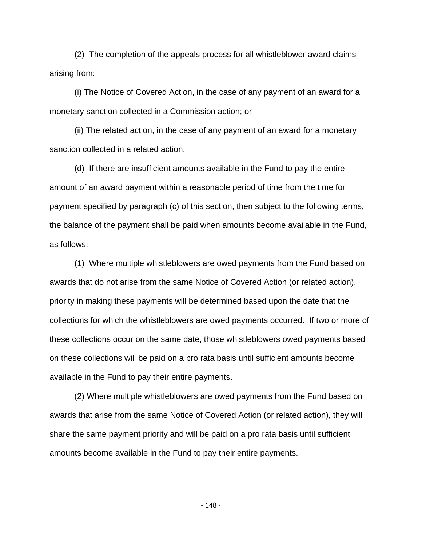(2) The completion of the appeals process for all whistleblower award claims arising from:

(i) The Notice of Covered Action, in the case of any payment of an award for a monetary sanction collected in a Commission action; or

(ii) The related action, in the case of any payment of an award for a monetary sanction collected in a related action.

(d) If there are insufficient amounts available in the Fund to pay the entire amount of an award payment within a reasonable period of time from the time for payment specified by paragraph (c) of this section, then subject to the following terms, the balance of the payment shall be paid when amounts become available in the Fund, as follows:

(1) Where multiple whistleblowers are owed payments from the Fund based on awards that do not arise from the same Notice of Covered Action (or related action), priority in making these payments will be determined based upon the date that the collections for which the whistleblowers are owed payments occurred. If two or more of these collections occur on the same date, those whistleblowers owed payments based on these collections will be paid on a pro rata basis until sufficient amounts become available in the Fund to pay their entire payments.

(2) Where multiple whistleblowers are owed payments from the Fund based on awards that arise from the same Notice of Covered Action (or related action), they will share the same payment priority and will be paid on a pro rata basis until sufficient amounts become available in the Fund to pay their entire payments.

- 148 -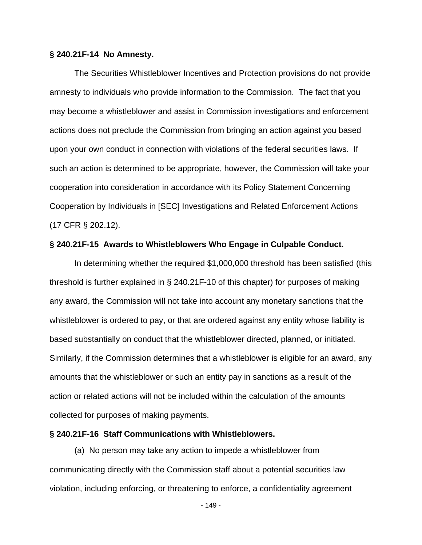## **§ 240.21F-14 No Amnesty.**

The Securities Whistleblower Incentives and Protection provisions do not provide amnesty to individuals who provide information to the Commission. The fact that you may become a whistleblower and assist in Commission investigations and enforcement actions does not preclude the Commission from bringing an action against you based upon your own conduct in connection with violations of the federal securities laws. If such an action is determined to be appropriate, however, the Commission will take your cooperation into consideration in accordance with its Policy Statement Concerning Cooperation by Individuals in [SEC] Investigations and Related Enforcement Actions (17 CFR § 202.12).

## **§ 240.21F-15 Awards to Whistleblowers Who Engage in Culpable Conduct.**

In determining whether the required \$1,000,000 threshold has been satisfied (this threshold is further explained in § 240.21F-10 of this chapter) for purposes of making any award, the Commission will not take into account any monetary sanctions that the whistleblower is ordered to pay, or that are ordered against any entity whose liability is based substantially on conduct that the whistleblower directed, planned, or initiated. Similarly, if the Commission determines that a whistleblower is eligible for an award, any amounts that the whistleblower or such an entity pay in sanctions as a result of the action or related actions will not be included within the calculation of the amounts collected for purposes of making payments.

## **§ 240.21F-16 Staff Communications with Whistleblowers.**

(a) No person may take any action to impede a whistleblower from communicating directly with the Commission staff about a potential securities law violation, including enforcing, or threatening to enforce, a confidentiality agreement

- 149 -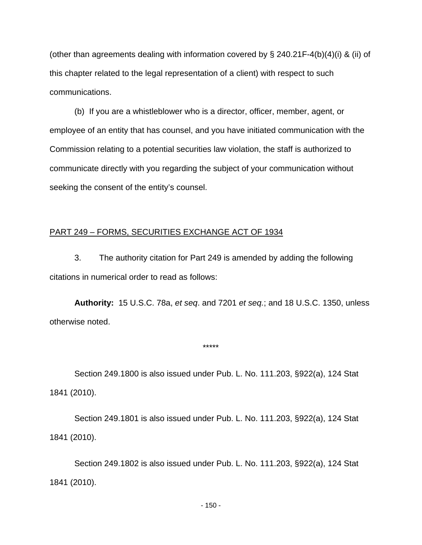(other than agreements dealing with information covered by  $\S$  240.21F-4(b)(4)(i) & (ii) of this chapter related to the legal representation of a client) with respect to such communications.

(b) If you are a whistleblower who is a director, officer, member, agent, or employee of an entity that has counsel, and you have initiated communication with the Commission relating to a potential securities law violation, the staff is authorized to communicate directly with you regarding the subject of your communication without seeking the consent of the entity's counsel.

# PART 249 – FORMS, SECURITIES EXCHANGE ACT OF 1934

3. The authority citation for Part 249 is amended by adding the following citations in numerical order to read as follows:

**Authority:** 15 U.S.C. 78a, *et seq*. and 7201 *et seq.*; and 18 U.S.C. 1350, unless otherwise noted.

\*\*\*\*\*

Section 249.1800 is also issued under Pub. L. No. 111.203, §922(a), 124 Stat 1841 (2010).

Section 249.1801 is also issued under Pub. L. No. 111.203, §922(a), 124 Stat 1841 (2010).

Section 249.1802 is also issued under Pub. L. No. 111.203, §922(a), 124 Stat 1841 (2010).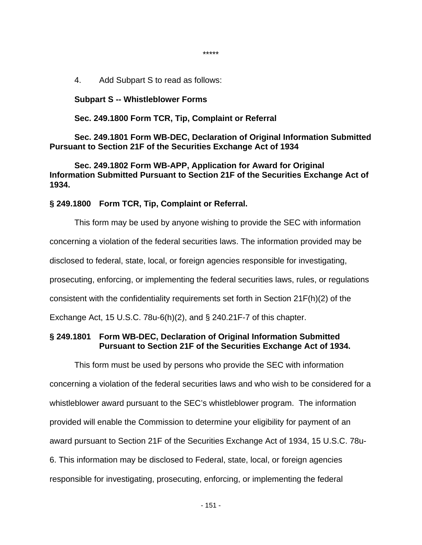4. Add Subpart S to read as follows:

**Subpart S -- Whistleblower Forms** 

**Sec. 249.1800 Form TCR, Tip, Complaint or Referral** 

**Sec. 249.1801 Form WB-DEC, Declaration of Original Information Submitted Pursuant to Section 21F of the Securities Exchange Act of 1934** 

\*\*\*\*\*

**Sec. 249.1802 Form WB-APP, Application for Award for Original Information Submitted Pursuant to Section 21F of the Securities Exchange Act of 1934.** 

# **§ 249.1800 Form TCR, Tip, Complaint or Referral.**

This form may be used by anyone wishing to provide the SEC with information concerning a violation of the federal securities laws. The information provided may be disclosed to federal, state, local, or foreign agencies responsible for investigating, prosecuting, enforcing, or implementing the federal securities laws, rules, or regulations consistent with the confidentiality requirements set forth in Section 21F(h)(2) of the Exchange Act, 15 U.S.C. 78u-6(h)(2), and § 240.21F-7 of this chapter.

# **§ 249.1801 Form WB-DEC, Declaration of Original Information Submitted Pursuant to Section 21F of the Securities Exchange Act of 1934.**

This form must be used by persons who provide the SEC with information concerning a violation of the federal securities laws and who wish to be considered for a whistleblower award pursuant to the SEC's whistleblower program. The information provided will enable the Commission to determine your eligibility for payment of an award pursuant to Section 21F of the Securities Exchange Act of 1934, 15 U.S.C. 78u-6. This information may be disclosed to Federal, state, local, or foreign agencies responsible for investigating, prosecuting, enforcing, or implementing the federal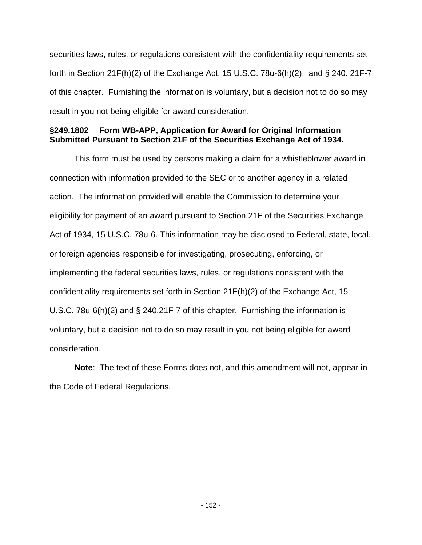securities laws, rules, or regulations consistent with the confidentiality requirements set forth in Section 21F(h)(2) of the Exchange Act, 15 U.S.C. 78u-6(h)(2), and § 240. 21F-7 of this chapter. Furnishing the information is voluntary, but a decision not to do so may result in you not being eligible for award consideration.

# **§249.1802 Form WB-APP, Application for Award for Original Information Submitted Pursuant to Section 21F of the Securities Exchange Act of 1934.**

This form must be used by persons making a claim for a whistleblower award in connection with information provided to the SEC or to another agency in a related action. The information provided will enable the Commission to determine your eligibility for payment of an award pursuant to Section 21F of the Securities Exchange Act of 1934, 15 U.S.C. 78u-6. This information may be disclosed to Federal, state, local, or foreign agencies responsible for investigating, prosecuting, enforcing, or implementing the federal securities laws, rules, or regulations consistent with the confidentiality requirements set forth in Section 21F(h)(2) of the Exchange Act, 15 U.S.C. 78u-6(h)(2) and § 240.21F-7 of this chapter. Furnishing the information is voluntary, but a decision not to do so may result in you not being eligible for award consideration.

**Note**: The text of these Forms does not, and this amendment will not, appear in the Code of Federal Regulations.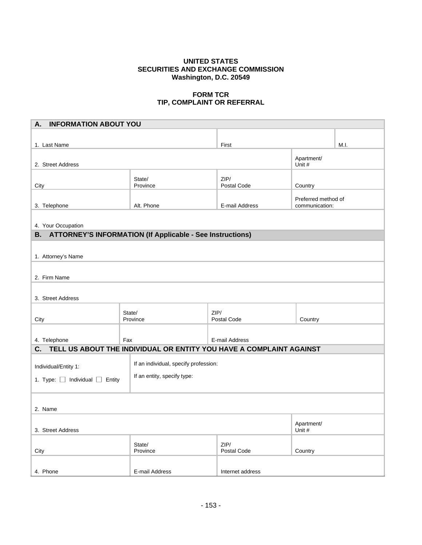## **UNITED STATES SECURITIES AND EXCHANGE COMMISSION Washington, D.C. 20549**

## **FORM TCR TIP, COMPLAINT OR REFERRAL**

| <b>INFORMATION ABOUT YOU</b><br>А.                                     |                                                                      |                     |                                       |  |  |  |  |
|------------------------------------------------------------------------|----------------------------------------------------------------------|---------------------|---------------------------------------|--|--|--|--|
|                                                                        |                                                                      |                     |                                       |  |  |  |  |
| 1. Last Name                                                           |                                                                      | First               | M.I.                                  |  |  |  |  |
| 2. Street Address                                                      |                                                                      |                     | Apartment/<br>Unit #                  |  |  |  |  |
| City                                                                   | State/<br>Province                                                   | ZIP/<br>Postal Code | Country                               |  |  |  |  |
| 3. Telephone                                                           | Alt. Phone                                                           | E-mail Address      | Preferred method of<br>communication: |  |  |  |  |
| 4. Your Occupation                                                     |                                                                      |                     |                                       |  |  |  |  |
| B. ATTORNEY'S INFORMATION (If Applicable - See Instructions)           |                                                                      |                     |                                       |  |  |  |  |
| 1. Attorney's Name                                                     |                                                                      |                     |                                       |  |  |  |  |
| 2. Firm Name                                                           |                                                                      |                     |                                       |  |  |  |  |
| 3. Street Address                                                      |                                                                      |                     |                                       |  |  |  |  |
| City                                                                   | State/<br>Province                                                   | ZIP/<br>Postal Code | Country                               |  |  |  |  |
| 4. Telephone                                                           | Fax                                                                  | E-mail Address      |                                       |  |  |  |  |
| C. TELL US ABOUT THE INDIVIDUAL OR ENTITY YOU HAVE A COMPLAINT AGAINST |                                                                      |                     |                                       |  |  |  |  |
| Individual/Entity 1:<br>1. Type: $\Box$ Individual $\Box$ Entity       | If an individual, specify profession:<br>If an entity, specify type: |                     |                                       |  |  |  |  |
| 2. Name                                                                |                                                                      |                     |                                       |  |  |  |  |
| Apartment/<br>Unit #<br>3. Street Address                              |                                                                      |                     |                                       |  |  |  |  |
| City                                                                   | State/<br>Province                                                   | ZIP/<br>Postal Code | Country                               |  |  |  |  |
| 4. Phone                                                               | E-mail Address                                                       | Internet address    |                                       |  |  |  |  |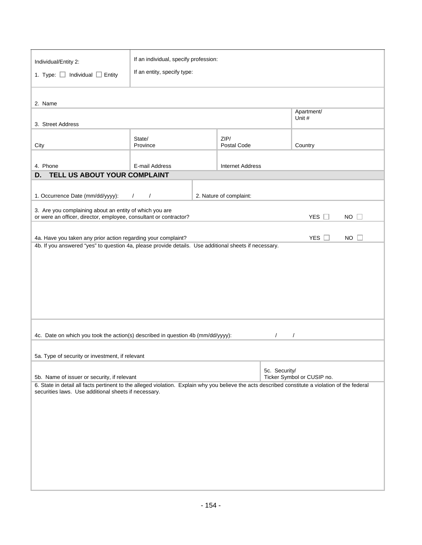| Individual/Entity 2:                                                                                                                              | If an individual, specify profession:     |  |                         |                            |            |             |
|---------------------------------------------------------------------------------------------------------------------------------------------------|-------------------------------------------|--|-------------------------|----------------------------|------------|-------------|
| 1. Type:   Individual   Entity                                                                                                                    | If an entity, specify type:               |  |                         |                            |            |             |
| 2. Name                                                                                                                                           |                                           |  |                         |                            |            |             |
| 3. Street Address                                                                                                                                 |                                           |  |                         | Apartment/<br>Unit #       |            |             |
| City                                                                                                                                              | State/<br>Province                        |  | ZIP/<br>Postal Code     |                            | Country    |             |
| 4. Phone                                                                                                                                          | E-mail Address<br><b>Internet Address</b> |  |                         |                            |            |             |
| D. TELL US ABOUT YOUR COMPLAINT                                                                                                                   |                                           |  |                         |                            |            |             |
| 1. Occurrence Date (mm/dd/yyyy):                                                                                                                  | $\sqrt{2}$                                |  | 2. Nature of complaint: |                            |            |             |
| 3. Are you complaining about an entity of which you are<br>or were an officer, director, employee, consultant or contractor?                      |                                           |  |                         |                            | YES $\Box$ | $NO$ $\Box$ |
| 4a. Have you taken any prior action regarding your complaint?                                                                                     |                                           |  |                         |                            | YES $\Box$ | $NO$ $\Box$ |
| 4b. If you answered "yes" to question 4a, please provide details. Use additional sheets if necessary.                                             |                                           |  |                         |                            |            |             |
|                                                                                                                                                   |                                           |  |                         |                            |            |             |
|                                                                                                                                                   |                                           |  |                         |                            |            |             |
|                                                                                                                                                   |                                           |  |                         |                            |            |             |
|                                                                                                                                                   |                                           |  |                         |                            |            |             |
|                                                                                                                                                   |                                           |  |                         |                            |            |             |
|                                                                                                                                                   |                                           |  |                         |                            |            |             |
| 4c. Date on which you took the action(s) described in question 4b (mm/dd/yyyy):<br>$\sqrt{2}$<br>$\sqrt{2}$                                       |                                           |  |                         |                            |            |             |
|                                                                                                                                                   |                                           |  |                         |                            |            |             |
| 5a. Type of security or investment, if relevant                                                                                                   |                                           |  |                         |                            |            |             |
| 5c. Security/<br>5b. Name of issuer or security, if relevant                                                                                      |                                           |  |                         | Ticker Symbol or CUSIP no. |            |             |
| 6. State in detail all facts pertinent to the alleged violation. Explain why you believe the acts described constitute a violation of the federal |                                           |  |                         |                            |            |             |
| securities laws. Use additional sheets if necessary.                                                                                              |                                           |  |                         |                            |            |             |
|                                                                                                                                                   |                                           |  |                         |                            |            |             |
|                                                                                                                                                   |                                           |  |                         |                            |            |             |
|                                                                                                                                                   |                                           |  |                         |                            |            |             |
|                                                                                                                                                   |                                           |  |                         |                            |            |             |
|                                                                                                                                                   |                                           |  |                         |                            |            |             |
|                                                                                                                                                   |                                           |  |                         |                            |            |             |
|                                                                                                                                                   |                                           |  |                         |                            |            |             |
|                                                                                                                                                   |                                           |  |                         |                            |            |             |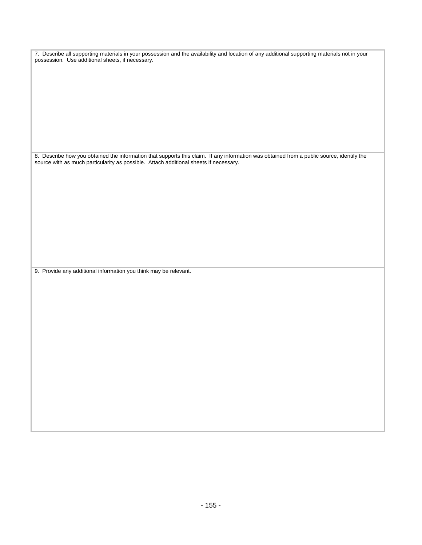| 7. Describe all supporting materials in your possession and the availability and location of any additional supporting materials not in your                                                                                       |
|------------------------------------------------------------------------------------------------------------------------------------------------------------------------------------------------------------------------------------|
| possession. Use additional sheets, if necessary.                                                                                                                                                                                   |
|                                                                                                                                                                                                                                    |
|                                                                                                                                                                                                                                    |
|                                                                                                                                                                                                                                    |
|                                                                                                                                                                                                                                    |
|                                                                                                                                                                                                                                    |
|                                                                                                                                                                                                                                    |
|                                                                                                                                                                                                                                    |
|                                                                                                                                                                                                                                    |
|                                                                                                                                                                                                                                    |
| 8. Describe how you obtained the information that supports this claim. If any information was obtained from a public source, identify the<br>source with as much particularity as possible. Attach additional sheets if necessary. |
|                                                                                                                                                                                                                                    |
|                                                                                                                                                                                                                                    |
|                                                                                                                                                                                                                                    |
|                                                                                                                                                                                                                                    |
|                                                                                                                                                                                                                                    |
|                                                                                                                                                                                                                                    |
|                                                                                                                                                                                                                                    |
|                                                                                                                                                                                                                                    |
|                                                                                                                                                                                                                                    |
|                                                                                                                                                                                                                                    |
|                                                                                                                                                                                                                                    |
| 9. Provide any additional information you think may be relevant.                                                                                                                                                                   |
|                                                                                                                                                                                                                                    |
|                                                                                                                                                                                                                                    |
|                                                                                                                                                                                                                                    |
|                                                                                                                                                                                                                                    |
|                                                                                                                                                                                                                                    |
|                                                                                                                                                                                                                                    |
|                                                                                                                                                                                                                                    |
|                                                                                                                                                                                                                                    |
|                                                                                                                                                                                                                                    |
|                                                                                                                                                                                                                                    |
|                                                                                                                                                                                                                                    |
|                                                                                                                                                                                                                                    |
|                                                                                                                                                                                                                                    |
|                                                                                                                                                                                                                                    |
|                                                                                                                                                                                                                                    |
|                                                                                                                                                                                                                                    |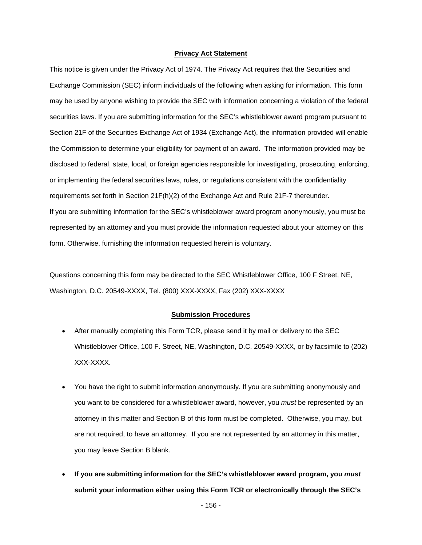## **Privacy Act Statement**

This notice is given under the Privacy Act of 1974. The Privacy Act requires that the Securities and Exchange Commission (SEC) inform individuals of the following when asking for information. This form may be used by anyone wishing to provide the SEC with information concerning a violation of the federal securities laws. If you are submitting information for the SEC's whistleblower award program pursuant to Section 21F of the Securities Exchange Act of 1934 (Exchange Act), the information provided will enable the Commission to determine your eligibility for payment of an award. The information provided may be disclosed to federal, state, local, or foreign agencies responsible for investigating, prosecuting, enforcing, or implementing the federal securities laws, rules, or regulations consistent with the confidentiality requirements set forth in Section 21F(h)(2) of the Exchange Act and Rule 21F-7 thereunder. If you are submitting information for the SEC's whistleblower award program anonymously, you must be represented by an attorney and you must provide the information requested about your attorney on this form. Otherwise, furnishing the information requested herein is voluntary.

Questions concerning this form may be directed to the SEC Whistleblower Office, 100 F Street, NE, Washington, D.C. 20549-XXXX, Tel. (800) XXX-XXXX, Fax (202) XXX-XXXX

### **Submission Procedures**

- After manually completing this Form TCR, please send it by mail or delivery to the SEC Whistleblower Office, 100 F. Street, NE, Washington, D.C. 20549-XXXX, or by facsimile to (202) XXX-XXXX.
- You have the right to submit information anonymously. If you are submitting anonymously and you want to be considered for a whistleblower award, however, you *must* be represented by an attorney in this matter and Section B of this form must be completed. Otherwise, you may, but are not required, to have an attorney. If you are not represented by an attorney in this matter, you may leave Section B blank.
- If you are submitting information for the SEC's whistleblower award program, you *must* **submit your information either using this Form TCR or electronically through the SEC's**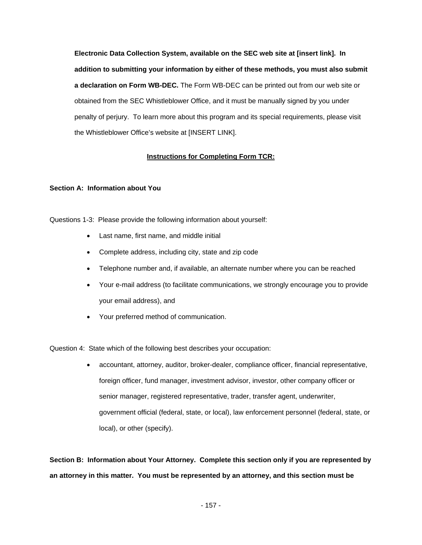**Electronic Data Collection System, available on the SEC web site at [insert link]. In addition to submitting your information by either of these methods, you must also submit a declaration on Form WB-DEC.** The Form WB-DEC can be printed out from our web site or obtained from the SEC Whistleblower Office, and it must be manually signed by you under penalty of perjury. To learn more about this program and its special requirements, please visit the Whistleblower Office's website at [INSERT LINK].

# **Instructions for Completing Form TCR:**

## **Section A: Information about You**

Questions 1-3: Please provide the following information about yourself:

- Last name, first name, and middle initial
- Complete address, including city, state and zip code
- Telephone number and, if available, an alternate number where you can be reached
- Your e-mail address (to facilitate communications, we strongly encourage you to provide your email address), and
- • Your preferred method of communication.

Question 4: State which of the following best describes your occupation:

accountant, attorney, auditor, broker-dealer, compliance officer, financial representative, foreign officer, fund manager, investment advisor, investor, other company officer or senior manager, registered representative, trader, transfer agent, underwriter, government official (federal, state, or local), law enforcement personnel (federal, state, or local), or other (specify).

**Section B: Information about Your Attorney. Complete this section only if you are represented by an attorney in this matter. You must be represented by an attorney, and this section must be**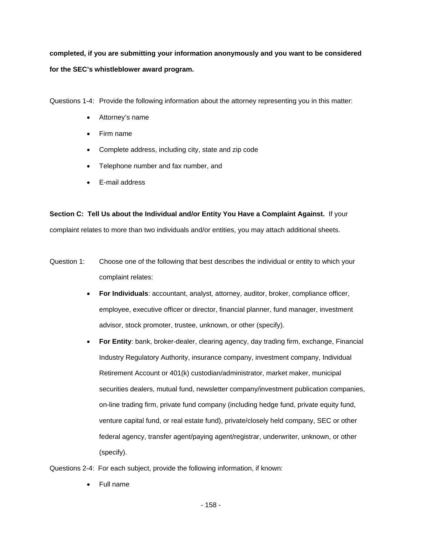**completed, if you are submitting your information anonymously and you want to be considered for the SEC's whistleblower award program.** 

Questions 1-4: Provide the following information about the attorney representing you in this matter:

- Attorney's name
- Firm name
- • Complete address, including city, state and zip code
- • Telephone number and fax number, and
- E-mail address

**Section C: Tell Us about the Individual and/or Entity You Have a Complaint Against.** If your complaint relates to more than two individuals and/or entities, you may attach additional sheets.

- Question 1: Choose one of the following that best describes the individual or entity to which your complaint relates:
	- • **For Individuals**: accountant, analyst, attorney, auditor, broker, compliance officer, employee, executive officer or director, financial planner, fund manager, investment advisor, stock promoter, trustee, unknown, or other (specify).
	- **For Entity:** bank, broker-dealer, clearing agency, day trading firm, exchange, Financial Industry Regulatory Authority, insurance company, investment company, Individual Retirement Account or 401(k) custodian/administrator, market maker, municipal securities dealers, mutual fund, newsletter company/investment publication companies, on-line trading firm, private fund company (including hedge fund, private equity fund, venture capital fund, or real estate fund), private/closely held company, SEC or other federal agency, transfer agent/paying agent/registrar, underwriter, unknown, or other (specify).

Questions 2-4: For each subject, provide the following information, if known:

• Full name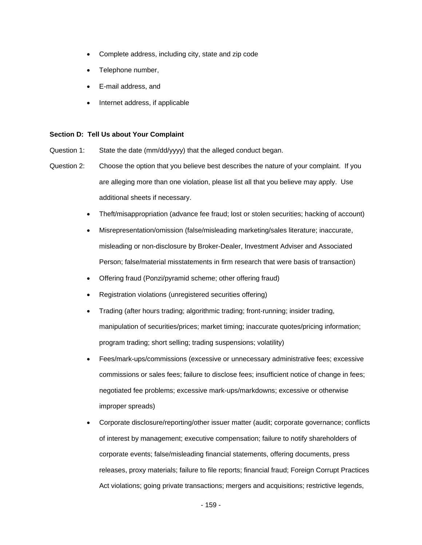- Complete address, including city, state and zip code
- Telephone number,
- E-mail address, and
- Internet address, if applicable

## **Section D: Tell Us about Your Complaint**

- Question 1: State the date (mm/dd/yyyy) that the alleged conduct began.
- Question 2: Choose the option that you believe best describes the nature of your complaint. If you are alleging more than one violation, please list all that you believe may apply. Use additional sheets if necessary.
	- Theft/misappropriation (advance fee fraud; lost or stolen securities; hacking of account)
	- Misrepresentation/omission (false/misleading marketing/sales literature; inaccurate, misleading or non-disclosure by Broker-Dealer, Investment Adviser and Associated Person; false/material misstatements in firm research that were basis of transaction)
	- Offering fraud (Ponzi/pyramid scheme; other offering fraud)
	- Registration violations (unregistered securities offering)
	- Trading (after hours trading; algorithmic trading; front-running; insider trading, manipulation of securities/prices; market timing; inaccurate quotes/pricing information; program trading; short selling; trading suspensions; volatility)
	- • Fees/mark-ups/commissions (excessive or unnecessary administrative fees; excessive commissions or sales fees; failure to disclose fees; insufficient notice of change in fees; negotiated fee problems; excessive mark-ups/markdowns; excessive or otherwise improper spreads)
	- Corporate disclosure/reporting/other issuer matter (audit; corporate governance; conflicts of interest by management; executive compensation; failure to notify shareholders of corporate events; false/misleading financial statements, offering documents, press releases, proxy materials; failure to file reports; financial fraud; Foreign Corrupt Practices Act violations; going private transactions; mergers and acquisitions; restrictive legends,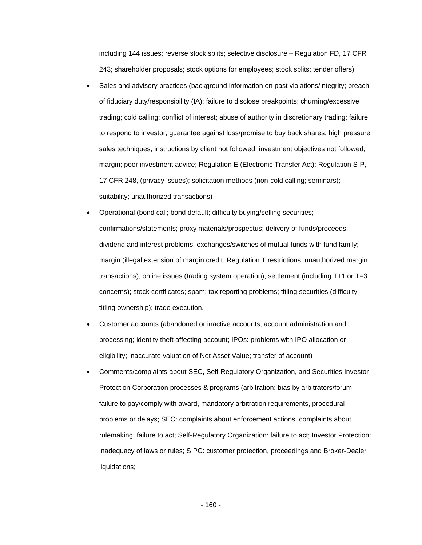including 144 issues; reverse stock splits; selective disclosure – Regulation FD, 17 CFR 243; shareholder proposals; stock options for employees; stock splits; tender offers)

- Sales and advisory practices (background information on past violations/integrity; breach of fiduciary duty/responsibility (IA); failure to disclose breakpoints; churning/excessive trading; cold calling; conflict of interest; abuse of authority in discretionary trading; failure to respond to investor; guarantee against loss/promise to buy back shares; high pressure sales techniques; instructions by client not followed; investment objectives not followed; margin; poor investment advice; Regulation E (Electronic Transfer Act); Regulation S-P, 17 CFR 248, (privacy issues); solicitation methods (non-cold calling; seminars); suitability; unauthorized transactions)
- Operational (bond call; bond default; difficulty buying/selling securities; confirmations/statements; proxy materials/prospectus; delivery of funds/proceeds; dividend and interest problems; exchanges/switches of mutual funds with fund family; margin (illegal extension of margin credit, Regulation T restrictions, unauthorized margin transactions); online issues (trading system operation); settlement (including T+1 or T=3 concerns); stock certificates; spam; tax reporting problems; titling securities (difficulty titling ownership); trade execution.
- Customer accounts (abandoned or inactive accounts; account administration and processing; identity theft affecting account; IPOs: problems with IPO allocation or eligibility; inaccurate valuation of Net Asset Value; transfer of account)
- Comments/complaints about SEC, Self-Regulatory Organization, and Securities Investor Protection Corporation processes & programs (arbitration: bias by arbitrators/forum, failure to pay/comply with award, mandatory arbitration requirements, procedural problems or delays; SEC: complaints about enforcement actions, complaints about rulemaking, failure to act; Self-Regulatory Organization: failure to act; Investor Protection: inadequacy of laws or rules; SIPC: customer protection, proceedings and Broker-Dealer liquidations;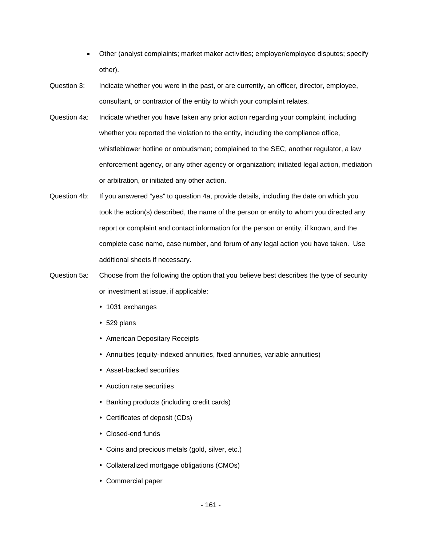- Other (analyst complaints; market maker activities; employer/employee disputes; specify other).
- Question 3: Indicate whether you were in the past, or are currently, an officer, director, employee, consultant, or contractor of the entity to which your complaint relates.
- Question 4a: Indicate whether you have taken any prior action regarding your complaint, including whether you reported the violation to the entity, including the compliance office, whistleblower hotline or ombudsman; complained to the SEC, another regulator, a law enforcement agency, or any other agency or organization; initiated legal action, mediation or arbitration, or initiated any other action.
- Question 4b: If you answered "yes" to question 4a, provide details, including the date on which you took the action(s) described, the name of the person or entity to whom you directed any report or complaint and contact information for the person or entity, if known, and the complete case name, case number, and forum of any legal action you have taken. Use additional sheets if necessary.
- Question 5a: Choose from the following the option that you believe best describes the type of security or investment at issue, if applicable:
	- 1031 exchanges
	- $\cdot$  529 plans
	- American Depositary Receipts
	- Annuities (equity-indexed annuities, fixed annuities, variable annuities)
	- Asset-backed securities
	- Auction rate securities
	- Banking products (including credit cards)
	- Certificates of deposit (CDs)
	- Closed-end funds
	- Coins and precious metals (gold, silver, etc.)
	- Collateralized mortgage obligations (CMOs)
	- Commercial paper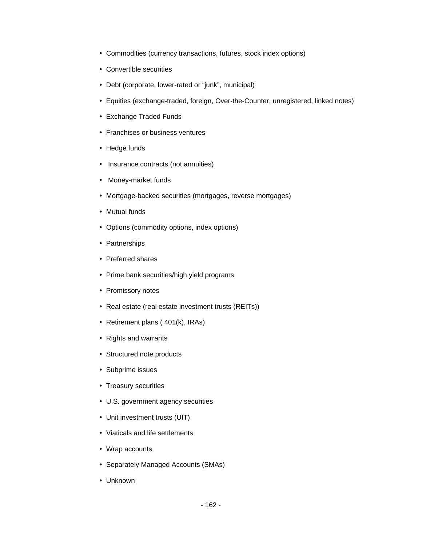- Commodities (currency transactions, futures, stock index options)
- Convertible securities
- Debt (corporate, lower-rated or "junk", municipal)
- Equities (exchange-traded, foreign, Over-the-Counter, unregistered, linked notes)
- Exchange Traded Funds
- Franchises or business ventures
- Hedge funds
- Insurance contracts (not annuities)
- Money-market funds
- Mortgage-backed securities (mortgages, reverse mortgages)
- Mutual funds
- Options (commodity options, index options)
- Partnerships
- Preferred shares
- Prime bank securities/high yield programs
- Promissory notes
- Real estate (real estate investment trusts (REITs))
- Retirement plans ( $401(k)$ , IRAs)
- Rights and warrants
- Structured note products
- Subprime issues
- Treasury securities
- U.S. government agency securities
- Unit investment trusts (UIT)
- Viaticals and life settlements
- Wrap accounts
- Separately Managed Accounts (SMAs)
- Unknown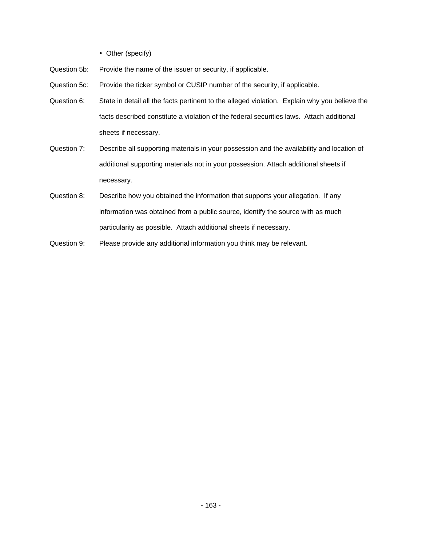- Other (specify)
- Question 5b: Provide the name of the issuer or security, if applicable.
- Question 5c: Provide the ticker symbol or CUSIP number of the security, if applicable.
- Question 6: State in detail all the facts pertinent to the alleged violation. Explain why you believe the facts described constitute a violation of the federal securities laws. Attach additional sheets if necessary.
- Question 7: Describe all supporting materials in your possession and the availability and location of additional supporting materials not in your possession. Attach additional sheets if necessary.
- Question 8: Describe how you obtained the information that supports your allegation. If any information was obtained from a public source, identify the source with as much particularity as possible. Attach additional sheets if necessary.
- Question 9: Please provide any additional information you think may be relevant.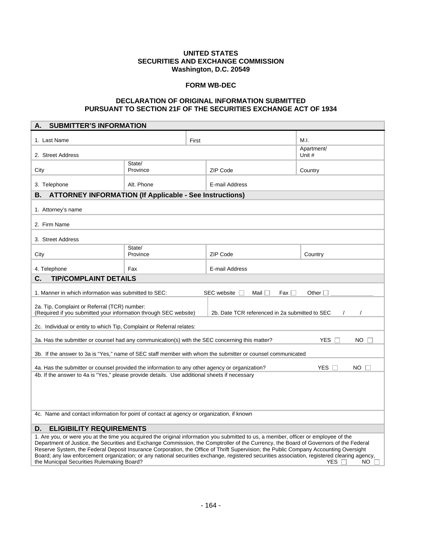## **UNITED STATES SECURITIES AND EXCHANGE COMMISSION Washington, D.C. 20549**

## **FORM WB-DEC**

## **DECLARATION OF ORIGINAL INFORMATION SUBMITTED PURSUANT TO SECTION 21F OF THE SECURITIES EXCHANGE ACT OF 1934**

| <b>SUBMITTER'S INFORMATION</b><br>А.                                                                                                                                                                                                                                                                                                                                                                                                                                                                                                                                                                                                    |                    |       |                 |                      |  |  |  |
|-----------------------------------------------------------------------------------------------------------------------------------------------------------------------------------------------------------------------------------------------------------------------------------------------------------------------------------------------------------------------------------------------------------------------------------------------------------------------------------------------------------------------------------------------------------------------------------------------------------------------------------------|--------------------|-------|-----------------|----------------------|--|--|--|
| 1. Last Name                                                                                                                                                                                                                                                                                                                                                                                                                                                                                                                                                                                                                            |                    | First |                 | M.I.                 |  |  |  |
| 2. Street Address                                                                                                                                                                                                                                                                                                                                                                                                                                                                                                                                                                                                                       |                    |       |                 | Apartment/<br>Unit # |  |  |  |
| City                                                                                                                                                                                                                                                                                                                                                                                                                                                                                                                                                                                                                                    | State/<br>Province |       | ZIP Code        | Country              |  |  |  |
| Alt. Phone<br>3. Telephone                                                                                                                                                                                                                                                                                                                                                                                                                                                                                                                                                                                                              |                    |       | E-mail Address  |                      |  |  |  |
| <b>ATTORNEY INFORMATION (If Applicable - See Instructions)</b><br>В.                                                                                                                                                                                                                                                                                                                                                                                                                                                                                                                                                                    |                    |       |                 |                      |  |  |  |
| 1. Attorney's name                                                                                                                                                                                                                                                                                                                                                                                                                                                                                                                                                                                                                      |                    |       |                 |                      |  |  |  |
| 2. Firm Name                                                                                                                                                                                                                                                                                                                                                                                                                                                                                                                                                                                                                            |                    |       |                 |                      |  |  |  |
| 3. Street Address                                                                                                                                                                                                                                                                                                                                                                                                                                                                                                                                                                                                                       |                    |       |                 |                      |  |  |  |
| City                                                                                                                                                                                                                                                                                                                                                                                                                                                                                                                                                                                                                                    | State/<br>Province |       | <b>ZIP Code</b> | Country              |  |  |  |
| 4. Telephone                                                                                                                                                                                                                                                                                                                                                                                                                                                                                                                                                                                                                            | Fax                |       | E-mail Address  |                      |  |  |  |
| <b>TIP/COMPLAINT DETAILS</b><br>С.                                                                                                                                                                                                                                                                                                                                                                                                                                                                                                                                                                                                      |                    |       |                 |                      |  |  |  |
| 1. Manner in which information was submitted to SEC:<br>SEC website $\square$<br>Mail $\Box$<br>Fax $\Box$<br>Other $\Box$                                                                                                                                                                                                                                                                                                                                                                                                                                                                                                              |                    |       |                 |                      |  |  |  |
| 2a. Tip, Complaint or Referral (TCR) number:<br>(Required if you submitted your information through SEC website)<br>2b. Date TCR referenced in 2a submitted to SEC                                                                                                                                                                                                                                                                                                                                                                                                                                                                      |                    |       |                 |                      |  |  |  |
| 2c. Individual or entity to which Tip, Complaint or Referral relates:                                                                                                                                                                                                                                                                                                                                                                                                                                                                                                                                                                   |                    |       |                 |                      |  |  |  |
| 3a. Has the submitter or counsel had any communication(s) with the SEC concerning this matter?<br>YES $\Box$<br>$NO$ $\Box$                                                                                                                                                                                                                                                                                                                                                                                                                                                                                                             |                    |       |                 |                      |  |  |  |
| 3b. If the answer to 3a is "Yes," name of SEC staff member with whom the submitter or counsel communicated                                                                                                                                                                                                                                                                                                                                                                                                                                                                                                                              |                    |       |                 |                      |  |  |  |
| YES $\Box$<br>4a. Has the submitter or counsel provided the information to any other agency or organization?<br>NO.                                                                                                                                                                                                                                                                                                                                                                                                                                                                                                                     |                    |       |                 |                      |  |  |  |
| 4b. If the answer to 4a is "Yes," please provide details. Use additional sheets if necessary                                                                                                                                                                                                                                                                                                                                                                                                                                                                                                                                            |                    |       |                 |                      |  |  |  |
|                                                                                                                                                                                                                                                                                                                                                                                                                                                                                                                                                                                                                                         |                    |       |                 |                      |  |  |  |
| 4c. Name and contact information for point of contact at agency or organization, if known                                                                                                                                                                                                                                                                                                                                                                                                                                                                                                                                               |                    |       |                 |                      |  |  |  |
| <b>ELIGIBILITY REQUIREMENTS</b><br>D.                                                                                                                                                                                                                                                                                                                                                                                                                                                                                                                                                                                                   |                    |       |                 |                      |  |  |  |
| 1. Are you, or were you at the time you acquired the original information you submitted to us, a member, officer or employee of the<br>Department of Justice, the Securities and Exchange Commission, the Comptroller of the Currency, the Board of Governors of the Federal<br>Reserve System, the Federal Deposit Insurance Corporation, the Office of Thrift Supervision; the Public Company Accounting Oversight<br>Board; any law enforcement organization; or any national securities exchange, registered securities association, registered clearing agency,<br>the Municipal Securities Rulemaking Board?<br>YES $\Box$<br>NO. |                    |       |                 |                      |  |  |  |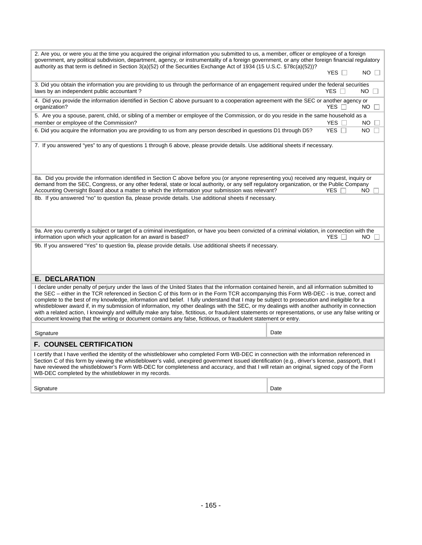| 2. Are you, or were you at the time you acquired the original information you submitted to us, a member, officer or employee of a foreign<br>government, any political subdivision, department, agency, or instrumentality of a foreign government, or any other foreign financial regulatory<br>authority as that term is defined in Section 3(a)(52) of the Securities Exchange Act of 1934 (15 U.S.C. §78c(a)(52))?                                                                                                                                                                                                                                                                                                                                                                                                                                               |                   |  |  |  |  |  |  |
|----------------------------------------------------------------------------------------------------------------------------------------------------------------------------------------------------------------------------------------------------------------------------------------------------------------------------------------------------------------------------------------------------------------------------------------------------------------------------------------------------------------------------------------------------------------------------------------------------------------------------------------------------------------------------------------------------------------------------------------------------------------------------------------------------------------------------------------------------------------------|-------------------|--|--|--|--|--|--|
|                                                                                                                                                                                                                                                                                                                                                                                                                                                                                                                                                                                                                                                                                                                                                                                                                                                                      | YES $\Box$<br>NO  |  |  |  |  |  |  |
| 3. Did you obtain the information you are providing to us through the performance of an engagement required under the federal securities<br>laws by an independent public accountant?                                                                                                                                                                                                                                                                                                                                                                                                                                                                                                                                                                                                                                                                                | YES.<br>NO.       |  |  |  |  |  |  |
| 4. Did you provide the information identified in Section C above pursuant to a cooperation agreement with the SEC or another agency or<br>organization?<br>YES $\Box$<br>NO.                                                                                                                                                                                                                                                                                                                                                                                                                                                                                                                                                                                                                                                                                         |                   |  |  |  |  |  |  |
| 5. Are you a spouse, parent, child, or sibling of a member or employee of the Commission, or do you reside in the same household as a                                                                                                                                                                                                                                                                                                                                                                                                                                                                                                                                                                                                                                                                                                                                |                   |  |  |  |  |  |  |
| member or employee of the Commission?                                                                                                                                                                                                                                                                                                                                                                                                                                                                                                                                                                                                                                                                                                                                                                                                                                | YES $\Box$<br>NO. |  |  |  |  |  |  |
| 6. Did you acquire the information you are providing to us from any person described in questions D1 through D5?                                                                                                                                                                                                                                                                                                                                                                                                                                                                                                                                                                                                                                                                                                                                                     | YES $\Box$<br>NO. |  |  |  |  |  |  |
| 7. If you answered "yes" to any of questions 1 through 6 above, please provide details. Use additional sheets if necessary.                                                                                                                                                                                                                                                                                                                                                                                                                                                                                                                                                                                                                                                                                                                                          |                   |  |  |  |  |  |  |
| 8a. Did you provide the information identified in Section C above before you (or anyone representing you) received any request, inquiry or<br>demand from the SEC, Congress, or any other federal, state or local authority, or any self regulatory organization, or the Public Company<br>Accounting Oversight Board about a matter to which the information your submission was relevant?<br>YES IT<br>NO.                                                                                                                                                                                                                                                                                                                                                                                                                                                         |                   |  |  |  |  |  |  |
| 8b. If you answered "no" to question 8a, please provide details. Use additional sheets if necessary.                                                                                                                                                                                                                                                                                                                                                                                                                                                                                                                                                                                                                                                                                                                                                                 |                   |  |  |  |  |  |  |
| 9a. Are you currently a subject or target of a criminal investigation, or have you been convicted of a criminal violation, in connection with the<br>YES $\Box$<br>$NO \Box$<br>information upon which your application for an award is based?                                                                                                                                                                                                                                                                                                                                                                                                                                                                                                                                                                                                                       |                   |  |  |  |  |  |  |
| 9b. If you answered "Yes" to question 9a, please provide details. Use additional sheets if necessary.                                                                                                                                                                                                                                                                                                                                                                                                                                                                                                                                                                                                                                                                                                                                                                |                   |  |  |  |  |  |  |
| <b>E. DECLARATION</b>                                                                                                                                                                                                                                                                                                                                                                                                                                                                                                                                                                                                                                                                                                                                                                                                                                                |                   |  |  |  |  |  |  |
| I declare under penalty of perjury under the laws of the United States that the information contained herein, and all information submitted to<br>the SEC – either in the TCR referenced in Section C of this form or in the Form TCR accompanying this Form WB-DEC - is true, correct and<br>complete to the best of my knowledge, information and belief. I fully understand that I may be subject to prosecution and ineligible for a<br>whistleblower award if, in my submission of information, my other dealings with the SEC, or my dealings with another authority in connection<br>with a related action, I knowingly and willfully make any false, fictitious, or fraudulent statements or representations, or use any false writing or<br>document knowing that the writing or document contains any false, fictitious, or fraudulent statement or entry. |                   |  |  |  |  |  |  |
| Signature                                                                                                                                                                                                                                                                                                                                                                                                                                                                                                                                                                                                                                                                                                                                                                                                                                                            | Date              |  |  |  |  |  |  |
| <b>F. COUNSEL CERTIFICATION</b>                                                                                                                                                                                                                                                                                                                                                                                                                                                                                                                                                                                                                                                                                                                                                                                                                                      |                   |  |  |  |  |  |  |
| I certify that I have verified the identity of the whistleblower who completed Form WB-DEC in connection with the information referenced in<br>Section C of this form by viewing the whistleblower's valid, unexpired government issued identification (e.g., driver's license, passport), that I<br>have reviewed the whistleblower's Form WB-DEC for completeness and accuracy, and that I will retain an original, signed copy of the Form<br>WB-DEC completed by the whistleblower in my records.                                                                                                                                                                                                                                                                                                                                                                |                   |  |  |  |  |  |  |
|                                                                                                                                                                                                                                                                                                                                                                                                                                                                                                                                                                                                                                                                                                                                                                                                                                                                      |                   |  |  |  |  |  |  |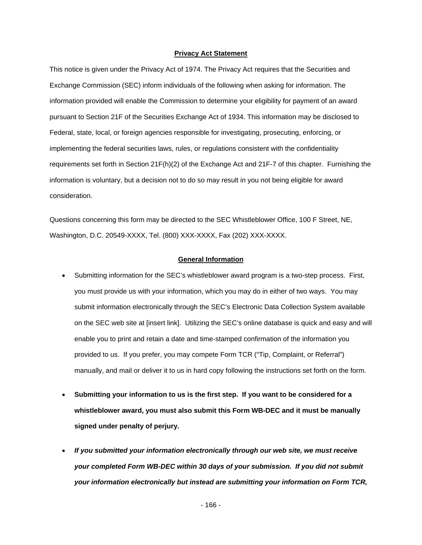## **Privacy Act Statement**

This notice is given under the Privacy Act of 1974. The Privacy Act requires that the Securities and Exchange Commission (SEC) inform individuals of the following when asking for information. The information provided will enable the Commission to determine your eligibility for payment of an award pursuant to Section 21F of the Securities Exchange Act of 1934. This information may be disclosed to Federal, state, local, or foreign agencies responsible for investigating, prosecuting, enforcing, or implementing the federal securities laws, rules, or regulations consistent with the confidentiality requirements set forth in Section 21F(h)(2) of the Exchange Act and 21F-7 of this chapter. Furnishing the information is voluntary, but a decision not to do so may result in you not being eligible for award consideration.

Questions concerning this form may be directed to the SEC Whistleblower Office, 100 F Street, NE, Washington, D.C. 20549-XXXX, Tel. (800) XXX-XXXX, Fax (202) XXX-XXXX.

#### **General Information**

- Submitting information for the SEC's whistleblower award program is a two-step process. First, you must provide us with your information, which you may do in either of two ways. You may submit information electronically through the SEC's Electronic Data Collection System available on the SEC web site at [insert link]. Utilizing the SEC's online database is quick and easy and will enable you to print and retain a date and time-stamped confirmation of the information you provided to us. If you prefer, you may compete Form TCR ("Tip, Complaint, or Referral") manually, and mail or deliver it to us in hard copy following the instructions set forth on the form.
- Submitting your information to us is the first step. If you want to be considered for a **whistleblower award, you must also submit this Form WB-DEC and it must be manually signed under penalty of perjury.**
- If you submitted your information electronically through our web site, we must receive *your completed Form WB-DEC within 30 days of your submission. If you did not submit your information electronically but instead are submitting your information on Form TCR,*

- 166 -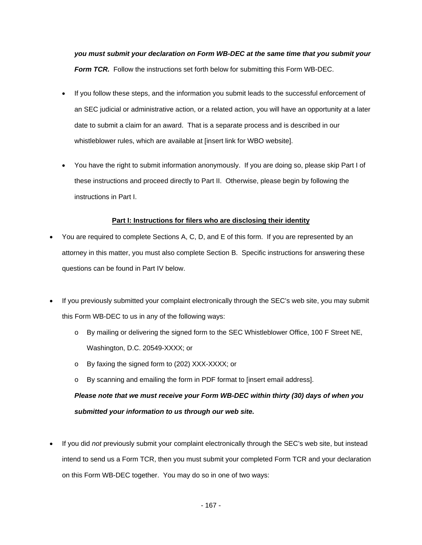# *you must submit your declaration on Form WB-DEC at the same time that you submit your Form TCR.* Follow the instructions set forth below for submitting this Form WB-DEC.

- If you follow these steps, and the information you submit leads to the successful enforcement of an SEC judicial or administrative action, or a related action, you will have an opportunity at a later date to submit a claim for an award. That is a separate process and is described in our whistleblower rules, which are available at [insert link for WBO website].
- You have the right to submit information anonymously. If you are doing so, please skip Part I of these instructions and proceed directly to Part II. Otherwise, please begin by following the instructions in Part I.

## **Part I: Instructions for filers who are disclosing their identity**

- You are required to complete Sections A, C, D, and E of this form. If you are represented by an attorney in this matter, you must also complete Section B. Specific instructions for answering these questions can be found in Part IV below.
- If you previously submitted your complaint electronically through the SEC's web site, you may submit this Form WB-DEC to us in any of the following ways:
	- o By mailing or delivering the signed form to the SEC Whistleblower Office, 100 F Street NE, Washington, D.C. 20549-XXXX; or
	- o By faxing the signed form to (202) XXX-XXXX; or
	- o By scanning and emailing the form in PDF format to linsert email address].

*Please note that we must receive your Form WB-DEC within thirty (30) days of when you submitted your information to us through our web site.* 

If you did *not* previously submit your complaint electronically through the SEC's web site, but instead intend to send us a Form TCR, then you must submit your completed Form TCR and your declaration on this Form WB-DEC together. You may do so in one of two ways: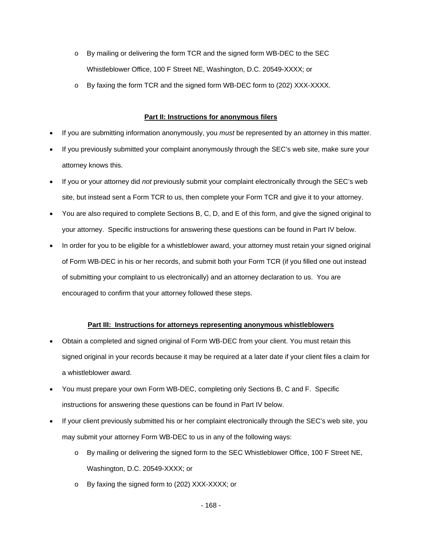- o By mailing or delivering the form TCR and the signed form WB-DEC to the SEC Whistleblower Office, 100 F Street NE, Washington, D.C. 20549-XXXX; or
- $\circ$  By faxing the form TCR and the signed form WB-DEC form to (202) XXX-XXXX.

# **Part II: Instructions for anonymous filers**

- If you are submitting information anonymously, you *must* be represented by an attorney in this matter.
- If you previously submitted your complaint anonymously through the SEC's web site, make sure your attorney knows this.
- If you or your attorney did *not* previously submit your complaint electronically through the SEC's web site, but instead sent a Form TCR to us, then complete your Form TCR and give it to your attorney.
- You are also required to complete Sections B, C, D, and E of this form, and give the signed original to your attorney. Specific instructions for answering these questions can be found in Part IV below.
- In order for you to be eligible for a whistleblower award, your attorney must retain your signed original of Form WB-DEC in his or her records, and submit both your Form TCR (if you filled one out instead of submitting your complaint to us electronically) and an attorney declaration to us. You are encouraged to confirm that your attorney followed these steps.

# **Part III: Instructions for attorneys representing anonymous whistleblowers**

- Obtain a completed and signed original of Form WB-DEC from your client. You must retain this signed original in your records because it may be required at a later date if your client files a claim for a whistleblower award.
- You must prepare your own Form WB-DEC, completing only Sections B, C and F. Specific instructions for answering these questions can be found in Part IV below.
- If your client previously submitted his or her complaint electronically through the SEC's web site, you may submit your attorney Form WB-DEC to us in any of the following ways:
	- o By mailing or delivering the signed form to the SEC Whistleblower Office, 100 F Street NE, Washington, D.C. 20549-XXXX; or
	- o By faxing the signed form to (202) XXX-XXXX; or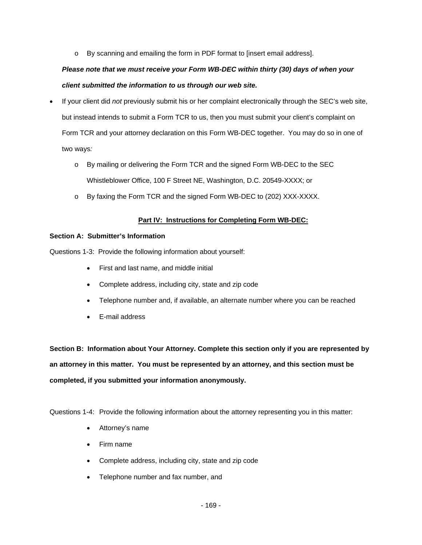o By scanning and emailing the form in PDF format to [insert email address].

# *Please note that we must receive your Form WB-DEC within thirty (30) days of when your client submitted the information to us through our web site.*

- If your client did *not* previously submit his or her complaint electronically through the SEC's web site, but instead intends to submit a Form TCR to us, then you must submit your client's complaint on Form TCR and your attorney declaration on this Form WB-DEC together. You may do so in one of two ways*:* 
	- $\circ$  By mailing or delivering the Form TCR and the signed Form WB-DEC to the SEC Whistleblower Office, 100 F Street NE, Washington, D.C. 20549-XXXX; or
	- o By faxing the Form TCR and the signed Form WB-DEC to (202) XXX-XXXX.

# **Part IV: Instructions for Completing Form WB-DEC:**

## **Section A: Submitter's Information**

Questions 1-3: Provide the following information about yourself:

- • First and last name, and middle initial
- Complete address, including city, state and zip code
- Telephone number and, if available, an alternate number where you can be reached
- E-mail address

**Section B: Information about Your Attorney. Complete this section only if you are represented by an attorney in this matter. You must be represented by an attorney, and this section must be completed, if you submitted your information anonymously.** 

Questions 1-4: Provide the following information about the attorney representing you in this matter:

- Attorney's name
- Firm name
- Complete address, including city, state and zip code
- • Telephone number and fax number, and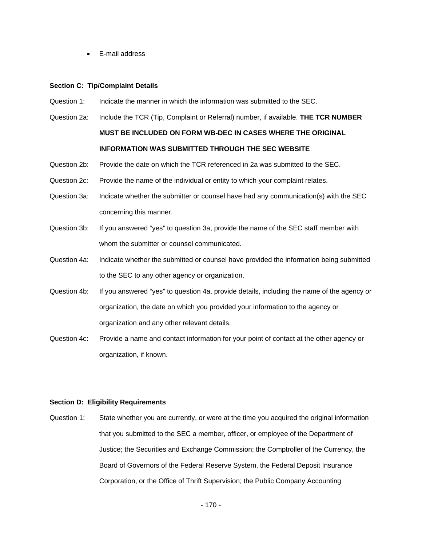• E-mail address

### **Section C: Tip/Complaint Details**

- Question 1: Indicate the manner in which the information was submitted to the SEC.
- Question 2a: Include the TCR (Tip, Complaint or Referral) number, if available. **THE TCR NUMBER MUST BE INCLUDED ON FORM WB-DEC IN CASES WHERE THE ORIGINAL INFORMATION WAS SUBMITTED THROUGH THE SEC WEBSITE**
- Question 2b: Provide the date on which the TCR referenced in 2a was submitted to the SEC.
- Question 2c: Provide the name of the individual or entity to which your complaint relates.
- concerning this manner. Question 3a: Indicate whether the submitter or counsel have had any communication(s) with the SEC
- Question 3b: If you answered "yes" to question 3a, provide the name of the SEC staff member with whom the submitter or counsel communicated.
- Question 4a: Indicate whether the submitted or counsel have provided the information being submitted to the SEC to any other agency or organization.
- Question 4b: If you answered "yes" to question 4a, provide details, including the name of the agency or organization, the date on which you provided your information to the agency or organization and any other relevant details.
- Question 4c: Provide a name and contact information for your point of contact at the other agency or organization, if known.

## **Section D: Eligibility Requirements**

Question 1: State whether you are currently, or were at the time you acquired the original information that you submitted to the SEC a member, officer, or employee of the Department of Justice; the Securities and Exchange Commission; the Comptroller of the Currency, the Board of Governors of the Federal Reserve System, the Federal Deposit Insurance Corporation, or the Office of Thrift Supervision; the Public Company Accounting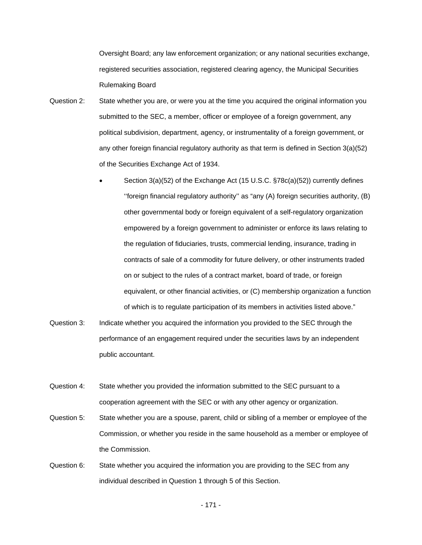Oversight Board; any law enforcement organization; or any national securities exchange, registered securities association, registered clearing agency, the Municipal Securities Rulemaking Board

- Question 2: State whether you are, or were you at the time you acquired the original information you submitted to the SEC, a member, officer or employee of a foreign government, any political subdivision, department, agency, or instrumentality of a foreign government, or any other foreign financial regulatory authority as that term is defined in Section 3(a)(52) of the Securities Exchange Act of 1934.
	- Section 3(a)(52) of the Exchange Act (15 U.S.C. §78c(a)(52)) currently defines "foreign financial regulatory authority" as "any (A) foreign securities authority,  $(B)$ other governmental body or foreign equivalent of a self-regulatory organization empowered by a foreign government to administer or enforce its laws relating to the regulation of fiduciaries, trusts, commercial lending, insurance, trading in contracts of sale of a commodity for future delivery, or other instruments traded on or subject to the rules of a contract market, board of trade, or foreign equivalent, or other financial activities, or (C) membership organization a function of which is to regulate participation of its members in activities listed above."
- Question 3: Indicate whether you acquired the information you provided to the SEC through the performance of an engagement required under the securities laws by an independent public accountant.
- Question 4: State whether you provided the information submitted to the SEC pursuant to a cooperation agreement with the SEC or with any other agency or organization.
- Question 5: State whether you are a spouse, parent, child or sibling of a member or employee of the Commission, or whether you reside in the same household as a member or employee of the Commission.
- Question 6: State whether you acquired the information you are providing to the SEC from any individual described in Question 1 through 5 of this Section.

- 171 -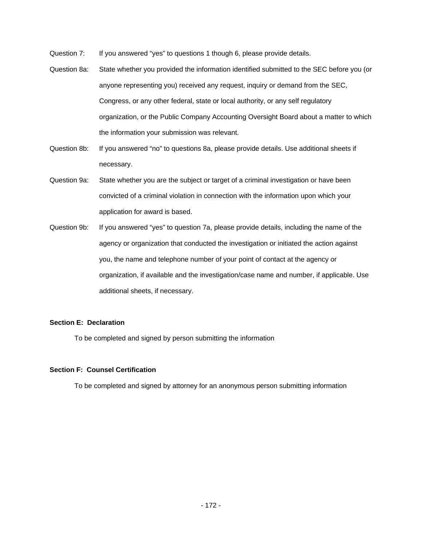- Question 7: If you answered "yes" to questions 1 though 6, please provide details.
- Question 8a: State whether you provided the information identified submitted to the SEC before you (or anyone representing you) received any request, inquiry or demand from the SEC, Congress, or any other federal, state or local authority, or any self regulatory organization, or the Public Company Accounting Oversight Board about a matter to which the information your submission was relevant.
- Question 8b: If you answered "no" to questions 8a, please provide details. Use additional sheets if necessary.
- Question 9a: State whether you are the subject or target of a criminal investigation or have been convicted of a criminal violation in connection with the information upon which your application for award is based.
- Question 9b: If you answered "yes" to question 7a, please provide details, including the name of the agency or organization that conducted the investigation or initiated the action against you, the name and telephone number of your point of contact at the agency or organization, if available and the investigation/case name and number, if applicable. Use additional sheets, if necessary.

## **Section E: Declaration**

To be completed and signed by person submitting the information

#### **Section F: Counsel Certification**

To be completed and signed by attorney for an anonymous person submitting information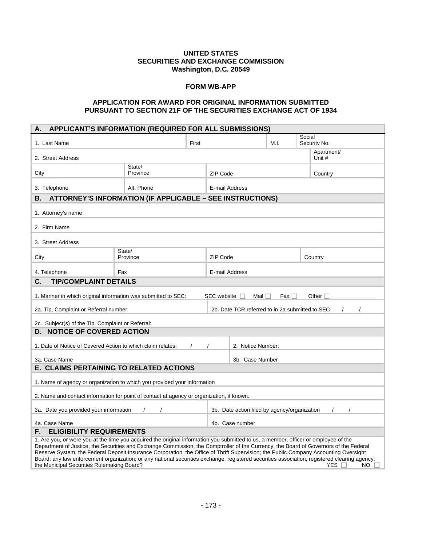## **UNITED STATES SECURITIES AND EXCHANGE COMMISSION Washington, D.C. 20549**

## **FORM WB-APP**

## **APPLICATION FOR AWARD FOR ORIGINAL INFORMATION SUBMITTED PURSUANT TO SECTION 21F OF THE SECURITIES EXCHANGE ACT OF 1934**

| APPLICANT'S INFORMATION (REQUIRED FOR ALL SUBMISSIONS)<br>Α.                                                                                                                                                                                                                                                                                                                                                                                                                                                                                                                                                                            |                    |                                                 |                                              |                 |            |                        |                      |
|-----------------------------------------------------------------------------------------------------------------------------------------------------------------------------------------------------------------------------------------------------------------------------------------------------------------------------------------------------------------------------------------------------------------------------------------------------------------------------------------------------------------------------------------------------------------------------------------------------------------------------------------|--------------------|-------------------------------------------------|----------------------------------------------|-----------------|------------|------------------------|----------------------|
| 1. Last Name                                                                                                                                                                                                                                                                                                                                                                                                                                                                                                                                                                                                                            |                    | First                                           |                                              |                 | M.I.       | Social<br>Security No. |                      |
| 2. Street Address                                                                                                                                                                                                                                                                                                                                                                                                                                                                                                                                                                                                                       |                    |                                                 |                                              |                 |            |                        | Apartment/<br>Unit # |
| City                                                                                                                                                                                                                                                                                                                                                                                                                                                                                                                                                                                                                                    | State/<br>Province |                                                 |                                              | <b>ZIP Code</b> |            |                        | Country              |
| 3. Telephone<br>Alt. Phone                                                                                                                                                                                                                                                                                                                                                                                                                                                                                                                                                                                                              |                    |                                                 | E-mail Address                               |                 |            |                        |                      |
| ATTORNEY'S INFORMATION (IF APPLICABLE - SEE INSTRUCTIONS)<br>В.                                                                                                                                                                                                                                                                                                                                                                                                                                                                                                                                                                         |                    |                                                 |                                              |                 |            |                        |                      |
| 1. Attorney's name                                                                                                                                                                                                                                                                                                                                                                                                                                                                                                                                                                                                                      |                    |                                                 |                                              |                 |            |                        |                      |
| 2. Firm Name                                                                                                                                                                                                                                                                                                                                                                                                                                                                                                                                                                                                                            |                    |                                                 |                                              |                 |            |                        |                      |
| 3. Street Address                                                                                                                                                                                                                                                                                                                                                                                                                                                                                                                                                                                                                       |                    |                                                 |                                              |                 |            |                        |                      |
| City                                                                                                                                                                                                                                                                                                                                                                                                                                                                                                                                                                                                                                    | State/<br>Province |                                                 | ZIP Code                                     |                 |            | Country                |                      |
| 4. Telephone                                                                                                                                                                                                                                                                                                                                                                                                                                                                                                                                                                                                                            | Fax                |                                                 | E-mail Address                               |                 |            |                        |                      |
| <b>TIP/COMPLAINT DETAILS</b><br>С.                                                                                                                                                                                                                                                                                                                                                                                                                                                                                                                                                                                                      |                    |                                                 |                                              |                 |            |                        |                      |
| 1. Manner in which original information was submitted to SEC:                                                                                                                                                                                                                                                                                                                                                                                                                                                                                                                                                                           |                    |                                                 | SEC website $\Box$                           | Mail $\Box$     | $Fax \Box$ |                        | Other $\Box$         |
| 2a. Tip, Complaint or Referral number                                                                                                                                                                                                                                                                                                                                                                                                                                                                                                                                                                                                   |                    | 2b. Date TCR referred to in 2a submitted to SEC |                                              |                 |            |                        |                      |
| 2c. Subject(s) of the Tip, Complaint or Referral:                                                                                                                                                                                                                                                                                                                                                                                                                                                                                                                                                                                       |                    |                                                 |                                              |                 |            |                        |                      |
| <b>D. NOTICE OF COVERED ACTION</b>                                                                                                                                                                                                                                                                                                                                                                                                                                                                                                                                                                                                      |                    |                                                 |                                              |                 |            |                        |                      |
| $\prime$<br>1. Date of Notice of Covered Action to which claim relates:<br>2. Notice Number:<br>$\prime$                                                                                                                                                                                                                                                                                                                                                                                                                                                                                                                                |                    |                                                 |                                              |                 |            |                        |                      |
| 3a. Case Name                                                                                                                                                                                                                                                                                                                                                                                                                                                                                                                                                                                                                           |                    |                                                 | 3b. Case Number                              |                 |            |                        |                      |
| E. CLAIMS PERTAINING TO RELATED ACTIONS                                                                                                                                                                                                                                                                                                                                                                                                                                                                                                                                                                                                 |                    |                                                 |                                              |                 |            |                        |                      |
| 1. Name of agency or organization to which you provided your information                                                                                                                                                                                                                                                                                                                                                                                                                                                                                                                                                                |                    |                                                 |                                              |                 |            |                        |                      |
| 2. Name and contact information for point of contact at agency or organization, if known.                                                                                                                                                                                                                                                                                                                                                                                                                                                                                                                                               |                    |                                                 |                                              |                 |            |                        |                      |
| 3a. Date you provided your information                                                                                                                                                                                                                                                                                                                                                                                                                                                                                                                                                                                                  |                    |                                                 | 3b. Date action filed by agency/organization |                 |            |                        |                      |
| 4a. Case Name                                                                                                                                                                                                                                                                                                                                                                                                                                                                                                                                                                                                                           |                    |                                                 | 4b. Case number                              |                 |            |                        |                      |
| <b>ELIGIBILITY REQUIREMENTS</b><br>F.                                                                                                                                                                                                                                                                                                                                                                                                                                                                                                                                                                                                   |                    |                                                 |                                              |                 |            |                        |                      |
| 1. Are you, or were you at the time you acquired the original information you submitted to us, a member, officer or employee of the<br>Department of Justice, the Securities and Exchange Commission, the Comptroller of the Currency, the Board of Governors of the Federal<br>Reserve System, the Federal Deposit Insurance Corporation, the Office of Thrift Supervision; the Public Company Accounting Oversight<br>Board; any law enforcement organization; or any national securities exchange, registered securities association, registered clearing agency,<br>the Municipal Securities Rulemaking Board?<br>YES $\Box$<br>NO. |                    |                                                 |                                              |                 |            |                        |                      |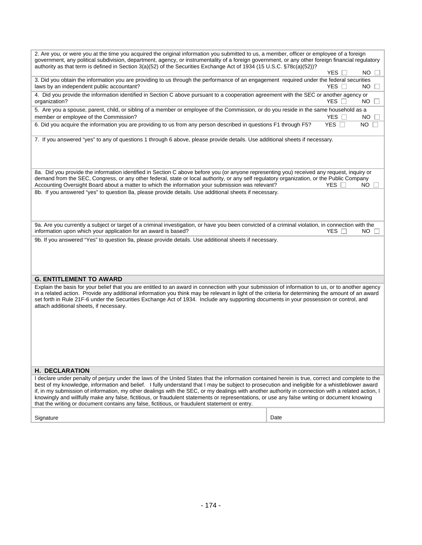| 2. Are you, or were you at the time you acquired the original information you submitted to us, a member, officer or employee of a foreign<br>government, any political subdivision, department, agency, or instrumentality of a foreign government, or any other foreign financial regulatory<br>authority as that term is defined in Section 3(a)(52) of the Securities Exchange Act of 1934 (15 U.S.C. §78c(a)(52))?                                                                                                                                                                                                                                                                                      |                            |  |  |  |  |  |
|-------------------------------------------------------------------------------------------------------------------------------------------------------------------------------------------------------------------------------------------------------------------------------------------------------------------------------------------------------------------------------------------------------------------------------------------------------------------------------------------------------------------------------------------------------------------------------------------------------------------------------------------------------------------------------------------------------------|----------------------------|--|--|--|--|--|
|                                                                                                                                                                                                                                                                                                                                                                                                                                                                                                                                                                                                                                                                                                             | NO.<br>YES.                |  |  |  |  |  |
| 3. Did you obtain the information you are providing to us through the performance of an engagement required under the federal securities<br>laws by an independent public accountant?                                                                                                                                                                                                                                                                                                                                                                                                                                                                                                                       | YES $\Box$<br>NO.          |  |  |  |  |  |
| 4. Did you provide the information identified in Section C above pursuant to a cooperation agreement with the SEC or another agency or<br>organization?                                                                                                                                                                                                                                                                                                                                                                                                                                                                                                                                                     | YES I<br>NO [              |  |  |  |  |  |
| 5. Are you a spouse, parent, child, or sibling of a member or employee of the Commission, or do you reside in the same household as a                                                                                                                                                                                                                                                                                                                                                                                                                                                                                                                                                                       |                            |  |  |  |  |  |
| member or employee of the Commission?                                                                                                                                                                                                                                                                                                                                                                                                                                                                                                                                                                                                                                                                       | YES $\Box$<br>NO.          |  |  |  |  |  |
| 6. Did you acquire the information you are providing to us from any person described in questions F1 through F5?                                                                                                                                                                                                                                                                                                                                                                                                                                                                                                                                                                                            | YES $\square$<br><b>NO</b> |  |  |  |  |  |
| 7. If you answered "yes" to any of questions 1 through 6 above, please provide details. Use additional sheets if necessary.                                                                                                                                                                                                                                                                                                                                                                                                                                                                                                                                                                                 |                            |  |  |  |  |  |
| 8a. Did you provide the information identified in Section C above before you (or anyone representing you) received any request, inquiry or<br>demand from the SEC, Congress, or any other federal, state or local authority, or any self regulatory organization, or the Public Company<br>Accounting Oversight Board about a matter to which the information your submission was relevant?                                                                                                                                                                                                                                                                                                                 | YES I<br>NO.               |  |  |  |  |  |
| 8b. If you answered "yes" to question 8a, please provide details. Use additional sheets if necessary.                                                                                                                                                                                                                                                                                                                                                                                                                                                                                                                                                                                                       |                            |  |  |  |  |  |
|                                                                                                                                                                                                                                                                                                                                                                                                                                                                                                                                                                                                                                                                                                             |                            |  |  |  |  |  |
| 9a. Are you currently a subject or target of a criminal investigation, or have you been convicted of a criminal violation, in connection with the<br>information upon which your application for an award is based?                                                                                                                                                                                                                                                                                                                                                                                                                                                                                         | YES $\Box$<br>$NO$ $\Box$  |  |  |  |  |  |
| 9b. If you answered "Yes" to question 9a, please provide details. Use additional sheets if necessary.                                                                                                                                                                                                                                                                                                                                                                                                                                                                                                                                                                                                       |                            |  |  |  |  |  |
| <b>G. ENTITLEMENT TO AWARD</b>                                                                                                                                                                                                                                                                                                                                                                                                                                                                                                                                                                                                                                                                              |                            |  |  |  |  |  |
| Explain the basis for your belief that you are entitled to an award in connection with your submission of information to us, or to another agency<br>in a related action. Provide any additional information you think may be relevant in light of the criteria for determining the amount of an award<br>set forth in Rule 21F-6 under the Securities Exchange Act of 1934. Include any supporting documents in your possession or control, and<br>attach additional sheets, if necessary.                                                                                                                                                                                                                 |                            |  |  |  |  |  |
| <b>H. DECLARATION</b>                                                                                                                                                                                                                                                                                                                                                                                                                                                                                                                                                                                                                                                                                       |                            |  |  |  |  |  |
| I declare under penalty of perjury under the laws of the United States that the information contained herein is true, correct and complete to the<br>best of my knowledge, information and belief. I fully understand that I may be subject to prosecution and ineligible for a whistleblower award<br>if, in my submission of information, my other dealings with the SEC, or my dealings with another authority in connection with a related action, I<br>knowingly and willfully make any false, fictitious, or fraudulent statements or representations, or use any false writing or document knowing<br>that the writing or document contains any false, fictitious, or fraudulent statement or entry. |                            |  |  |  |  |  |
| Signature                                                                                                                                                                                                                                                                                                                                                                                                                                                                                                                                                                                                                                                                                                   | Date                       |  |  |  |  |  |
|                                                                                                                                                                                                                                                                                                                                                                                                                                                                                                                                                                                                                                                                                                             |                            |  |  |  |  |  |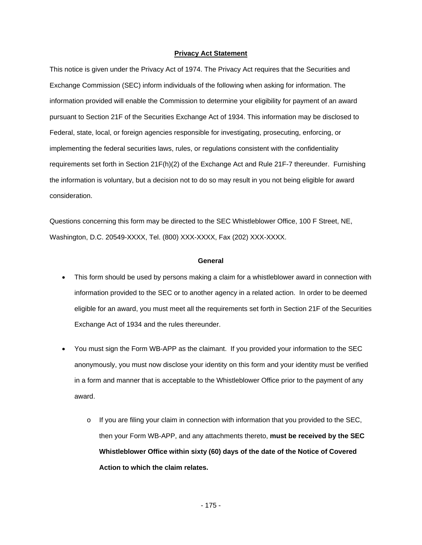## **Privacy Act Statement**

This notice is given under the Privacy Act of 1974. The Privacy Act requires that the Securities and Exchange Commission (SEC) inform individuals of the following when asking for information. The information provided will enable the Commission to determine your eligibility for payment of an award pursuant to Section 21F of the Securities Exchange Act of 1934. This information may be disclosed to Federal, state, local, or foreign agencies responsible for investigating, prosecuting, enforcing, or implementing the federal securities laws, rules, or regulations consistent with the confidentiality requirements set forth in Section 21F(h)(2) of the Exchange Act and Rule 21F-7 thereunder. Furnishing the information is voluntary, but a decision not to do so may result in you not being eligible for award consideration.

Questions concerning this form may be directed to the SEC Whistleblower Office, 100 F Street, NE, Washington, D.C. 20549-XXXX, Tel. (800) XXX-XXXX, Fax (202) XXX-XXXX.

## **General**

- This form should be used by persons making a claim for a whistleblower award in connection with information provided to the SEC or to another agency in a related action. In order to be deemed eligible for an award, you must meet all the requirements set forth in Section 21F of the Securities Exchange Act of 1934 and the rules thereunder.
- You must sign the Form WB-APP as the claimant. If you provided your information to the SEC anonymously, you must now disclose your identity on this form and your identity must be verified in a form and manner that is acceptable to the Whistleblower Office prior to the payment of any award.
	- $\circ$  If you are filing your claim in connection with information that you provided to the SEC, then your Form WB-APP, and any attachments thereto, **must be received by the SEC Whistleblower Office within sixty (60) days of the date of the Notice of Covered Action to which the claim relates.**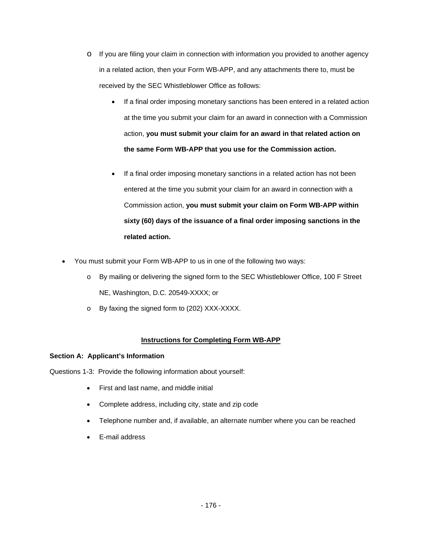- $\circ$  If you are filing your claim in connection with information you provided to another agency in a related action, then your Form WB-APP, and any attachments there to, must be received by the SEC Whistleblower Office as follows:
	- **the same Form WB-APP that you use for the Commission action.** • If a final order imposing monetary sanctions has been entered in a related action at the time you submit your claim for an award in connection with a Commission action, **you must submit your claim for an award in that related action on**
	- **related action.** If a final order imposing monetary sanctions in a related action has not been entered at the time you submit your claim for an award in connection with a Commission action, **you must submit your claim on Form WB-APP within sixty (60) days of the issuance of a final order imposing sanctions in the**
- You must submit your Form WB-APP to us in one of the following two ways:
	- o By mailing or delivering the signed form to the SEC Whistleblower Office, 100 F Street NE, Washington, D.C. 20549-XXXX; or
	- o By faxing the signed form to (202) XXX-XXXX.

## **Instructions for Completing Form WB-APP**

## **Section A: Applicant's Information**

Questions 1-3: Provide the following information about yourself:

- • First and last name, and middle initial
- • Complete address, including city, state and zip code
- Telephone number and, if available, an alternate number where you can be reached
- E-mail address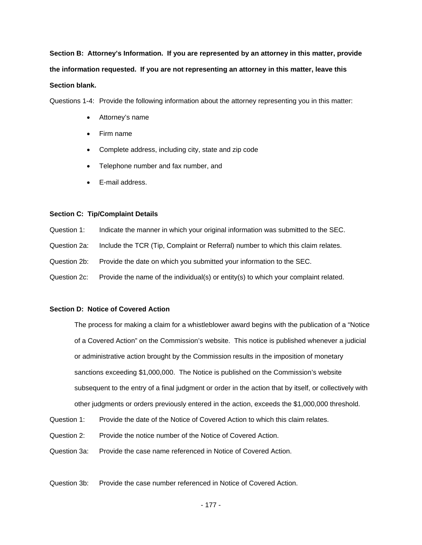# **Section B: Attorney's Information. If you are represented by an attorney in this matter, provide the information requested. If you are not representing an attorney in this matter, leave this Section blank.**

Questions 1-4: Provide the following information about the attorney representing you in this matter:

- Attorney's name
- Firm name
- Complete address, including city, state and zip code
- Telephone number and fax number, and
- E-mail address.

### **Section C: Tip/Complaint Details**

- Question 1: Indicate the manner in which your original information was submitted to the SEC.
- Question 2a: Include the TCR (Tip, Complaint or Referral) number to which this claim relates.
- Question 2b: Provide the date on which you submitted your information to the SEC.
- Question 2c: Provide the name of the individual(s) or entity(s) to which your complaint related.

#### **Section D: Notice of Covered Action**

 other judgments or orders previously entered in the action, exceeds the \$1,000,000 threshold. The process for making a claim for a whistleblower award begins with the publication of a "Notice of a Covered Action" on the Commission's website. This notice is published whenever a judicial or administrative action brought by the Commission results in the imposition of monetary sanctions exceeding \$1,000,000. The Notice is published on the Commission's website subsequent to the entry of a final judgment or order in the action that by itself, or collectively with

- Question 1: Provide the date of the Notice of Covered Action to which this claim relates.
- Question 2: Provide the notice number of the Notice of Covered Action.
- Question 3a: Provide the case name referenced in Notice of Covered Action.
- Question 3b: Provide the case number referenced in Notice of Covered Action.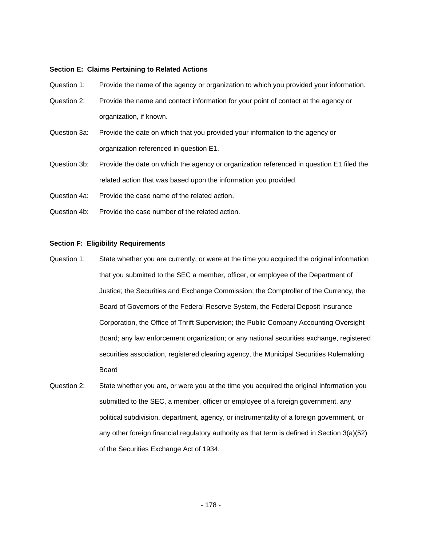#### **Section E: Claims Pertaining to Related Actions**

- Question 1: Provide the name of the agency or organization to which you provided your information.
- Question 2: Provide the name and contact information for your point of contact at the agency or organization, if known.
- Question 3a: Provide the date on which that you provided your information to the agency or organization referenced in question E1.
- Question 3b: Provide the date on which the agency or organization referenced in question E1 filed the related action that was based upon the information you provided.
- Question 4a: Provide the case name of the related action.
- Question 4b: Provide the case number of the related action.

#### **Section F: Eligibility Requirements**

- Question 1: State whether you are currently, or were at the time you acquired the original information that you submitted to the SEC a member, officer, or employee of the Department of Justice; the Securities and Exchange Commission; the Comptroller of the Currency, the Board of Governors of the Federal Reserve System, the Federal Deposit Insurance Corporation, the Office of Thrift Supervision; the Public Company Accounting Oversight Board; any law enforcement organization; or any national securities exchange, registered securities association, registered clearing agency, the Municipal Securities Rulemaking Board
- Question 2: State whether you are, or were you at the time you acquired the original information you submitted to the SEC, a member, officer or employee of a foreign government, any political subdivision, department, agency, or instrumentality of a foreign government, or any other foreign financial regulatory authority as that term is defined in Section 3(a)(52) of the Securities Exchange Act of 1934.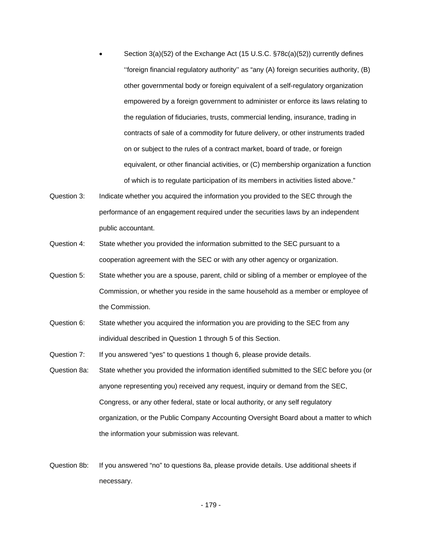- Section 3(a)(52) of the Exchange Act (15 U.S.C. §78c(a)(52)) currently defines "foreign financial regulatory authority" as "any (A) foreign securities authority,  $(B)$ other governmental body or foreign equivalent of a self-regulatory organization empowered by a foreign government to administer or enforce its laws relating to the regulation of fiduciaries, trusts, commercial lending, insurance, trading in contracts of sale of a commodity for future delivery, or other instruments traded on or subject to the rules of a contract market, board of trade, or foreign equivalent, or other financial activities, or (C) membership organization a function of which is to regulate participation of its members in activities listed above."
- Question 3: Indicate whether you acquired the information you provided to the SEC through the performance of an engagement required under the securities laws by an independent public accountant.
- Question 4: State whether you provided the information submitted to the SEC pursuant to a cooperation agreement with the SEC or with any other agency or organization.
- Question 5: State whether you are a spouse, parent, child or sibling of a member or employee of the Commission, or whether you reside in the same household as a member or employee of the Commission.
- Question 6: State whether you acquired the information you are providing to the SEC from any individual described in Question 1 through 5 of this Section.
- Question 7: If you answered "yes" to questions 1 though 6, please provide details.
- Question 8a: State whether you provided the information identified submitted to the SEC before you (or anyone representing you) received any request, inquiry or demand from the SEC, Congress, or any other federal, state or local authority, or any self regulatory organization, or the Public Company Accounting Oversight Board about a matter to which the information your submission was relevant.
- Question 8b: If you answered "no" to questions 8a, please provide details. Use additional sheets if necessary.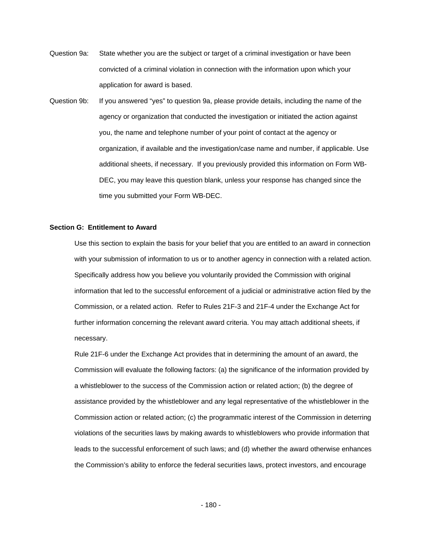- Question 9a: State whether you are the subject or target of a criminal investigation or have been convicted of a criminal violation in connection with the information upon which your application for award is based.
- Question 9b: If you answered "yes" to question 9a, please provide details, including the name of the agency or organization that conducted the investigation or initiated the action against you, the name and telephone number of your point of contact at the agency or organization, if available and the investigation/case name and number, if applicable. Use additional sheets, if necessary. If you previously provided this information on Form WB-DEC, you may leave this question blank, unless your response has changed since the time you submitted your Form WB-DEC.

## **Section G: Entitlement to Award**

Use this section to explain the basis for your belief that you are entitled to an award in connection with your submission of information to us or to another agency in connection with a related action. Specifically address how you believe you voluntarily provided the Commission with original information that led to the successful enforcement of a judicial or administrative action filed by the Commission, or a related action. Refer to Rules 21F-3 and 21F-4 under the Exchange Act for further information concerning the relevant award criteria. You may attach additional sheets, if necessary.

Rule 21F-6 under the Exchange Act provides that in determining the amount of an award, the Commission will evaluate the following factors: (a) the significance of the information provided by a whistleblower to the success of the Commission action or related action; (b) the degree of assistance provided by the whistleblower and any legal representative of the whistleblower in the Commission action or related action; (c) the programmatic interest of the Commission in deterring violations of the securities laws by making awards to whistleblowers who provide information that leads to the successful enforcement of such laws; and (d) whether the award otherwise enhances the Commission's ability to enforce the federal securities laws, protect investors, and encourage